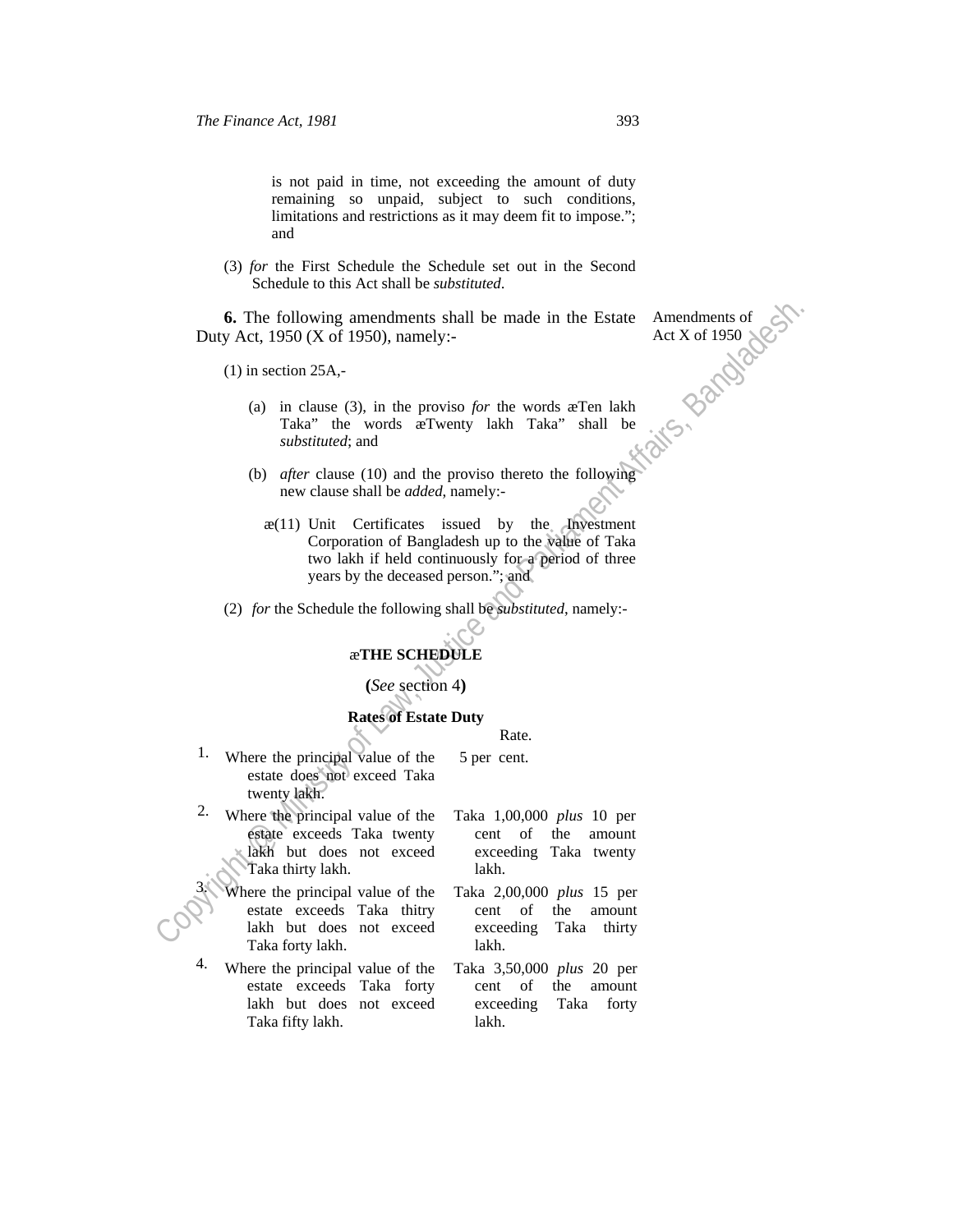is not paid in time, not exceeding the amount of duty remaining so unpaid, subject to such conditions, limitations and restrictions as it may deem fit to impose."; and

(3) *for* the First Schedule the Schedule set out in the Second Schedule to this Act shall be *substituted*.

 **6.** The following amendments shall be made in the Estate Duty Act, 1950 (X of 1950), namely:-

 $(1)$  in section 25A,-

- (a) in clause (3), in the proviso *for* the words æTen lakh Taka" the words æTwenty lakh Taka" shall be *substituted*; and
- (b) *after* clause (10) and the proviso thereto the following new clause shall be *added*, namely:-
- 6. The following amendments shall be made in the Estate Amendments of<br>
Duty Act, 1950 (X of 1950), namely:-<br>
(1) in section 25A,-<br>
(a) in clause (3), in the proviso for the words are are lack<br>
Taka" the words are Twenty l  $x(11)$  Unit Certificates issued by the Investment Corporation of Bangladesh up to the value of Taka two lakh if held continuously for a period of three years by the deceased person."; and

(2) *for* the Schedule the following shall be *substituted*, namely:-

# æ**THE SCHEDULE**

**(***See* section 4**)**

#### **Rates of Estate Duty**

# Rate. 5 per cent.

1. Where the principal value of the estate does not exceed Taka twenty lakh.

2. Where the principal value of the estate exceeds Taka twenty lakh but does not exceed Taka thirty lakh.

> Where the principal value of the estate exceeds Taka thitry lakh but does not exceed Taka forty lakh.

- 4. Where the principal value of the estate exceeds Taka forty lakh but does not exceed Taka fifty lakh.
- Taka 1,00,000 *plus* 10 per cent of the amount exceeding Taka twenty lakh.
- Taka 2,00,000 *plus* 15 per cent of the amount exceeding Taka thirty lakh.
- Taka 3,50,000 *plus* 20 per cent of the amount exceeding Taka forty lakh.

Amendments of Act X of 1950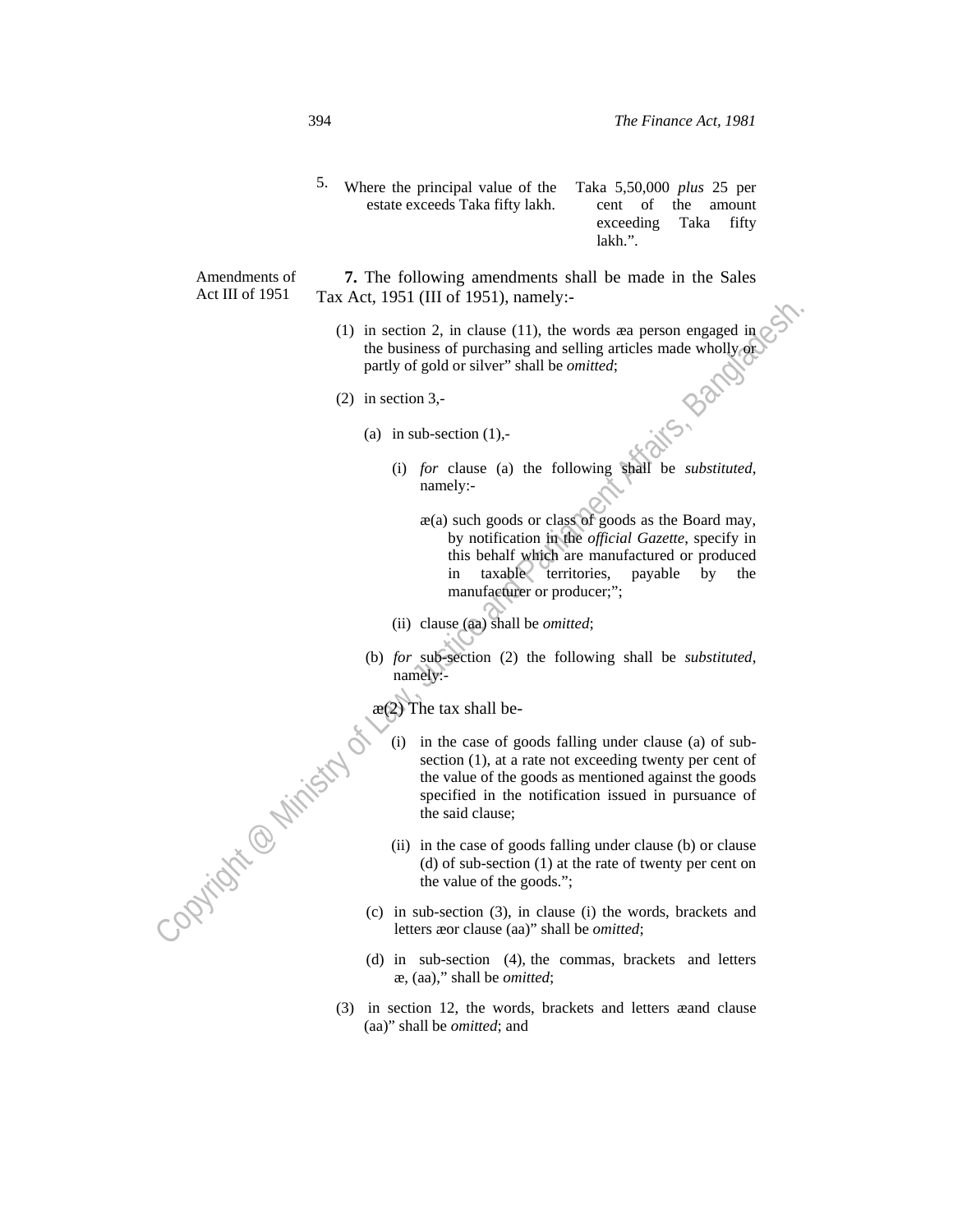5. Where the principal value of the estate exceeds Taka fifty lakh. Taka 5,50,000 *plus* 25 per cent of the amount exceeding Taka fifty lakh.".

Amendments of  **7.** The following amendments shall be made in the Sales Tax Act, 1951 (III of 1951), namely:-

- (1) in section 2, in clause (11), the words æa person engaged in  $\circ$ the business of purchasing and selling articles made wholly or partly of gold or silver" shall be *omitted*;
- (2) in section 3,-
	- (a) in sub-section  $(1)$ ,-
		- (i) *for* clause (a) the following shall be *substituted*, namely:
			- æ(a) such goods or class of goods as the Board may, by notification in the *official Gazette*, specify in this behalf which are manufactured or produced in taxable territories, payable by the manufacturer or producer;";
		- (ii) clause (aa) shall be *omitted*;
	- (b) *for* sub-section (2) the following shall be *substituted*, namely:-

 $\mathfrak{g}(2)$  The tax shall be-

- Copyright Copyright (1) in section 2, in change (1), the words are person engaged in<br>
(1) in section 3, the victorisating and selling articles made wholly, one<br>
(2) in section 3,<br>
(3) in scheme (3) ed of silver" shall be (i) in the case of goods falling under clause (a) of subsection (1), at a rate not exceeding twenty per cent of the value of the goods as mentioned against the goods specified in the notification issued in pursuance of the said clause;
	- (ii) in the case of goods falling under clause (b) or clause (d) of sub-section (1) at the rate of twenty per cent on the value of the goods.";
	- (c) in sub-section (3), in clause (i) the words, brackets and letters æor clause (aa)" shall be *omitted*;
	- (d) in sub-section (4), the commas, brackets and letters æ, (aa)," shall be *omitted*;
	- (3) in section 12, the words, brackets and letters æand clause (aa)" shall be *omitted*; and

Act III of 1951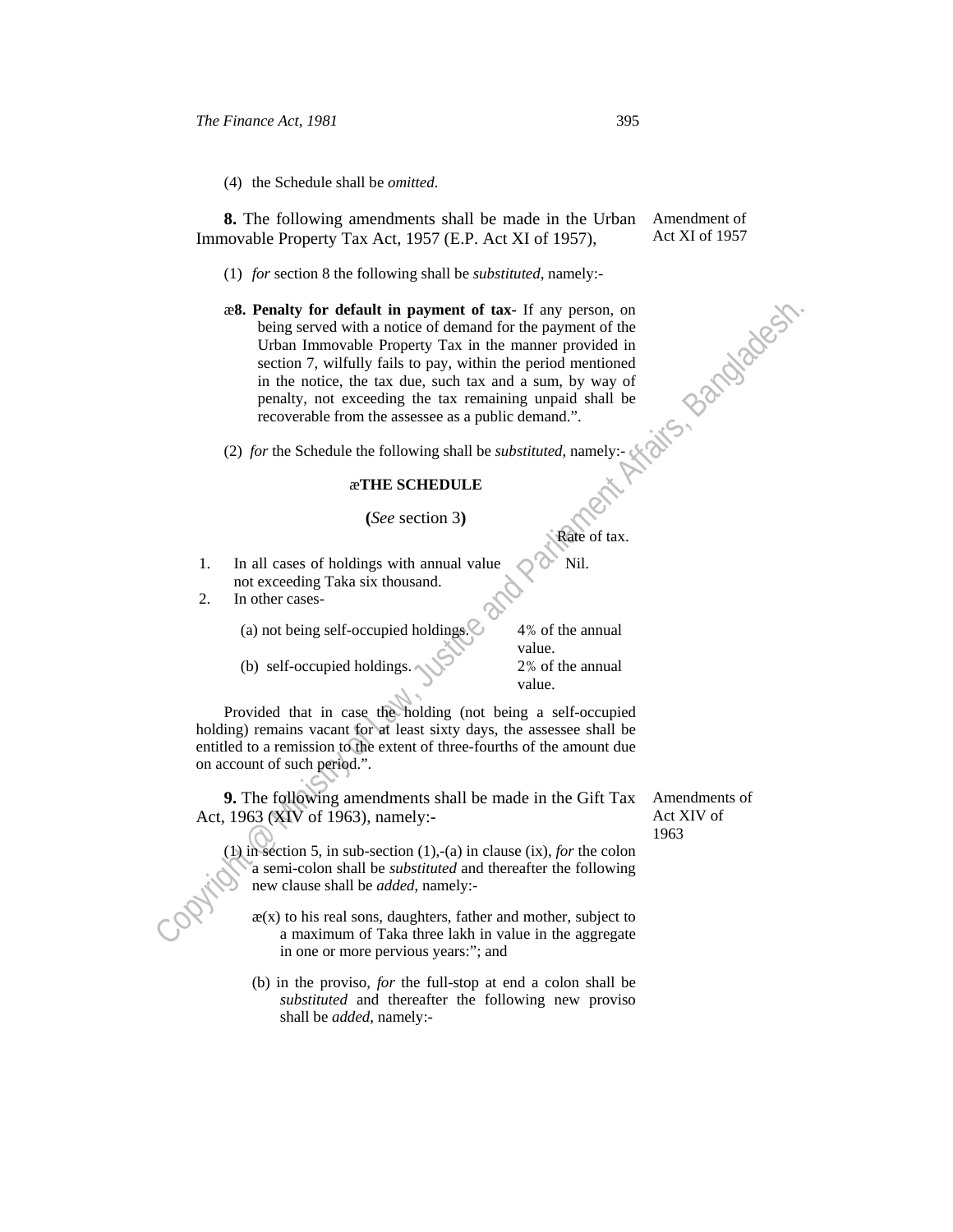(4) the Schedule shall be *omitted*.

 **8.** The following amendments shall be made in the Urban Immovable Property Tax Act, 1957 (E.P. Act XI of 1957),

- (1) *for* section 8 the following shall be *substituted*, namely:-
- as **S.** Penalty for default in payment of tax-<br>
triany person, on the Urban smoothele Property Tax in the meaner provided in<br>
usering the value in the second of the system and Parliament Affairs, and a second in<br>
the nois æ**8. Penalty for default in payment of tax-** If any person, on being served with a notice of demand for the payment of the Urban Immovable Property Tax in the manner provided in section 7, wilfully fails to pay, within the period mentioned in the notice, the tax due, such tax and a sum, by way of penalty, not exceeding the tax remaining unpaid shall be recoverable from the assessee as a public demand.".
	- (2) *for* the Schedule the following shall be *substituted*, namely:-

#### æ**THE SCHEDULE**

#### **(***See* section 3**)**

- 1. In all cases of holdings with annual value not exceeding Taka six thousand. Nil.
- 2. In other cases-

(a) not being self-occupied holdings.  $\Diamond$  4% of the annual

(b) self-occupied holdings. 2% of the annual

value. value.

Rate of tax.

 Provided that in case the holding (not being a self-occupied holding) remains vacant for at least sixty days, the assessee shall be entitled to a remission to the extent of three-fourths of the amount due on account of such period.".

 **9.** The following amendments shall be made in the Gift Tax Act, 1963 (XIV of 1963), namely:-

(1) in section 5, in sub-section (1),-(a) in clause (ix), *for* the colon a semi-colon shall be *substituted* and thereafter the following new clause shall be *added*, namely:-

- $x(x)$  to his real sons, daughters, father and mother, subject to a maximum of Taka three lakh in value in the aggregate in one or more pervious years:"; and
- (b) in the proviso, *for* the full-stop at end a colon shall be *substituted* and thereafter the following new proviso shall be *added*, namely:-

Amendments of Act XIV of 1963

Amendment of Act XI of 1957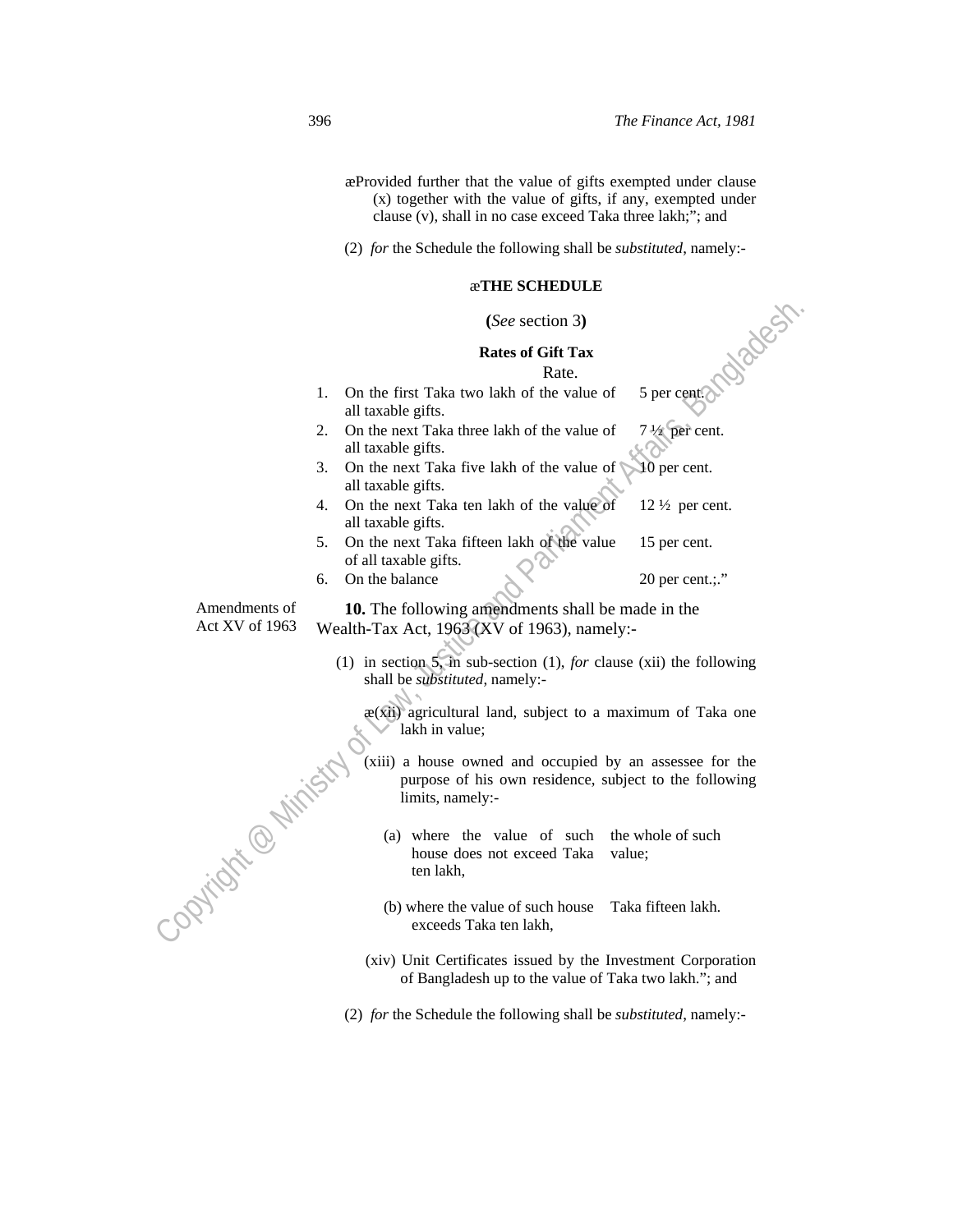- æProvided further that the value of gifts exempted under clause (x) together with the value of gifts, if any, exempted under clause (v), shall in no case exceed Taka three lakh;"; and
- (2) *for* the Schedule the following shall be *substituted*, namely:-

#### æ**THE SCHEDULE**

#### **(***See* section 3**)**

#### **Rates of Gift Tax**

## **Rate. Rate.**

- 1. On the first Taka two lakh of the value of all taxable gifts. 5 per cent.
- 2. On the next Taka three lakh of the value of all taxable gifts. 7 ½ per cent.
- 3. On the next Taka five lakh of the value of all taxable gifts. 10 per cent.
- 4. On the next Taka ten lakh of the value of all taxable gifts.  $12\frac{1}{2}$  per cent.
- 5. On the next Taka fifteen lakh of the value of all taxable gifts. 15 per cent.
- 6. On the balance  $20 \text{ per cent.};$ "

Amendments of Act XV of 1963

ì

 **10.** The following amendments shall be made in the Wealth-Tax Act, 1963 (XV of 1963), namely:-

(1) in section 5, in sub-section (1), *for* clause (xii) the following shall be *substituted*, namely:-

 $x(x)$  agricultural land, subject to a maximum of Taka one  $\sim$  lakh in value;

(See section 3)<br>
Rates of Gift Tax<br>
1. On the first Taka two lakh of the value of Spercent:<br>
2. On the next Taka three lakh of the value of  $\sqrt{2}$  (per cent.<br>
all taxable gifts,<br>
3. On the next Taka five lakh of the valu (xiii) a house owned and occupied by an assessee for the purpose of his own residence, subject to the following limits, namely:-

(a) where the value of such house does not exceed Taka ten lakh, the whole of such value;

- (b) where the value of such house exceeds Taka ten lakh, Taka fifteen lakh.
- (xiv) Unit Certificates issued by the Investment Corporation of Bangladesh up to the value of Taka two lakh."; and

(2) *for* the Schedule the following shall be *substituted*, namely:-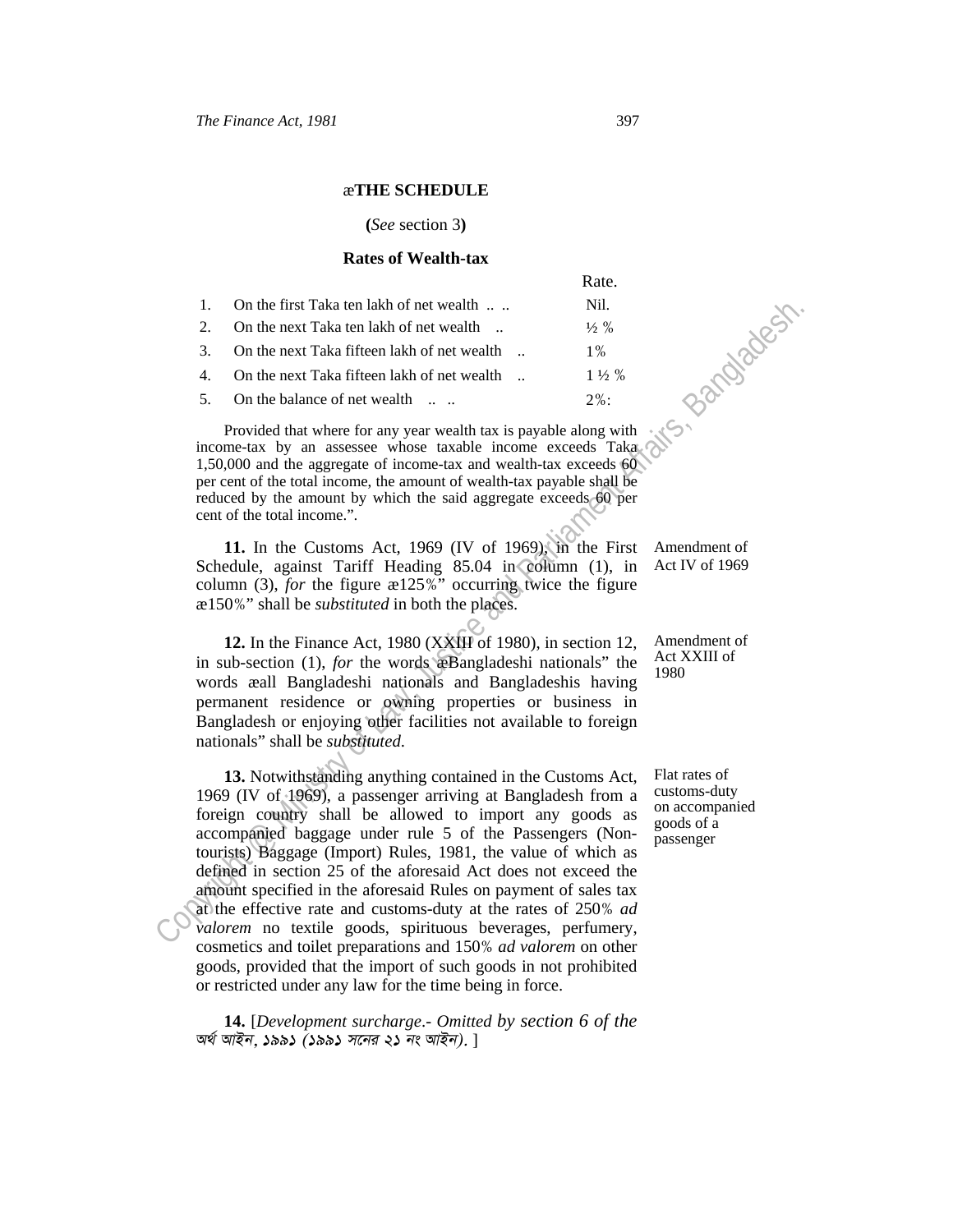## æ**THE SCHEDULE**

#### **(***See* section 3**)**

## **Rates of Wealth-tax**

|                                                | Rate.            |
|------------------------------------------------|------------------|
| 1. On the first Taka ten lakh of net wealth    | Nil.             |
| 2. On the next Taka ten lakh of net wealth     | $\frac{1}{2}$ %  |
| 3. On the next Taka fifteen lakh of net wealth | $1\%$            |
| 4. On the next Taka fifteen lakh of net wealth | $1\frac{1}{2}\%$ |
| 5. On the balance of net wealth                | $2\%$ :          |
|                                                |                  |

 Provided that where for any year wealth tax is payable along with income-tax by an assessee whose taxable income exceeds Taka 1,50,000 and the aggregate of income-tax and wealth-tax exceeds 60 per cent of the total income, the amount of wealth-tax payable shall be reduced by the amount by which the said aggregate exceeds 60 per cent of the total income.".

 **11.** In the Customs Act, 1969 (IV of 1969), in the First Schedule, against Tariff Heading 85.04 in column (1), in column (3), *for* the figure æ125%" occurring twice the figure æ150%" shall be *substituted* in both the places.

 **12.** In the Finance Act, 1980 (XXIII of 1980), in section 12, in sub-section (1), *for* the words æBangladeshi nationals" the words æall Bangladeshi nationals and Bangladeshis having permanent residence or owning properties or business in Bangladesh or enjoying other facilities not available to foreign nationals" shall be *substituted*.

1. On the first Take ten lakho of are wealth ... Weak<br>
2. On the next Taka inflectn lakho of net wealth ... 18%<br>
3. On the next Taka fifteen lakho of net wealth ... 11%<br>
4. On the next Taka fifteen lakho of net wealth ...  **13.** Notwithstanding anything contained in the Customs Act, 1969 (IV of 1969), a passenger arriving at Bangladesh from a foreign country shall be allowed to import any goods as accompanied baggage under rule 5 of the Passengers (Nontourists) Baggage (Import) Rules, 1981, the value of which as defined in section 25 of the aforesaid Act does not exceed the amount specified in the aforesaid Rules on payment of sales tax at the effective rate and customs-duty at the rates of 250% *ad valorem* no textile goods, spirituous beverages, perfumery, cosmetics and toilet preparations and 150% *ad valorem* on other goods, provided that the import of such goods in not prohibited or restricted under any law for the time being in force.

 **14.** [*Development surcharge*.- *Omitted by section 6 of the A\_© AvBb, 1991 (1991 m‡bi 21 bs AvBb).* ]

Amendment of Act IV of 1969

Amendment of Act XXIII of 1980

Flat rates of customs-duty on accompanied goods of a passenger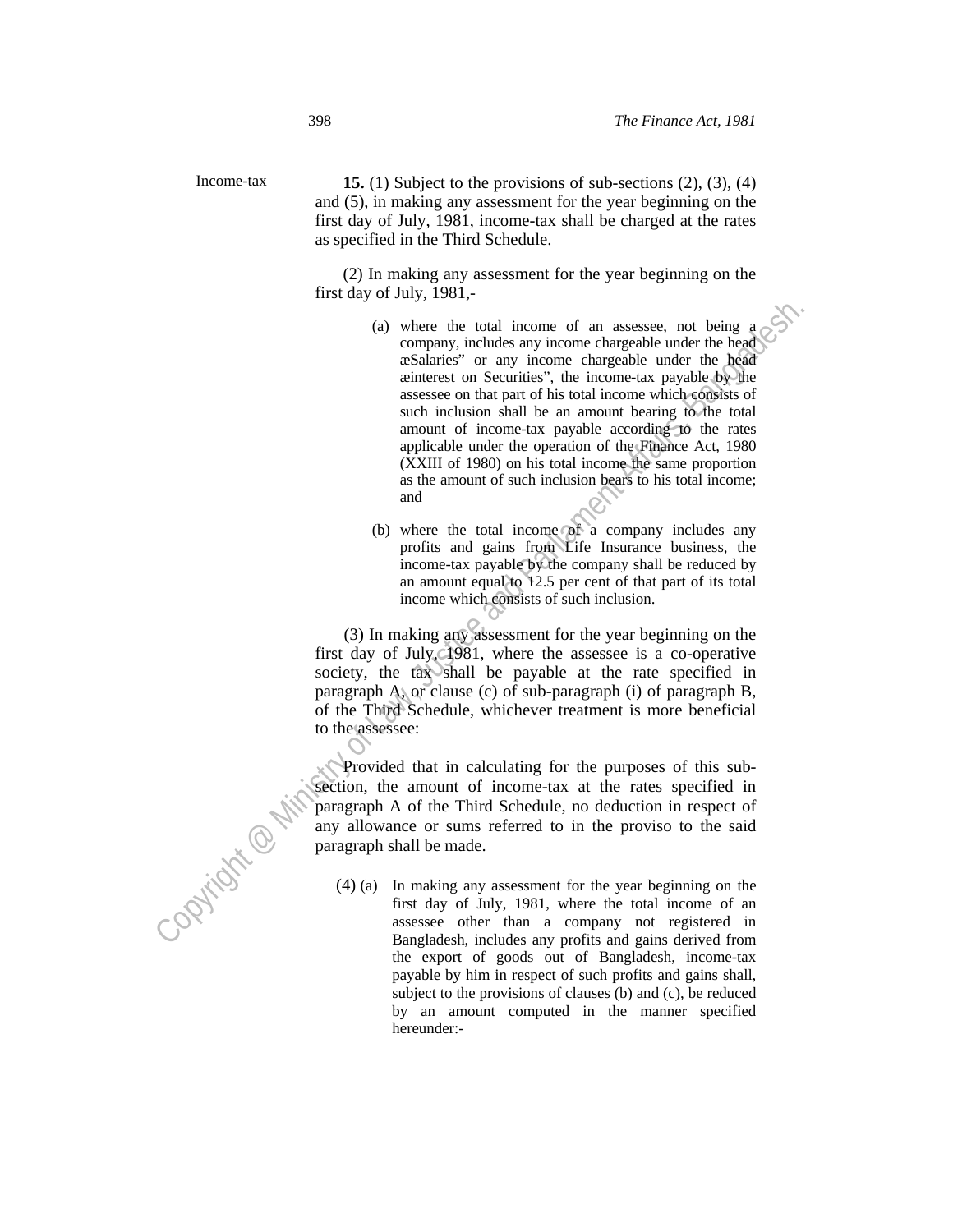Income-tax **15.** (1) Subject to the provisions of sub-sections (2), (3), (4) and (5), in making any assessment for the year beginning on the first day of July, 1981, income-tax shall be charged at the rates as specified in the Third Schedule.

> (2) In making any assessment for the year beginning on the first day of July, 1981,-

- (a) where the total income of an assesse, not being a<br>
company, includes any income chargeable under the head<br>
company, includes any income chargeable under the head<br>
existences on Securities", the income-tax payable by t (a) where the total income of an assessee, not being a company, includes any income chargeable under the head æSalaries" or any income chargeable under the head æinterest on Securities", the income-tax payable by the assessee on that part of his total income which consists of such inclusion shall be an amount bearing to the total amount of income-tax payable according to the rates applicable under the operation of the Finance Act, 1980 (XXIII of 1980) on his total income the same proportion as the amount of such inclusion bears to his total income; and
	- (b) where the total income of a company includes any profits and gains from Life Insurance business, the income-tax payable by the company shall be reduced by an amount equal to 12.5 per cent of that part of its total income which consists of such inclusion.

(3) In making any assessment for the year beginning on the first day of July, 1981, where the assessee is a co-operative society, the tax shall be payable at the rate specified in paragraph A, or clause (c) of sub-paragraph (i) of paragraph B, of the Third Schedule, whichever treatment is more beneficial to the assessee:

 Provided that in calculating for the purposes of this subsection, the amount of income-tax at the rates specified in paragraph A of the Third Schedule, no deduction in respect of any allowance or sums referred to in the proviso to the said paragraph shall be made.

(4) (a) In making any assessment for the year beginning on the first day of July, 1981, where the total income of an assessee other than a company not registered in Bangladesh, includes any profits and gains derived from the export of goods out of Bangladesh, income-tax payable by him in respect of such profits and gains shall, subject to the provisions of clauses (b) and (c), be reduced by an amount computed in the manner specified hereunder:-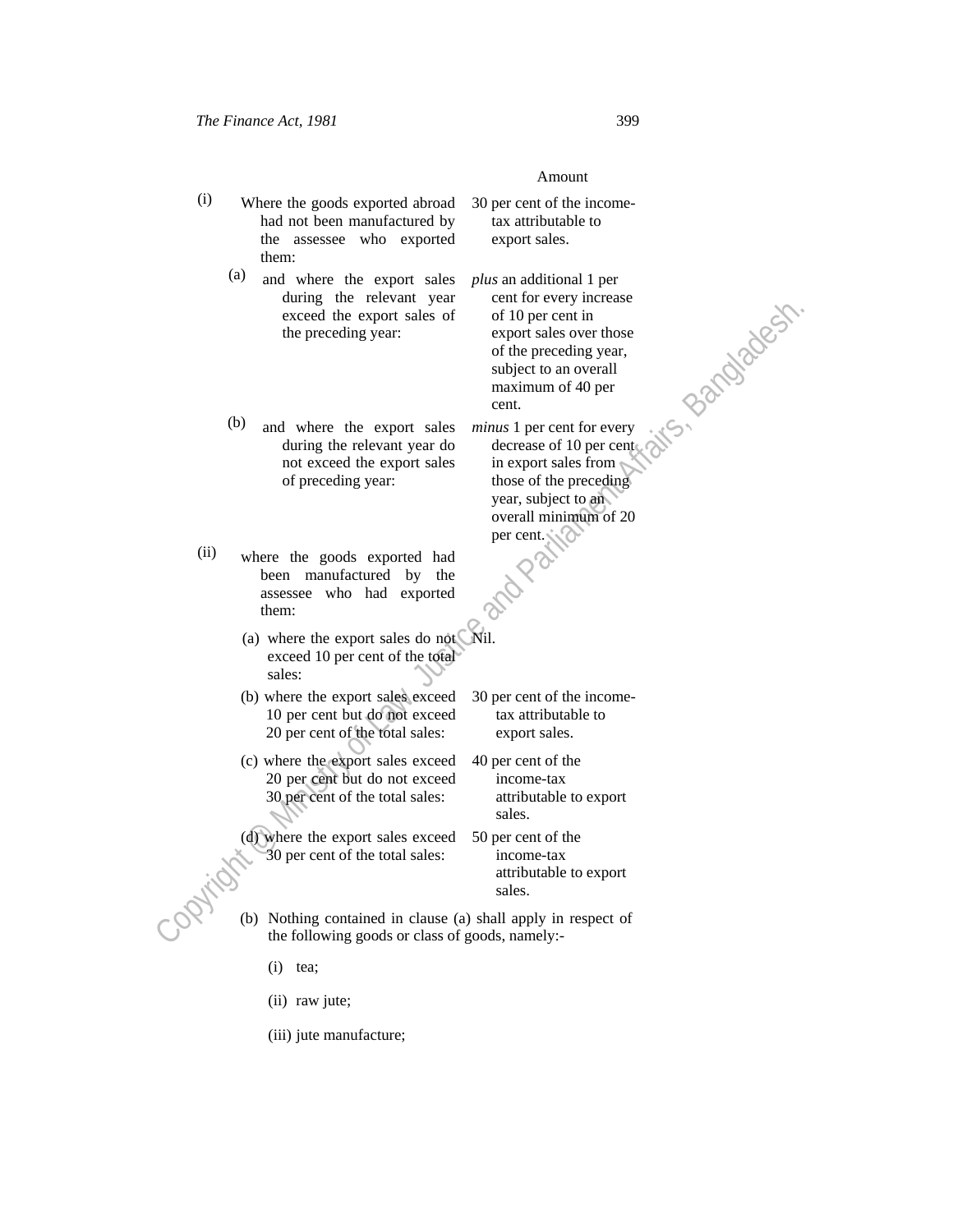# Amount

- (i) Where the goods exported abroad had not been manufactured by the assessee who exported them:
	- (a) and where the export sales during the relevant year exceed the export sales of the preceding year:
- 30 per cent of the incometax attributable to export sales.

Example the sport sales of  $\alpha$  and  $\alpha$  and  $\alpha$  and  $\alpha$  and  $\alpha$  and  $\alpha$  and  $\alpha$  and  $\alpha$  and  $\alpha$  and  $\alpha$  and  $\alpha$  and  $\alpha$  and  $\alpha$  and  $\alpha$  and  $\alpha$  and  $\alpha$  and  $\alpha$  and  $\alpha$  and  $\alpha$  and  $\alpha$  and  $\alpha$  are  $\alpha$  *plus* an additional 1 per cent for every increase of 10 per cent in export sales over those of the preceding year, subject to an overall maximum of 40 per cent.

(b) and where the export sales during the relevant year do not exceed the export sales of preceding year: *minus* 1 per cent for every decrease of 10 per cent in export sales from those of the preceding year, subject to an overall minimum of 20

- (ii) where the goods exported had been manufactured by the assessee who had exported them:
	- (a) where the export sales do not exceed 10 per cent of the total sales: Nil.
	- (b) where the export sales exceed 10 per cent but do not exceed 20 per cent of the total sales:
	- (c) where the export sales exceed 20 per cent but do not exceed 30 per cent of the total sales:

(d) where the export sales exceed 30 per cent of the total sales:

30 per cent of the incometax attributable to export sales.

per cent.

40 per cent of the income-tax attributable to export sales.

50 per cent of the income-tax attributable to export sales.

- (b) Nothing contained in clause (a) shall apply in respect of the following goods or class of goods, namely:-
	- (i) tea;
	- (ii) raw jute;
	- (iii) jute manufacture;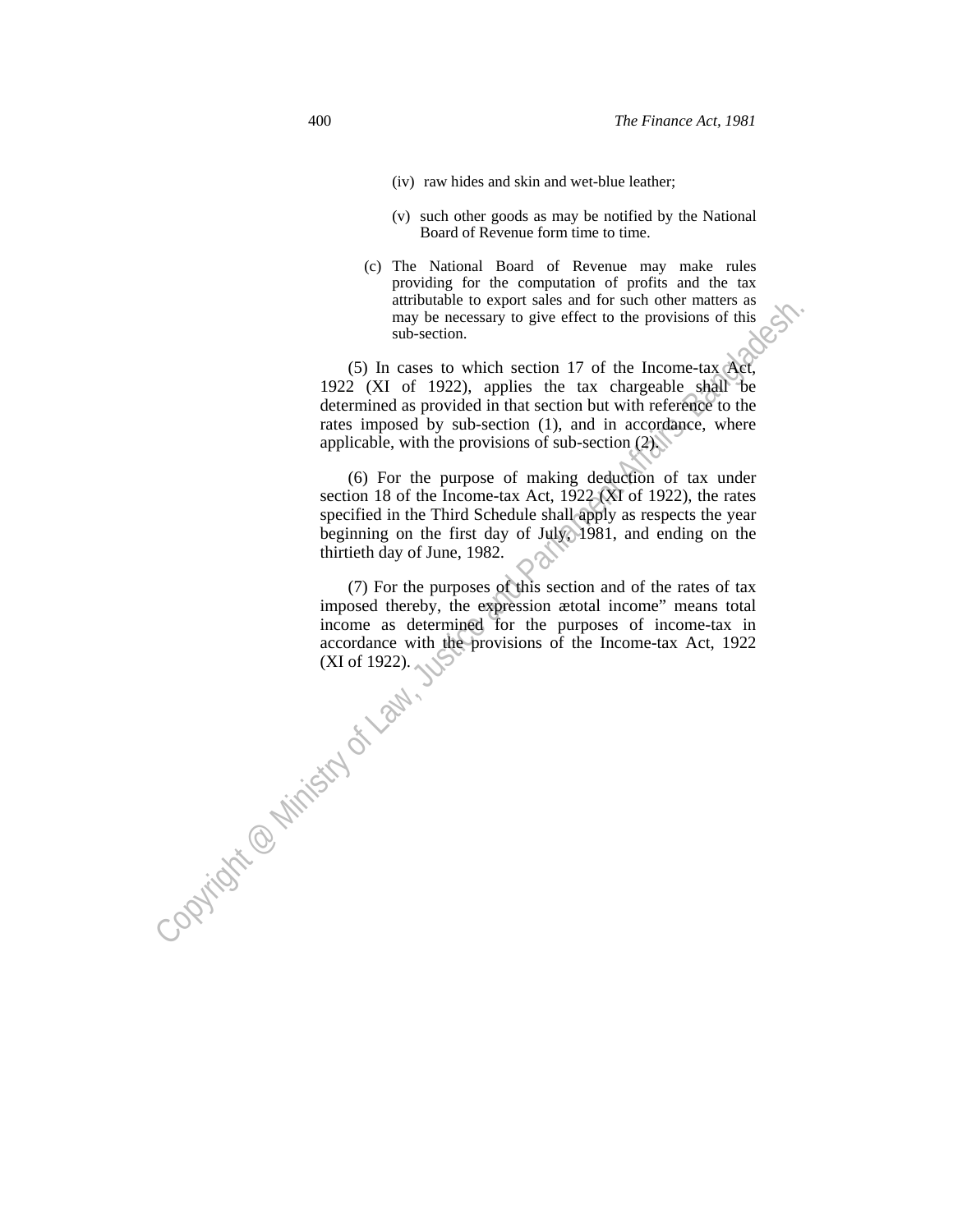- (iv) raw hides and skin and wet-blue leather;
- (v) such other goods as may be notified by the National Board of Revenue form time to time.
- (c) The National Board of Revenue may make rules providing for the computation of profits and the tax attributable to export sales and for such other matters as may be necessary to give effect to the provisions of this sub-section.

 (5) In cases to which section 17 of the Income-tax Act, 1922 (XI of 1922), applies the tax chargeable shall be determined as provided in that section but with reference to the rates imposed by sub-section (1), and in accordance, where applicable, with the provisions of sub-section  $(2)$ .

annouance to expend sures and to such one of neurral means and the provisions of this sub-section.<br>
Sub-section with extreme the track dependent of the Divisions of this  $\sqrt{8k}$ .<br>
(5) In cases to owhich section 17 of the (6) For the purpose of making deduction of tax under section 18 of the Income-tax Act, 1922 (XI of 1922), the rates specified in the Third Schedule shall apply as respects the year beginning on the first day of July, 1981, and ending on the thirtieth day of June, 1982.

 (7) For the purposes of this section and of the rates of tax imposed thereby, the expression ætotal income" means total income as determined for the purposes of income-tax in accordance with the provisions of the Income-tax Act, 1922 (XI of 1922). (XI of 1922).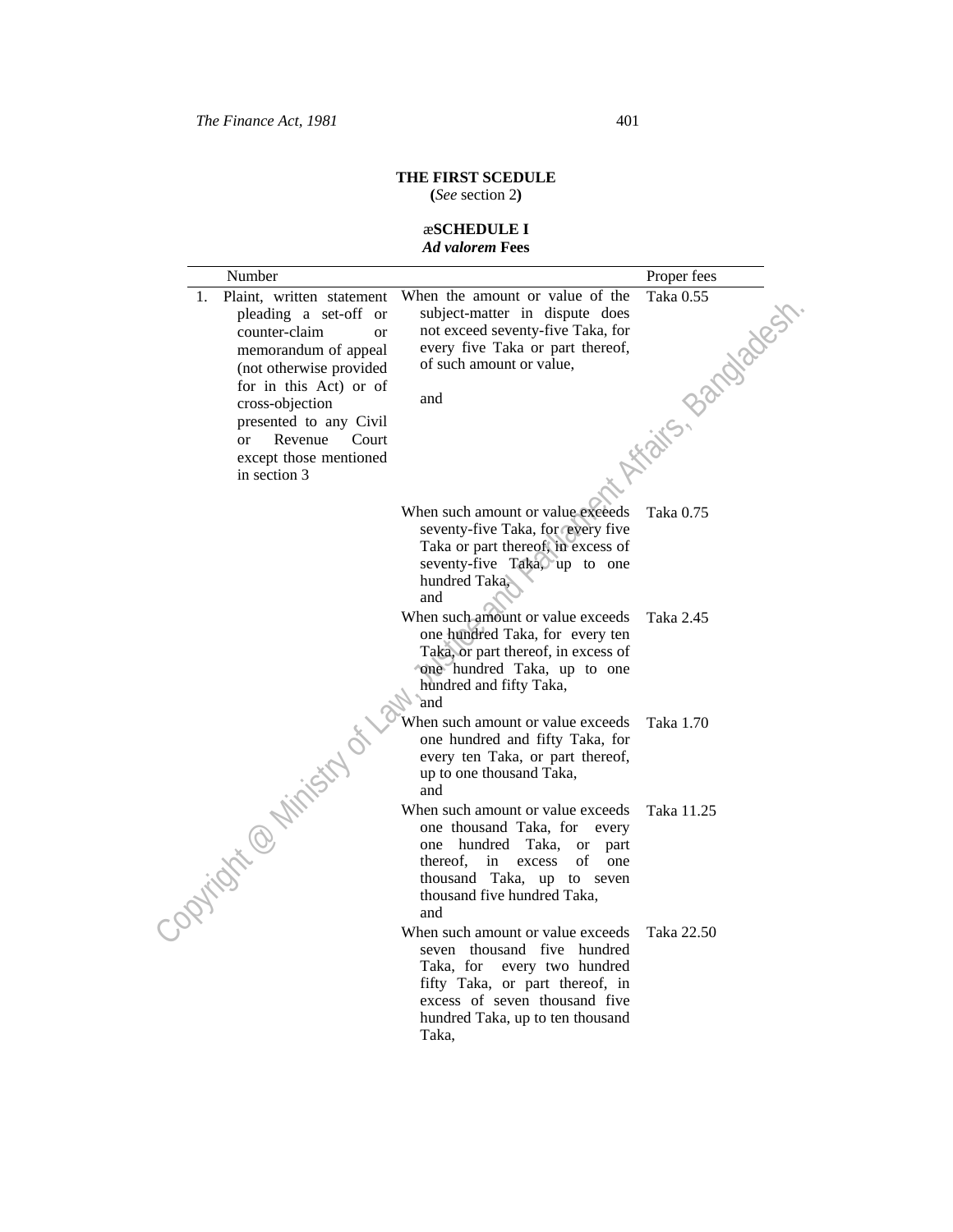# **THE FIRST SCEDULE**

**(***See* section 2**)**

# æ**SCHEDULE I**  *Ad valorem* **Fees**

| Number                                                                                                                                                                                                                                                                                          |                                                                                                                                                                                                                         | Proper fees           |
|-------------------------------------------------------------------------------------------------------------------------------------------------------------------------------------------------------------------------------------------------------------------------------------------------|-------------------------------------------------------------------------------------------------------------------------------------------------------------------------------------------------------------------------|-----------------------|
| Plaint, written statement<br>1.<br>pleading a set-off or<br>counter-claim<br><sub>or</sub><br>memorandum of appeal<br>(not otherwise provided<br>for in this Act) or of<br>cross-objection<br>presented to any Civil<br>Revenue<br>Court<br><b>or</b><br>except those mentioned<br>in section 3 | When the amount or value of the<br>subject-matter in dispute does<br>not exceed seventy-five Taka, for<br>every five Taka or part thereof,<br>of such amount or value,<br>and                                           | in Kirgins, Bandadesh |
|                                                                                                                                                                                                                                                                                                 | When such amount or value exceeds<br>seventy-five Taka, for every five<br>Taka or part thereof, in excess of<br>seventy-five Taka, up to one<br>hundred Taka.<br>and                                                    | Taka 0.75             |
|                                                                                                                                                                                                                                                                                                 | When such amount or value exceeds<br>one hundred Taka, for every ten<br>Taka, or part thereof, in excess of<br>one hundred Taka, up to one<br>hundred and fifty Taka,<br>and                                            | Taka 2.45             |
|                                                                                                                                                                                                                                                                                                 | When such amount or value exceeds<br>one hundred and fifty Taka, for<br>every ten Taka, or part thereof,<br>up to one thousand Taka,<br>and                                                                             | Taka 1.70             |
| Copyright @ Ministry of                                                                                                                                                                                                                                                                         | When such amount or value exceeds<br>one thousand Taka, for<br>every<br>hundred Taka,<br>one<br>or<br>part<br>thereof.<br>in<br>of<br>excess<br>one<br>thousand Taka, up to seven<br>thousand five hundred Taka,<br>and | Taka 11.25            |
|                                                                                                                                                                                                                                                                                                 | When such amount or value exceeds<br>seven thousand five hundred<br>Taka, for<br>every two hundred<br>fifty Taka, or part thereof, in<br>excess of seven thousand five<br>hundred Taka, up to ten thousand<br>Taka,     | Taka 22.50            |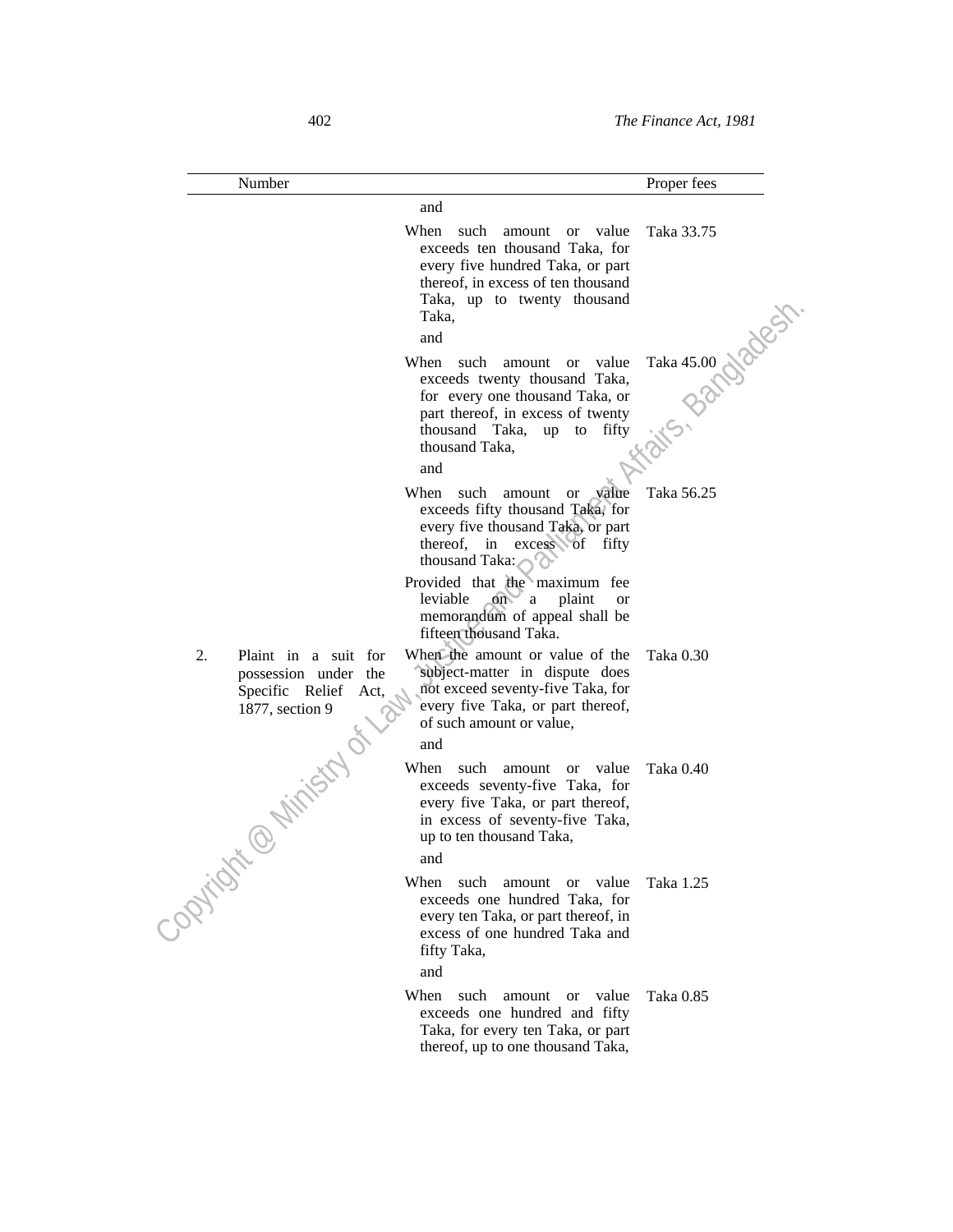| Number                                                                                           |                                                                                                                                                                                                         | Proper fees      |
|--------------------------------------------------------------------------------------------------|---------------------------------------------------------------------------------------------------------------------------------------------------------------------------------------------------------|------------------|
|                                                                                                  | and                                                                                                                                                                                                     |                  |
|                                                                                                  | When<br>such<br>value<br>amount<br><b>or</b><br>exceeds ten thousand Taka, for<br>every five hundred Taka, or part<br>thereof, in excess of ten thousand<br>Taka, up to twenty thousand<br>Taka,<br>and | Taka 33.75       |
|                                                                                                  | When<br>such<br>value<br>amount<br><b>or</b>                                                                                                                                                            |                  |
|                                                                                                  | exceeds twenty thousand Taka,<br>for every one thousand Taka, or<br>part thereof, in excess of twenty<br>thousand Taka,<br>fifty<br>up to                                                               | Taka 45.00 Notes |
|                                                                                                  | thousand Taka,<br>and                                                                                                                                                                                   |                  |
|                                                                                                  | When<br>such<br>value<br>amount<br><b>or</b><br>exceeds fifty thousand Taka, for<br>every five thousand Taka, or part<br>thereof, in excess of fifty<br>thousand Taka:                                  | Taka 56.25       |
|                                                                                                  | Provided that the maximum fee<br>leviable<br>on<br>' a<br>plaint<br><sub>or</sub><br>memorandum of appeal shall be<br>fifteen thousand Taka.                                                            |                  |
| 2.<br>Plaint in a suit for<br>possession under the<br>Specific Relief<br>Act,<br>1877, section 9 | When the amount or value of the<br>subject-matter in dispute does<br>not exceed seventy-five Taka, for<br>every five Taka, or part thereof,<br>of such amount or value,<br>and                          | Taka 0.30        |
| <b>Minister</b><br>♦                                                                             | When<br>such<br>value<br>amount<br><b>or</b><br>exceeds seventy-five Taka, for<br>every five Taka, or part thereof,<br>in excess of seventy-five Taka,<br>up to ten thousand Taka,<br>and               | Taka 0.40        |
| Copyright                                                                                        | When<br>such<br>amount or value<br>exceeds one hundred Taka, for<br>every ten Taka, or part thereof, in<br>excess of one hundred Taka and<br>fifty Taka,<br>and                                         | Taka 1.25        |
|                                                                                                  | When<br>such<br>value<br>amount<br><sub>or</sub><br>exceeds one hundred and fifty<br>Taka, for every ten Taka, or part<br>thereof, up to one thousand Taka,                                             | Taka 0.85        |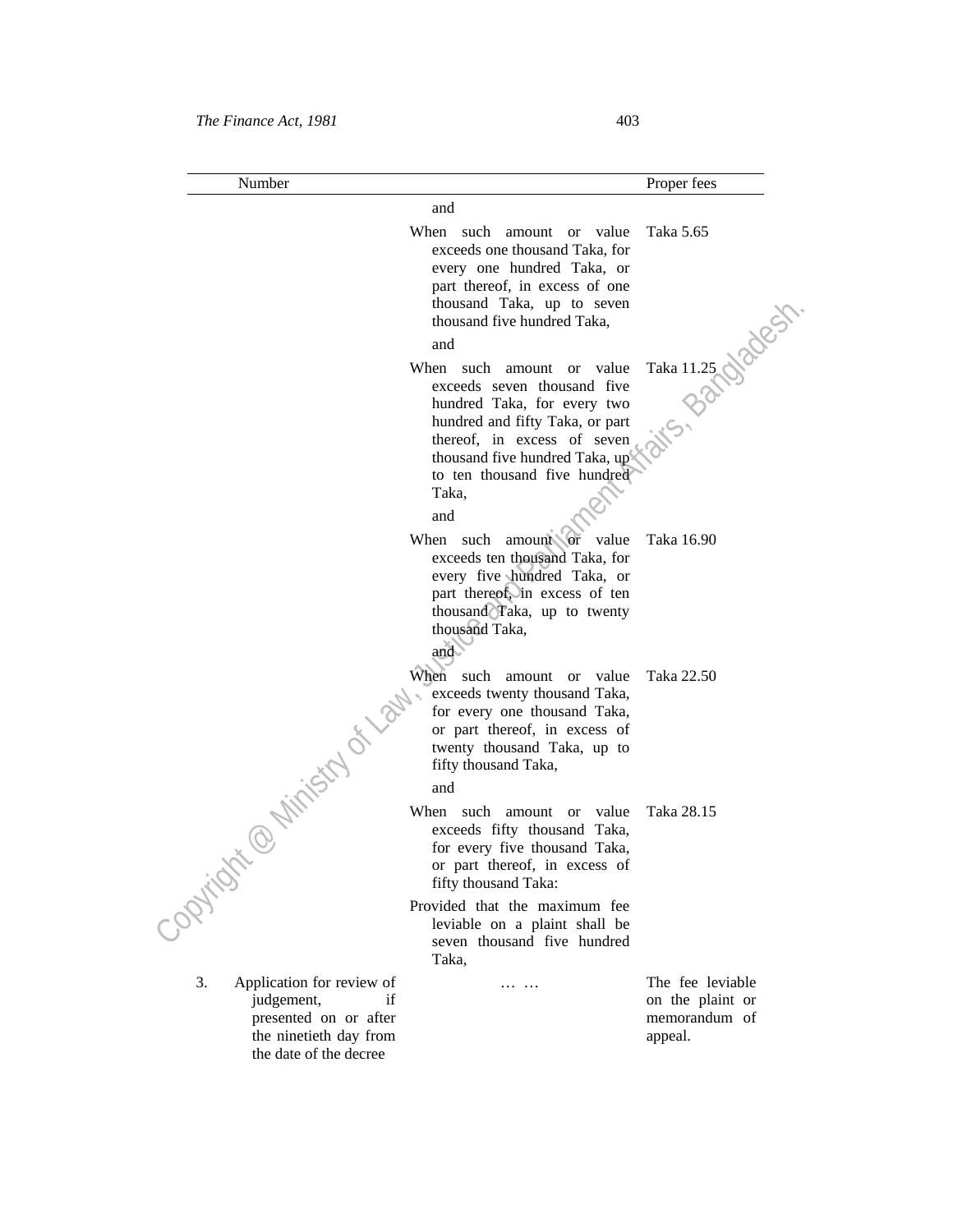| I<br>I<br>×<br>٠<br>×<br>۰, |  |  |
|-----------------------------|--|--|
|-----------------------------|--|--|

| Number                                                                                                                     |                                                                                                                                                                                                                                      | Proper fees                                                      |
|----------------------------------------------------------------------------------------------------------------------------|--------------------------------------------------------------------------------------------------------------------------------------------------------------------------------------------------------------------------------------|------------------------------------------------------------------|
|                                                                                                                            | and                                                                                                                                                                                                                                  |                                                                  |
|                                                                                                                            | When such amount or value<br>exceeds one thousand Taka, for<br>every one hundred Taka, or<br>part thereof, in excess of one<br>thousand Taka, up to seven<br>thousand five hundred Taka,                                             | Taka 5.65                                                        |
|                                                                                                                            | and                                                                                                                                                                                                                                  |                                                                  |
|                                                                                                                            | When such amount or value<br>exceeds seven thousand five<br>hundred Taka, for every two<br>hundred and fifty Taka, or part<br>thereof, in excess of seven<br>thousand five hundred Taka, up<br>to ten thousand five hundred<br>Taka, | Taka 11.25 Notes                                                 |
|                                                                                                                            | and                                                                                                                                                                                                                                  |                                                                  |
|                                                                                                                            | When such amount or value<br>exceeds ten thousand Taka, for<br>every five hundred Taka, or<br>part thereof, in excess of ten<br>thousand Taka, up to twenty<br>thousand Taka,<br>and                                                 | Taka 16.90                                                       |
| <b>With Cardinal City</b>                                                                                                  | When such amount or value<br>exceeds twenty thousand Taka,<br>for every one thousand Taka,<br>or part thereof, in excess of<br>twenty thousand Taka, up to<br>fifty thousand Taka,<br>and                                            | Taka 22.50                                                       |
|                                                                                                                            | When such amount or value<br>exceeds fifty thousand Taka,<br>for every five thousand Taka,<br>or part thereof, in excess of<br>fifty thousand Taka:                                                                                  | Taka 28.15                                                       |
| PRIVER                                                                                                                     | Provided that the maximum fee<br>leviable on a plaint shall be<br>seven thousand five hundred<br>Taka,                                                                                                                               |                                                                  |
| 3.<br>Application for review of<br>judgement,<br>presented on or after<br>the ninetieth day from<br>the date of the decree | .<br>if                                                                                                                                                                                                                              | The fee leviable<br>on the plaint or<br>memorandum of<br>appeal. |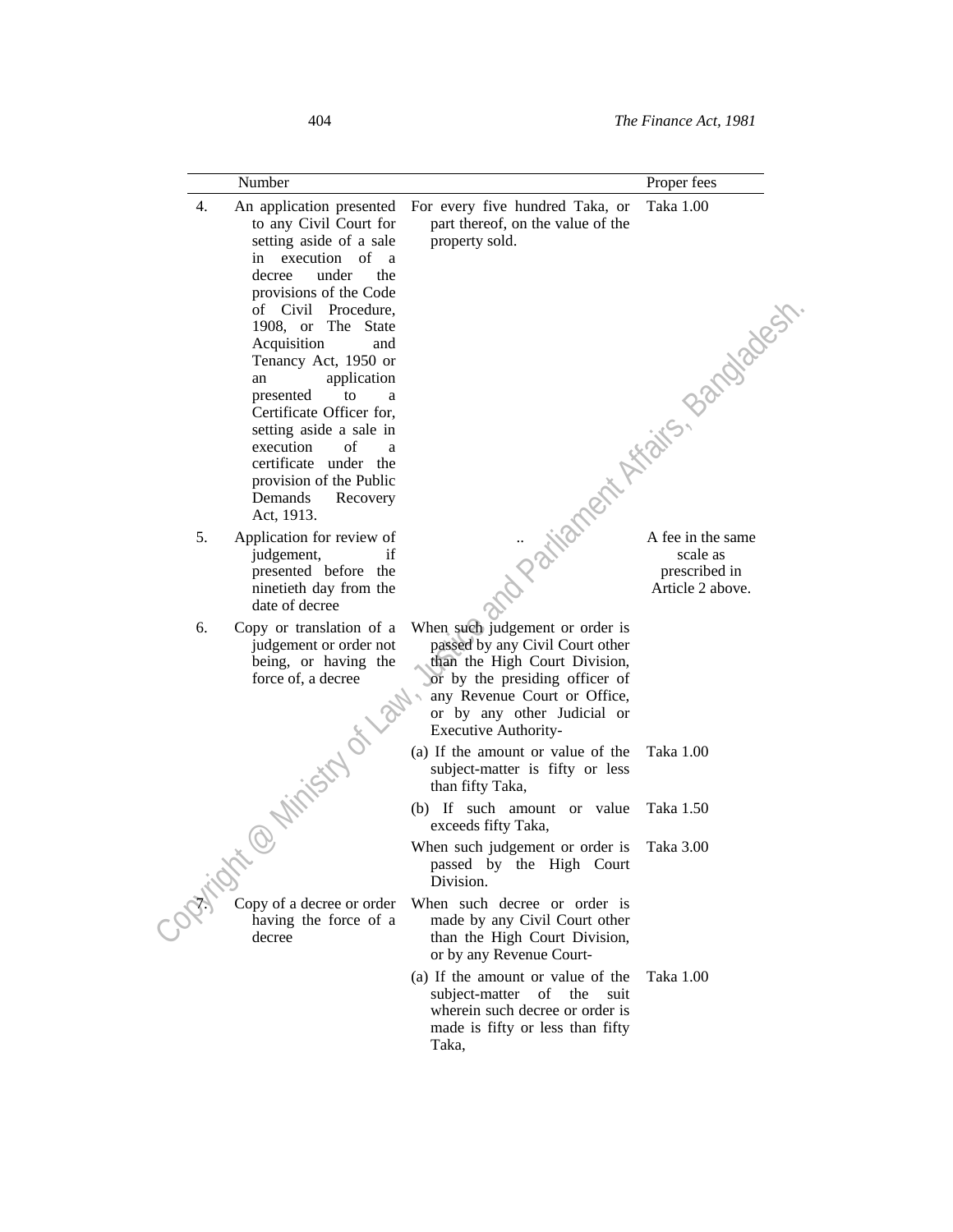|    | Number                                                                                                                                                                                                                                                                                                                                                                                                                                                                 |                                                                                                                                                                                                                                     | Proper fees |
|----|------------------------------------------------------------------------------------------------------------------------------------------------------------------------------------------------------------------------------------------------------------------------------------------------------------------------------------------------------------------------------------------------------------------------------------------------------------------------|-------------------------------------------------------------------------------------------------------------------------------------------------------------------------------------------------------------------------------------|-------------|
| 4. | An application presented<br>to any Civil Court for<br>setting aside of a sale<br>in execution of a<br>decree<br>under<br>the<br>provisions of the Code<br>of Civil Procedure,<br>1908, or The State<br>Acquisition<br>and<br>Tenancy Act, 1950 or<br>application<br>an<br>presented<br>to<br>a<br>Certificate Officer for,<br>setting aside a sale in<br>execution<br>of<br>a<br>certificate under the<br>provision of the Public<br>Demands<br>Recovery<br>Act, 1913. | For every five hundred Taka, or<br>part thereof, on the value of the<br>property sold.<br>ma Parizanent Afraits, Bandadesh                                                                                                          | Taka 1.00   |
| 5. | Application for review of<br>judgement,<br>if<br>presented before the<br>ninetieth day from the<br>date of decree                                                                                                                                                                                                                                                                                                                                                      |                                                                                                                                                                                                                                     |             |
| 6. | Copy or translation of a<br>judgement or order not<br>being, or having the<br>force of, a decree<br>15-Ce-Ministry of La                                                                                                                                                                                                                                                                                                                                               | When such judgement or order is<br>passed by any Civil Court other<br>than the High Court Division,<br>or by the presiding officer of<br>any Revenue Court or Office,<br>or by any other Judicial or<br><b>Executive Authority-</b> |             |
|    |                                                                                                                                                                                                                                                                                                                                                                                                                                                                        | (a) If the amount or value of the<br>subject-matter is fifty or less<br>than fifty Taka,                                                                                                                                            | Taka 1.00   |
|    |                                                                                                                                                                                                                                                                                                                                                                                                                                                                        | (b) If such amount or value<br>exceeds fifty Taka,                                                                                                                                                                                  | Taka 1.50   |
|    |                                                                                                                                                                                                                                                                                                                                                                                                                                                                        | When such judgement or order is<br>passed by the High Court<br>Division.                                                                                                                                                            | Taka 3.00   |
|    | Copy of a decree or order<br>having the force of a<br>decree                                                                                                                                                                                                                                                                                                                                                                                                           | When such decree or order is<br>made by any Civil Court other<br>than the High Court Division,<br>or by any Revenue Court-                                                                                                          |             |
|    |                                                                                                                                                                                                                                                                                                                                                                                                                                                                        | (a) If the amount or value of the<br>subject-matter of the<br>suit<br>wherein such decree or order is<br>made is fifty or less than fifty<br>Taka,                                                                                  | Taka 1.00   |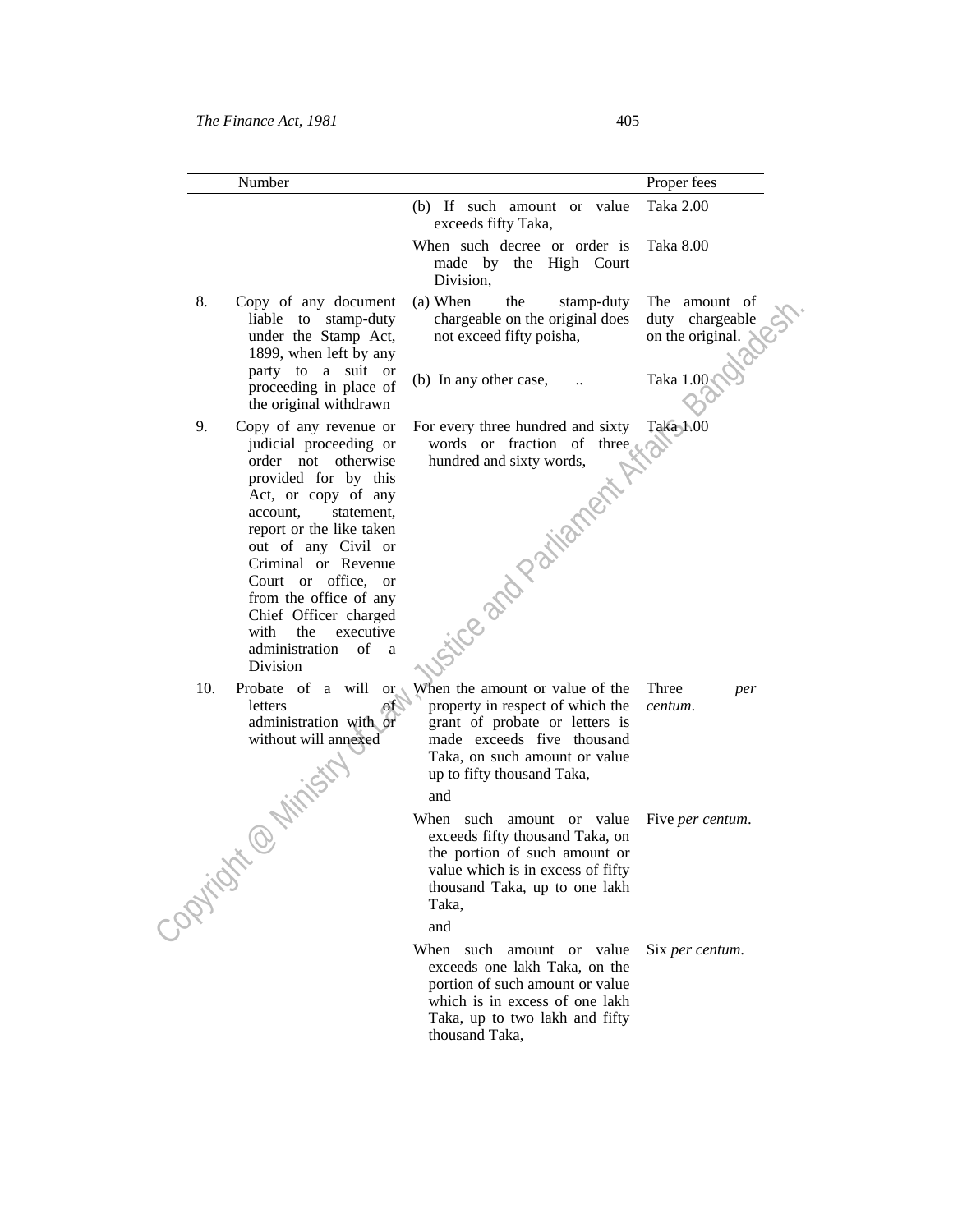|           | Number                                                                                                                                                                                                                                                                                                                                                                 |                                                                                                                                                                                                           | Proper fees                                          |
|-----------|------------------------------------------------------------------------------------------------------------------------------------------------------------------------------------------------------------------------------------------------------------------------------------------------------------------------------------------------------------------------|-----------------------------------------------------------------------------------------------------------------------------------------------------------------------------------------------------------|------------------------------------------------------|
|           |                                                                                                                                                                                                                                                                                                                                                                        | (b) If such amount or value<br>exceeds fifty Taka,                                                                                                                                                        | Taka 2.00                                            |
|           |                                                                                                                                                                                                                                                                                                                                                                        | When such decree or order is<br>made by the High Court<br>Division,                                                                                                                                       | Taka 8.00                                            |
| 8.        | Copy of any document<br>liable to stamp-duty<br>under the Stamp Act,<br>1899, when left by any                                                                                                                                                                                                                                                                         | (a) When<br>the<br>stamp-duty<br>chargeable on the original does<br>not exceed fifty poisha,                                                                                                              | The amount of<br>duty chargeable<br>on the original. |
|           | party to a suit or<br>proceeding in place of<br>the original withdrawn                                                                                                                                                                                                                                                                                                 | (b) In any other case,                                                                                                                                                                                    | Taka 1.00                                            |
| 9.        | Copy of any revenue or<br>judicial proceeding or<br>order not otherwise<br>provided for by this<br>Act, or copy of any<br>account.<br>statement,<br>report or the like taken<br>out of any Civil or<br>Criminal or Revenue<br>Court or office, or<br>from the office of any<br>Chief Officer charged<br>with the<br>executive<br>administration<br>of<br>a<br>Division | For every three hundred and sixty<br>words or fraction of three $\circ$<br>hundred and sixty words,<br>itice and Partianent                                                                               | Taka 1.00                                            |
| 10.       | Probate of a will or<br>letters<br>$\mathcal{A}$<br>administration with or<br>without will annexed<br>@ Ninistry                                                                                                                                                                                                                                                       | When the amount or value of the<br>property in respect of which the<br>grant of probate or letters is<br>made exceeds five thousand<br>Taka, on such amount or value<br>up to fifty thousand Taka,<br>and | Three<br>per<br>centum.                              |
| Copyright | $\propto$                                                                                                                                                                                                                                                                                                                                                              | When such amount or value<br>exceeds fifty thousand Taka, on<br>the portion of such amount or<br>value which is in excess of fifty<br>thousand Taka, up to one lakh<br>Taka,                              | Five <i>per centum</i> .                             |
|           |                                                                                                                                                                                                                                                                                                                                                                        | and<br>When such amount or value<br>exceeds one lakh Taka, on the<br>portion of such amount or value<br>which is in excess of one lakh<br>Taka, up to two lakh and fifty<br>thousand Taka,                | Six per centum.                                      |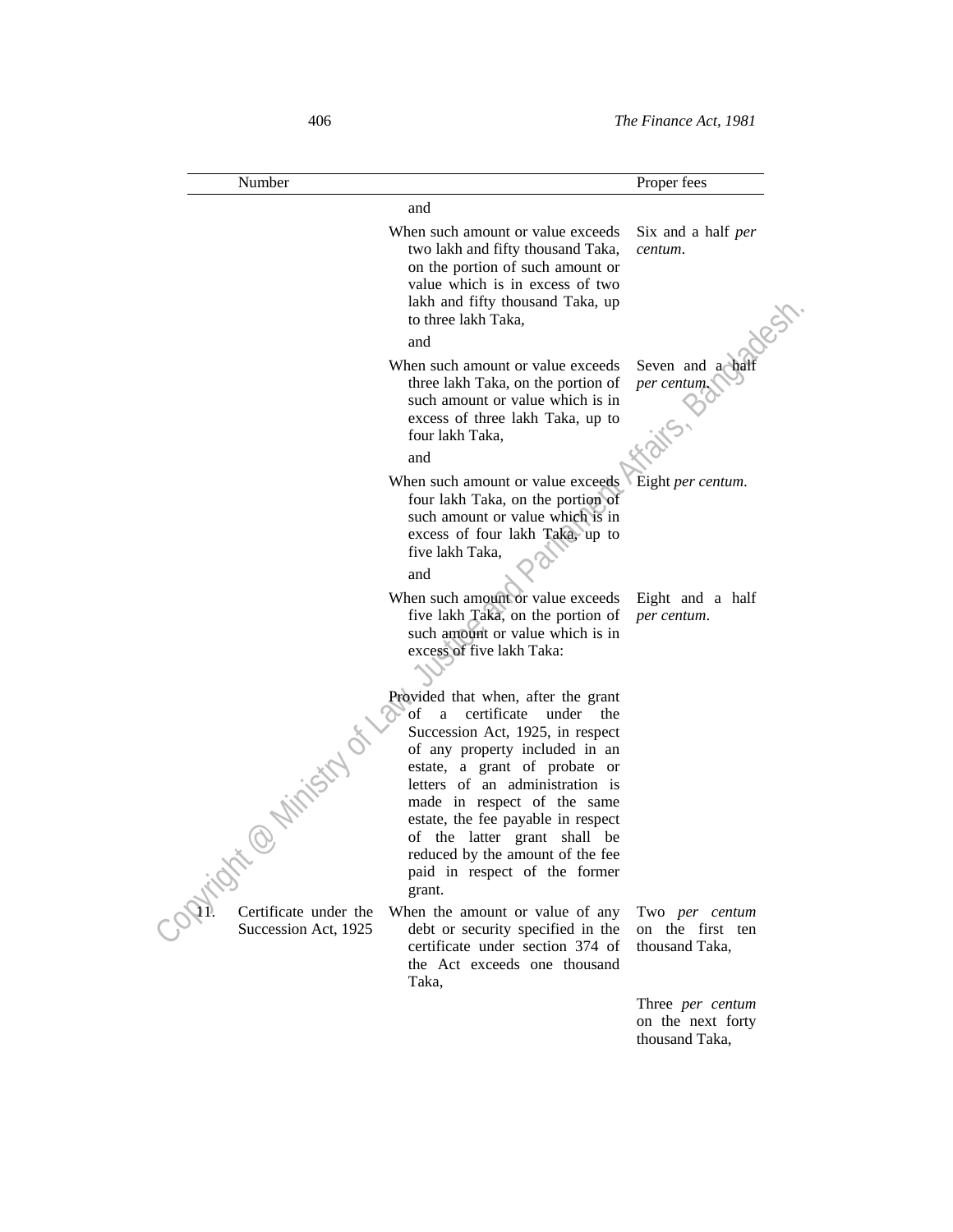| Number                                        |                                                                                                                                                                                                                                                                                                                                                                                                          | Proper fees                                             |
|-----------------------------------------------|----------------------------------------------------------------------------------------------------------------------------------------------------------------------------------------------------------------------------------------------------------------------------------------------------------------------------------------------------------------------------------------------------------|---------------------------------------------------------|
|                                               | and                                                                                                                                                                                                                                                                                                                                                                                                      |                                                         |
|                                               | When such amount or value exceeds<br>two lakh and fifty thousand Taka,<br>on the portion of such amount or<br>value which is in excess of two<br>lakh and fifty thousand Taka, up<br>to three lakh Taka,                                                                                                                                                                                                 | Six and a half <i>per</i><br>centum.                    |
|                                               | and                                                                                                                                                                                                                                                                                                                                                                                                      |                                                         |
|                                               | When such amount or value exceeds<br>three lakh Taka, on the portion of<br>such amount or value which is in<br>excess of three lakh Taka, up to<br>four lakh Taka,<br>and                                                                                                                                                                                                                                | Seven and a half<br>per centum.                         |
|                                               | When such amount or value exceeds                                                                                                                                                                                                                                                                                                                                                                        | Eight per centum.                                       |
|                                               | four lakh Taka, on the portion of<br>such amount or value which is in<br>excess of four lakh Taka, up to<br>five lakh Taka,<br>and                                                                                                                                                                                                                                                                       |                                                         |
|                                               | When such amount or value exceeds<br>five lakh Taka, on the portion of<br>such amount or value which is in<br>excess of five lakh Taka:                                                                                                                                                                                                                                                                  | Eight and a half<br>per centum.                         |
| t @ Niristry                                  | Provided that when, after the grant<br>οf<br>certificate<br>under the<br>a<br>Succession Act, 1925, in respect<br>of any property included in an<br>estate, a grant of probate or<br>letters of an administration is<br>made in respect of the same<br>estate, the fee payable in respect<br>of the latter grant shall be<br>reduced by the amount of the fee<br>paid in respect of the former<br>grant. |                                                         |
| Certificate under the<br>Succession Act, 1925 | When the amount or value of any<br>debt or security specified in the<br>certificate under section 374 of<br>the Act exceeds one thousand<br>Taka,                                                                                                                                                                                                                                                        | Two per centum<br>on the first ten<br>thousand Taka,    |
|                                               |                                                                                                                                                                                                                                                                                                                                                                                                          | Three per centum<br>on the next forty<br>thousand Taka, |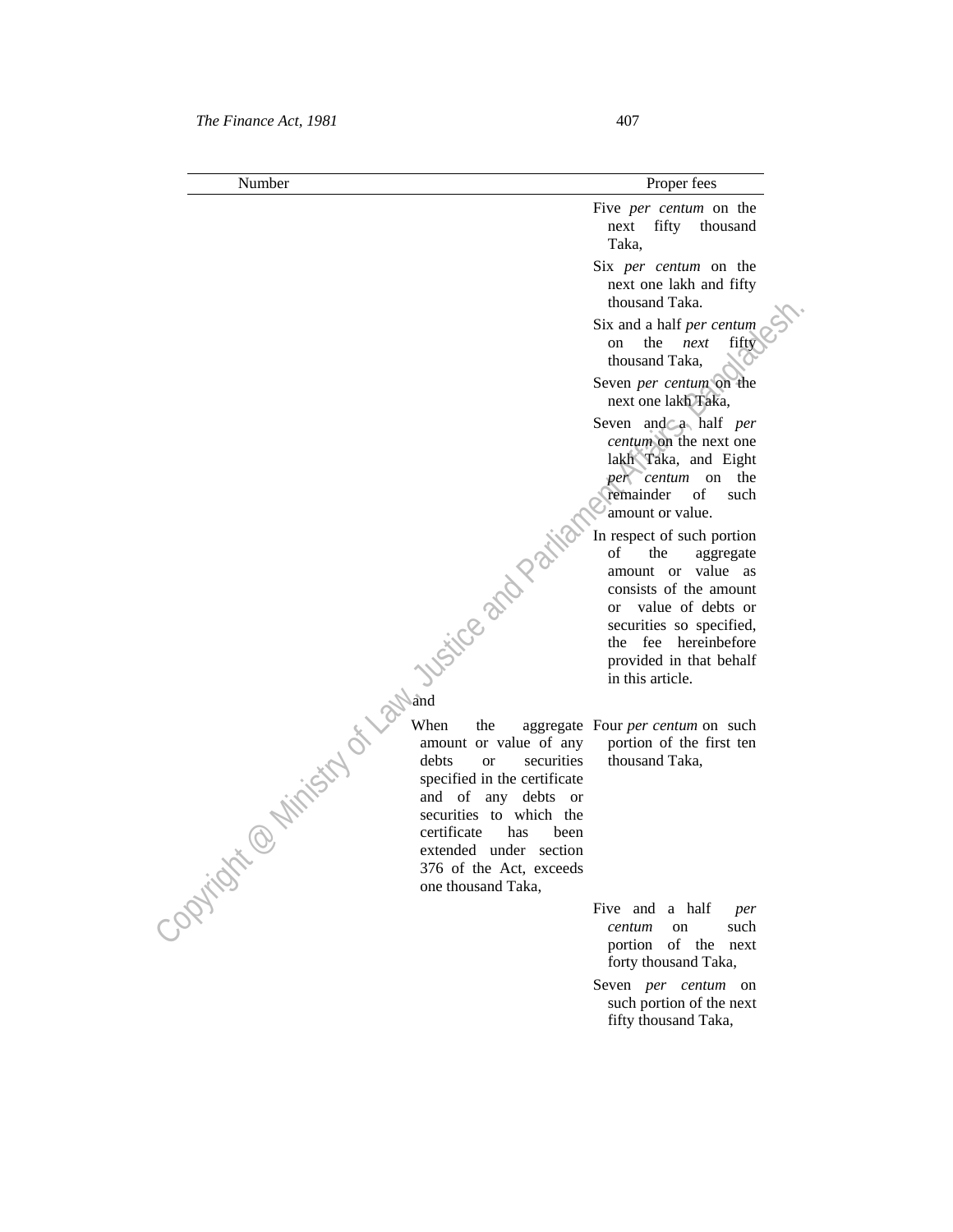# *The Finance Act, 1981* 407

| Number | Proper fees |
|--------|-------------|
|--------|-------------|

- Five *per centum* on the next fifty thousand Taka,
- Six *per centum* on the next one lakh and fifty thousand Taka.
- Six and a half *per centum* on the *next* fifty thousand Taka,
- Seven *per centum* on the next one lakh Taka,
- Seven and a half *per centum* on the next one lakh Taka, and Eight *per centum* on the remainder of such amount or value.

In respect of such portion<br>of the aggregate<br>amount or value are<br>onsists of the<br>or value<br>service of the aggregate amount or value as consists of the amount or value of debts or securities so specified, the fee hereinbefore provided in that behalf in this article.

> aggregate Four *per centum* on such portion of the first ten thousand Taka,

Five and a half *per* **Fixe** and a half *per centum* on such portion of the next forty thousand Taka,

> Seven *per centum* on such portion of the next fifty thousand Taka,

# **and and and**

thousand Take,<br>
The main of the next fifty<br>
Six and a half *per centum*<br>
on the next one biling<br>
that, Seven and Eak,<br>
Seven and Eak, Assemble that  $\theta$  is the modular<br>
that are continuous in the lead one<br>
lake the perform  $\sim$  When the aggregate amount or value of any debts or securities specified in the certificate and of any debts or securities to which the certificate has been extended under section 376 of the Act, exceeds one thousand Taka,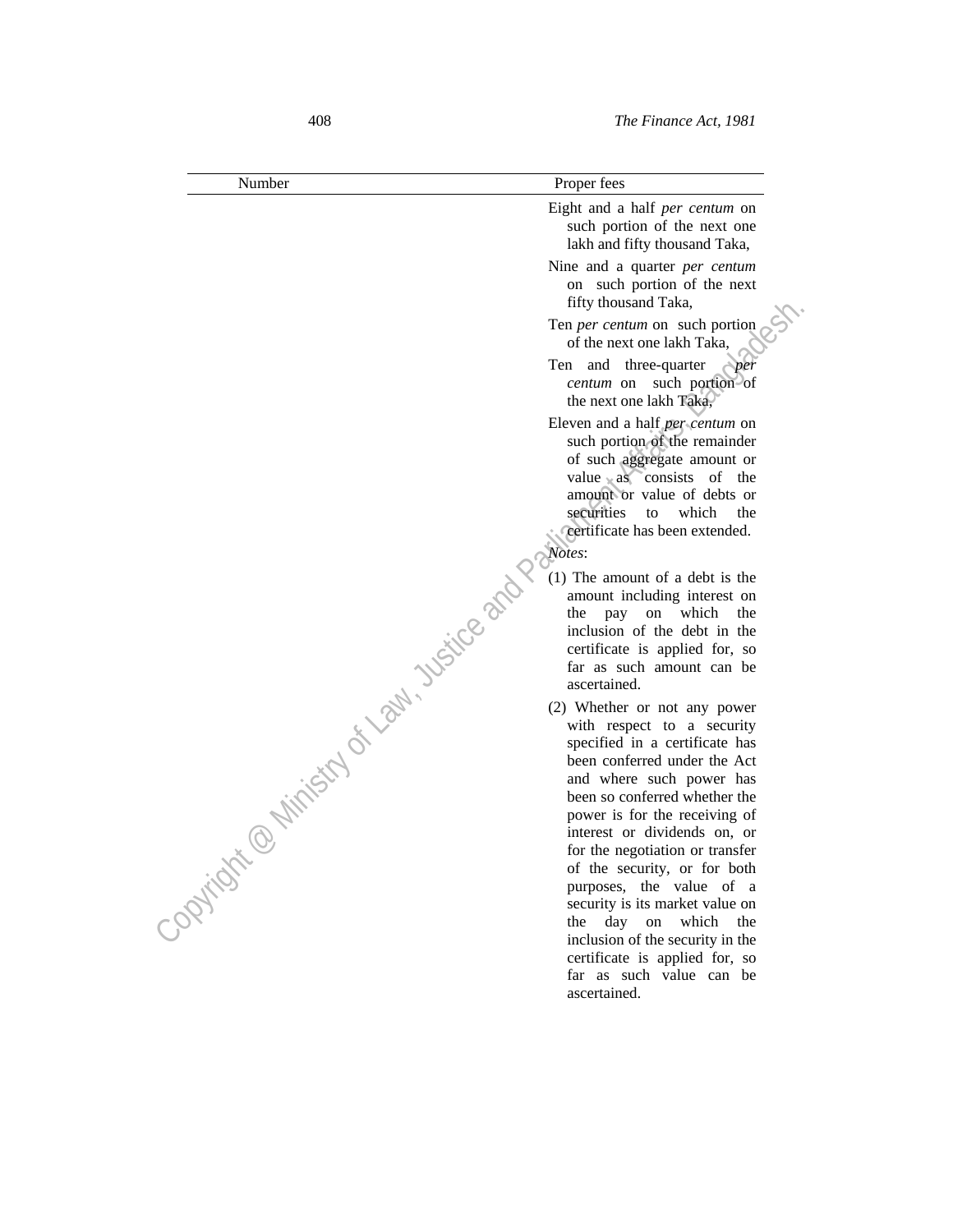| Number                       | Proper fees                                                                                                                                                                                                                                       |
|------------------------------|---------------------------------------------------------------------------------------------------------------------------------------------------------------------------------------------------------------------------------------------------|
|                              | Eight and a half <i>per centum</i> on<br>such portion of the next one<br>lakh and fifty thousand Taka,                                                                                                                                            |
|                              | Nine and a quarter <i>per centum</i><br>on such portion of the next<br>fifty thousand Taka,                                                                                                                                                       |
|                              | Ten per centum on such portion<br>of the next one lakh Taka,                                                                                                                                                                                      |
|                              | Ten and three-quarter<br>per<br>such portion of<br>centum on<br>the next one lakh Taka,                                                                                                                                                           |
|                              | Eleven and a half <i>per</i> centum on<br>such portion of the remainder<br>of such aggregate amount or<br>value as consists of the<br>amount or value of debts or<br>securities<br>which<br>the<br>to<br>certificate has been extended.<br>Notes: |
|                              | (1) The amount of a debt is the<br>amount including interest on<br>which<br>the<br>the<br>pay<br>on<br>inclusion of the debt in the<br>certificate is applied for, so<br>far as such amount can be<br>ascertained.                                |
| @ Ninistry of Law, Usitce an | (2) Whether or not any power<br>with respect to a security<br>specified in a certificate has<br>been conferred under the Act<br>and where such power has<br>been so conferred whether the<br>power is for the receiving of                        |
| Cooling is                   | interest or dividends on, or<br>for the negotiation or transfer<br>of the security, or for both<br>purposes, the value of a<br>security is its market value on<br>day on<br>which<br>the<br>the                                                   |
|                              | inclusion of the security in the<br>certificate is applied for, so<br>far as such value can be<br>ascertained.                                                                                                                                    |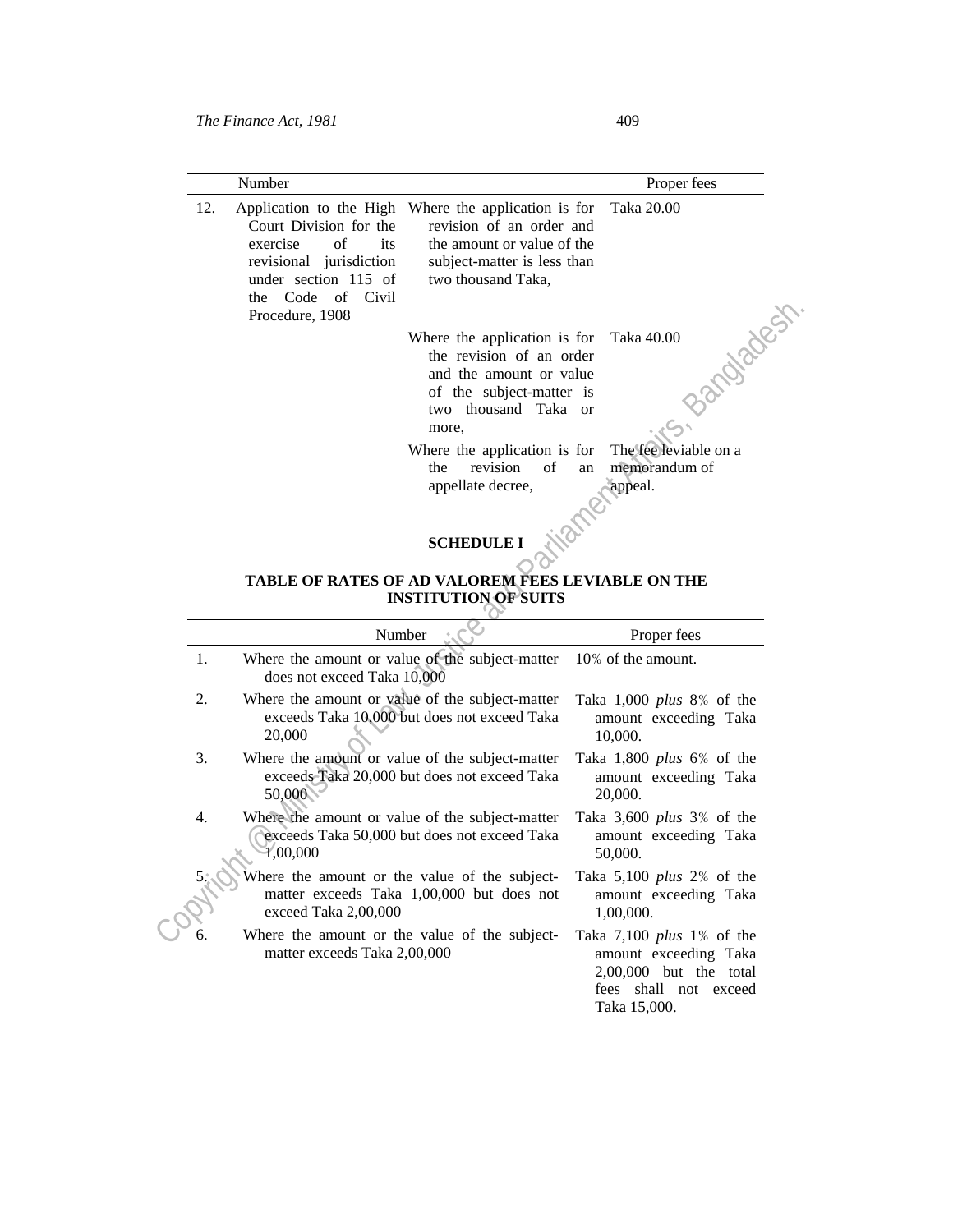| Number                                                                                                                                         |                                                                                                                                                                                                                                                         | Proper fees                                       |
|------------------------------------------------------------------------------------------------------------------------------------------------|---------------------------------------------------------------------------------------------------------------------------------------------------------------------------------------------------------------------------------------------------------|---------------------------------------------------|
| 12.<br>Court Division for the<br>exercise of<br>its<br>revisional jurisdiction<br>under section 115 of<br>the Code of Civil<br>Procedure, 1908 | Application to the High Where the application is for Taka 20.00<br>revision of an order and<br>the amount or value of the<br>subject-matter is less than<br>two thousand Taka,                                                                          |                                                   |
|                                                                                                                                                | Where the application is for Taka 40.00<br>the revision of an order<br>and the amount or value<br>of the subject-matter is<br>two thousand Taka or<br>more,<br>Where the application is for<br>$\circ$ of<br>revision<br>the<br>an<br>appellate decree, | The fee leviable on a<br>memorandum of<br>appeal. |

# **SCHEDULE I** NOT

#### **TABLE OF RATES OF AD VALOREM FEES LEVIABLE ON THE INSTITUTION OF SUITS**

|                  | un cuuc ui<br><b>UIVII</b><br>Procedure, 1908                                                                                                    |                                                                                                              |
|------------------|--------------------------------------------------------------------------------------------------------------------------------------------------|--------------------------------------------------------------------------------------------------------------|
|                  | Where the application is for<br>the revision of an order<br>and the amount or value<br>of the subject-matter is<br>two thousand Taka or<br>more, | Bandhagest<br>Taka 40.00                                                                                     |
|                  | Where the application is for                                                                                                                     | The fee leviable on a                                                                                        |
|                  | revision<br>the<br>of<br>appellate decree,                                                                                                       | memorandum of<br>an<br>appeal.                                                                               |
|                  | <b>SCHEDULE I</b><br>TABLE OF RATES OF AD VALOREM FEES LEVIABLE ON THE<br><b>INSTITUTION OF SUITS</b>                                            |                                                                                                              |
|                  | Number                                                                                                                                           | Proper fees                                                                                                  |
| 1.               | Where the amount or value of the subject-matter<br>does not exceed Taka 10,000                                                                   | 10% of the amount.                                                                                           |
| 2.               | Where the amount or value of the subject-matter<br>exceeds Taka 10,000 but does not exceed Taka<br>20,000                                        | Taka $1,000$ plus 8% of the<br>amount exceeding Taka<br>10,000.                                              |
| 3.               | Where the amount or value of the subject-matter<br>exceeds Taka 20,000 but does not exceed Taka<br>50,000                                        | Taka $1,800$ plus 6% of the<br>amount exceeding Taka<br>20,000.                                              |
| $\overline{4}$ . | Where the amount or value of the subject-matter<br>exceeds Taka 50,000 but does not exceed Taka<br>1,00,000                                      | Taka 3,600 plus 3% of the<br>amount exceeding Taka<br>50,000.                                                |
|                  | Where the amount or the value of the subject-<br>matter exceeds Taka 1,00,000 but does not<br>exceed Taka 2,00,000                               | Taka $5,100$ plus 2% of the<br>amount exceeding Taka<br>1,00,000.                                            |
| б.               | Where the amount or the value of the subject-<br>matter exceeds Taka 2,00,000                                                                    | Taka 7,100 <i>plus</i> 1% of the<br>amount exceeding Taka<br>2,00,000 but the total<br>fees shall not exceed |

Taka 15,000.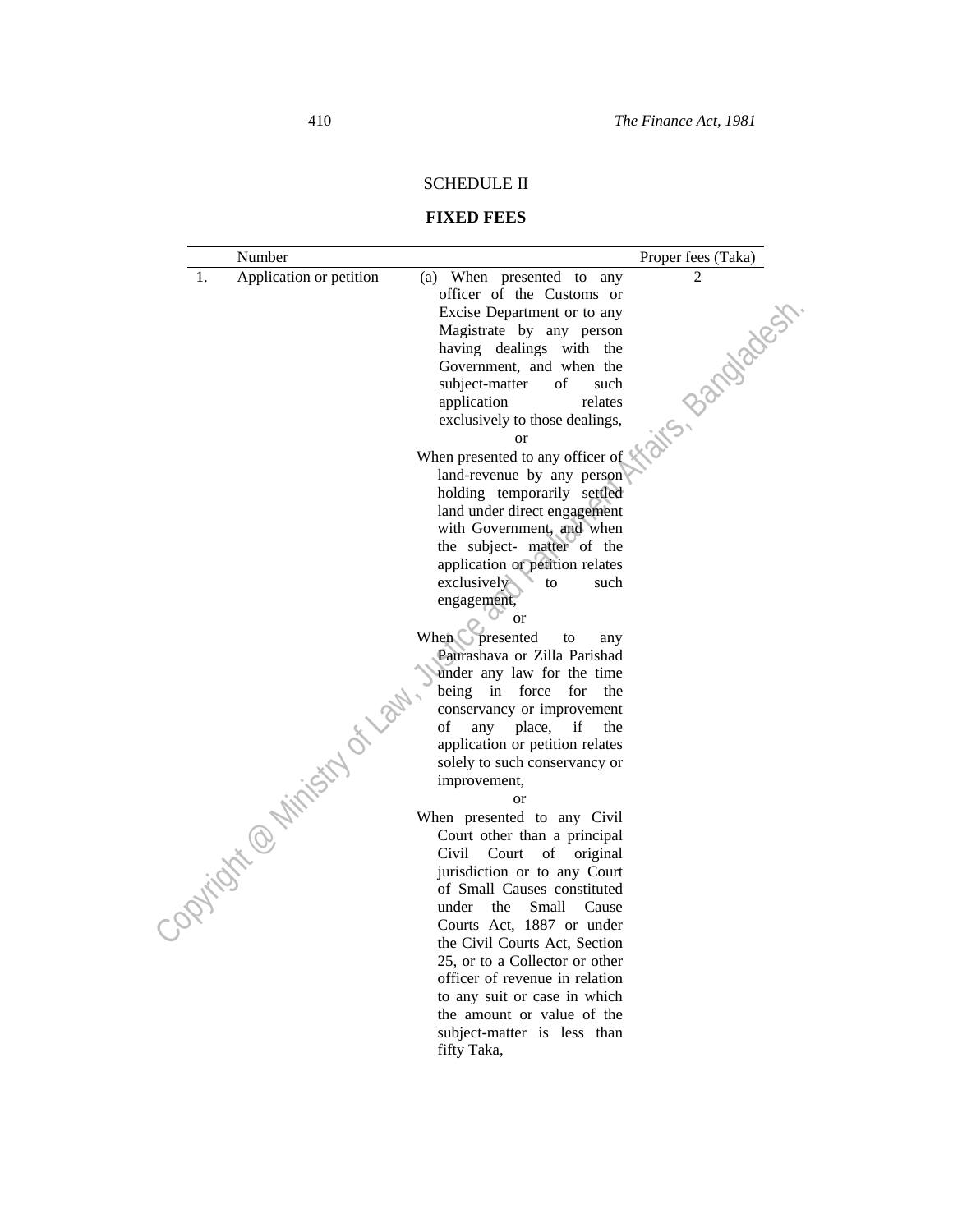# SCHEDULE II

# **FIXED FEES**

| Number                        |                                                                                                                                                                                                                                | Proper fees (Taka) |
|-------------------------------|--------------------------------------------------------------------------------------------------------------------------------------------------------------------------------------------------------------------------------|--------------------|
| 1.<br>Application or petition | (a) When presented to any                                                                                                                                                                                                      | $\mathfrak{D}$     |
|                               | officer of the Customs or                                                                                                                                                                                                      |                    |
|                               |                                                                                                                                                                                                                                |                    |
|                               |                                                                                                                                                                                                                                |                    |
|                               |                                                                                                                                                                                                                                |                    |
|                               |                                                                                                                                                                                                                                |                    |
|                               |                                                                                                                                                                                                                                |                    |
|                               |                                                                                                                                                                                                                                |                    |
|                               |                                                                                                                                                                                                                                |                    |
|                               | or and the such that the set of the such that the set of the set of the set of the land-revenue by any person and under direct entry with Governight the set of the set of the set of the set of the set of the set of the set |                    |
|                               |                                                                                                                                                                                                                                |                    |
|                               |                                                                                                                                                                                                                                |                    |
|                               |                                                                                                                                                                                                                                |                    |
|                               |                                                                                                                                                                                                                                |                    |
|                               |                                                                                                                                                                                                                                |                    |
|                               | the subject- matter of the                                                                                                                                                                                                     |                    |
|                               | application or petition relates                                                                                                                                                                                                |                    |
|                               | exclusively<br>to<br>such                                                                                                                                                                                                      |                    |
|                               | engagement,                                                                                                                                                                                                                    |                    |
|                               | <b>or</b>                                                                                                                                                                                                                      |                    |
|                               | When presented<br>to<br>any                                                                                                                                                                                                    |                    |
|                               | Paurashava or Zilla Parishad                                                                                                                                                                                                   |                    |
|                               | under any law for the time<br>being in force for<br>the                                                                                                                                                                        |                    |
|                               | conservancy or improvement                                                                                                                                                                                                     |                    |
|                               | place,<br>of<br>any<br>if<br>the                                                                                                                                                                                               |                    |
|                               | application or petition relates                                                                                                                                                                                                |                    |
|                               | solely to such conservancy or                                                                                                                                                                                                  |                    |
|                               | improvement,                                                                                                                                                                                                                   |                    |
|                               | <sub>or</sub>                                                                                                                                                                                                                  |                    |
| Copyright @ Ministry of law.  | When presented to any Civil                                                                                                                                                                                                    |                    |
|                               | Court other than a principal                                                                                                                                                                                                   |                    |
|                               | Civil<br>Court of original                                                                                                                                                                                                     |                    |
|                               | jurisdiction or to any Court                                                                                                                                                                                                   |                    |
|                               | of Small Causes constituted                                                                                                                                                                                                    |                    |
|                               | under the<br>Small<br>Cause                                                                                                                                                                                                    |                    |
|                               | Courts Act, 1887 or under                                                                                                                                                                                                      |                    |
|                               | the Civil Courts Act, Section                                                                                                                                                                                                  |                    |
|                               | 25, or to a Collector or other                                                                                                                                                                                                 |                    |
|                               | officer of revenue in relation                                                                                                                                                                                                 |                    |
|                               | to any suit or case in which                                                                                                                                                                                                   |                    |
|                               | the amount or value of the                                                                                                                                                                                                     |                    |
|                               | subject-matter is less than                                                                                                                                                                                                    |                    |
|                               | fifty Taka,                                                                                                                                                                                                                    |                    |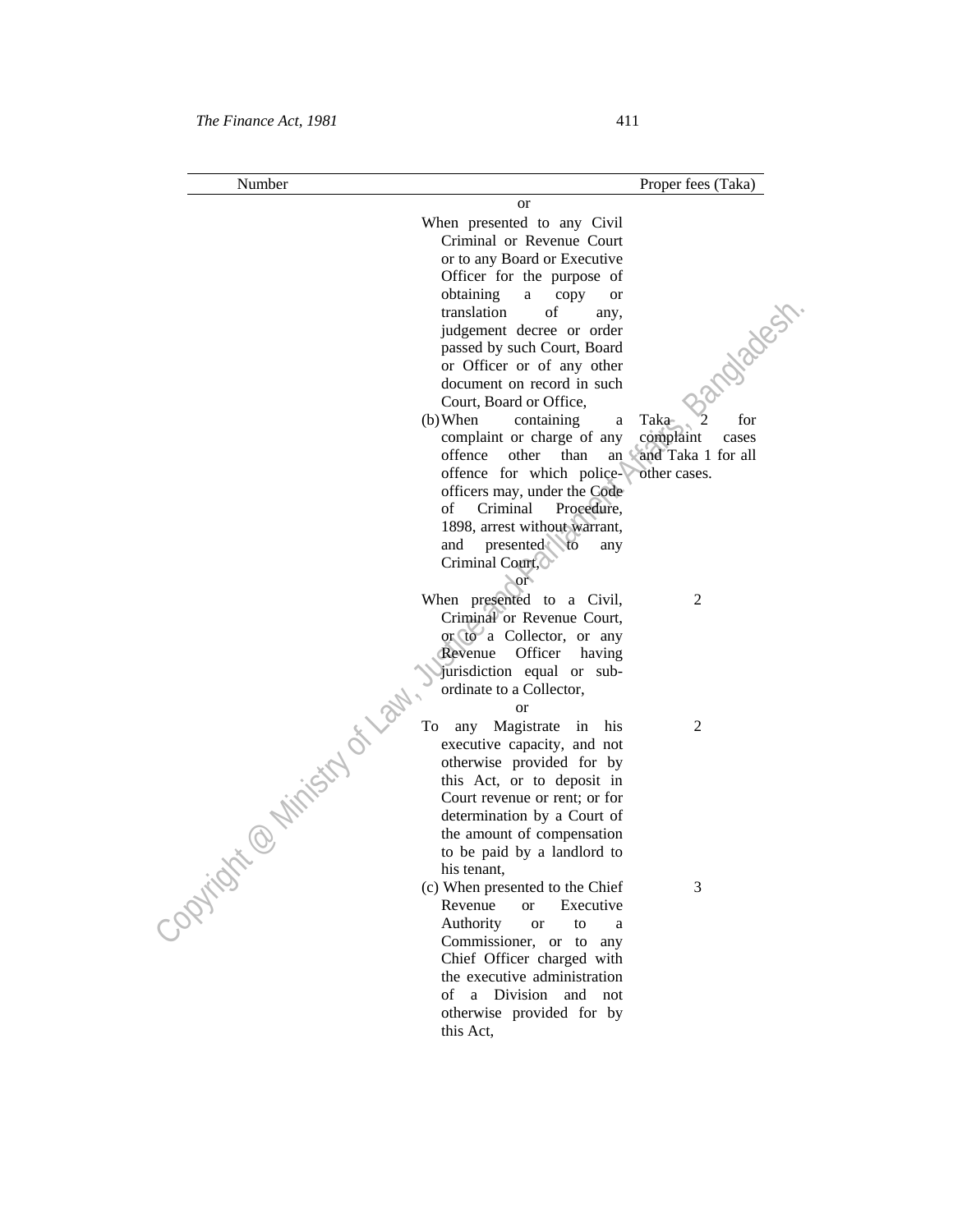| Number                             |                                                            | Proper fees (Taka)     |
|------------------------------------|------------------------------------------------------------|------------------------|
|                                    | or                                                         |                        |
|                                    | When presented to any Civil                                |                        |
|                                    | Criminal or Revenue Court                                  |                        |
|                                    | or to any Board or Executive                               |                        |
|                                    | Officer for the purpose of                                 |                        |
|                                    | obtaining<br>a<br>copy<br>or                               |                        |
|                                    | translation<br>of<br>any,                                  |                        |
|                                    | judgement decree or order                                  |                        |
|                                    | passed by such Court, Board                                |                        |
|                                    | or Officer or of any other                                 |                        |
|                                    | document on record in such                                 | ndiader                |
|                                    | Court, Board or Office,                                    |                        |
|                                    | $(b)$ When<br>containing<br>a                              | for<br>Taka-           |
|                                    | complaint or charge of any                                 | complaint<br>cases     |
|                                    | offence<br>other<br>than                                   | an Vand Taka 1 for all |
|                                    | offence for which police-                                  | other cases.           |
|                                    | officers may, under the Code                               |                        |
|                                    | of<br>Criminal<br>Procedure,                               |                        |
|                                    | 1898, arrest without warrant,                              |                        |
|                                    | and<br>presented to<br>any                                 |                        |
|                                    | Criminal Court,                                            |                        |
|                                    | $\sim$ or                                                  |                        |
|                                    | When presented to a Civil,                                 | $\overline{2}$         |
|                                    | Criminal or Revenue Court,                                 |                        |
|                                    | or to a Collector, or any                                  |                        |
|                                    | Revenue Officer<br>having                                  |                        |
|                                    | jurisdiction equal or sub-                                 |                        |
| <b>With Children City of Light</b> | ordinate to a Collector,                                   |                        |
|                                    | <sub>or</sub>                                              |                        |
|                                    | To<br>any Magistrate in his                                | 2                      |
|                                    | executive capacity, and not                                |                        |
|                                    | otherwise provided for by                                  |                        |
|                                    | this Act, or to deposit in                                 |                        |
|                                    | Court revenue or rent; or for                              |                        |
|                                    | determination by a Court of                                |                        |
|                                    | the amount of compensation                                 |                        |
|                                    | to be paid by a landlord to                                |                        |
|                                    | his tenant,                                                |                        |
| - Optical                          | (c) When presented to the Chief                            | 3                      |
|                                    | Revenue<br><sub>or</sub><br>Executive                      |                        |
|                                    | Authority<br>to<br><b>or</b><br>a                          |                        |
|                                    | Commissioner, or to<br>any                                 |                        |
|                                    | Chief Officer charged with<br>the executive administration |                        |
|                                    | a Division<br>and not<br>of                                |                        |
|                                    | otherwise provided for by                                  |                        |
|                                    | this Act,                                                  |                        |
|                                    |                                                            |                        |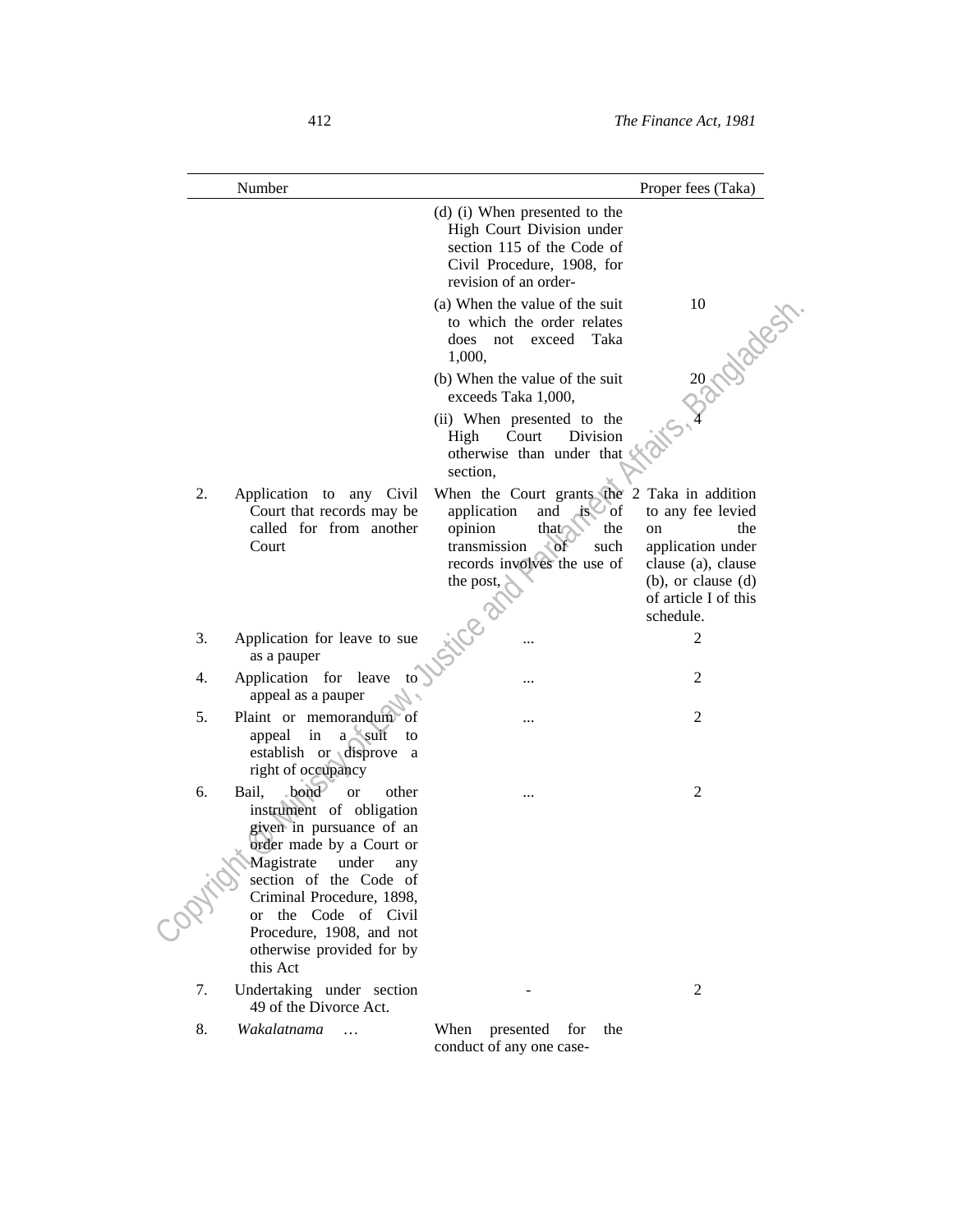|    | Number                                                                                                                                                                                                                                             |                                                                                                                                                                                            | Proper fees (Taka)                                                                                                                        |
|----|----------------------------------------------------------------------------------------------------------------------------------------------------------------------------------------------------------------------------------------------------|--------------------------------------------------------------------------------------------------------------------------------------------------------------------------------------------|-------------------------------------------------------------------------------------------------------------------------------------------|
|    |                                                                                                                                                                                                                                                    | (d) (i) When presented to the<br>High Court Division under<br>section 115 of the Code of<br>Civil Procedure, 1908, for<br>revision of an order-                                            |                                                                                                                                           |
|    |                                                                                                                                                                                                                                                    | (a) When the value of the suit<br>to which the order relates<br>does<br>not<br>exceed<br>Taka<br>1,000,                                                                                    | 32 Magest                                                                                                                                 |
|    |                                                                                                                                                                                                                                                    | (b) When the value of the suit<br>exceeds Taka 1,000,                                                                                                                                      |                                                                                                                                           |
|    |                                                                                                                                                                                                                                                    | (ii) When presented to the<br>Division<br>Court<br>High<br>otherwise than under that<br>section,                                                                                           |                                                                                                                                           |
| 2. | Application to any Civil<br>Court that records may be<br>called for from another<br>Court                                                                                                                                                          | When the Court grants the 2 Taka in addition<br>application<br>and<br>$\log \sqrt{a}$<br>opinion<br>that<br>the<br>transmission<br>CoF<br>such<br>records involves the use of<br>the post, | to any fee levied<br>the<br>on<br>application under<br>clause (a), clause<br>$(b)$ , or clause $(d)$<br>of article I of this<br>schedule. |
| 3. | Application for leave to sue<br>as a pauper                                                                                                                                                                                                        | <b>120.25</b>                                                                                                                                                                              | 2                                                                                                                                         |
| 4. | Application for leave<br>to<br>appeal as a pauper                                                                                                                                                                                                  |                                                                                                                                                                                            | 2                                                                                                                                         |
| 5. | Plaint or memorandum of<br>$a$ suit<br>appeal in<br>to<br>establish or disprove a<br>right of occupancy                                                                                                                                            |                                                                                                                                                                                            | $\overline{2}$                                                                                                                            |
| 6. | bond<br>Bail,<br><b>or</b><br>other<br>instrument of obligation<br>given in pursuance of an<br>order made by a Court or<br>Magistrate<br>under<br>any<br>section of the Code of<br>Criminal Procedure, 1898,<br>the Code of Civil<br><sub>or</sub> |                                                                                                                                                                                            | $\overline{2}$                                                                                                                            |
|    | Procedure, 1908, and not<br>otherwise provided for by<br>this Act                                                                                                                                                                                  |                                                                                                                                                                                            |                                                                                                                                           |
| 7. | Undertaking under section<br>49 of the Divorce Act.                                                                                                                                                                                                |                                                                                                                                                                                            | 2                                                                                                                                         |
| 8. | Wakalatnama                                                                                                                                                                                                                                        | When<br>presented<br>for<br>the                                                                                                                                                            |                                                                                                                                           |

conduct of any one case-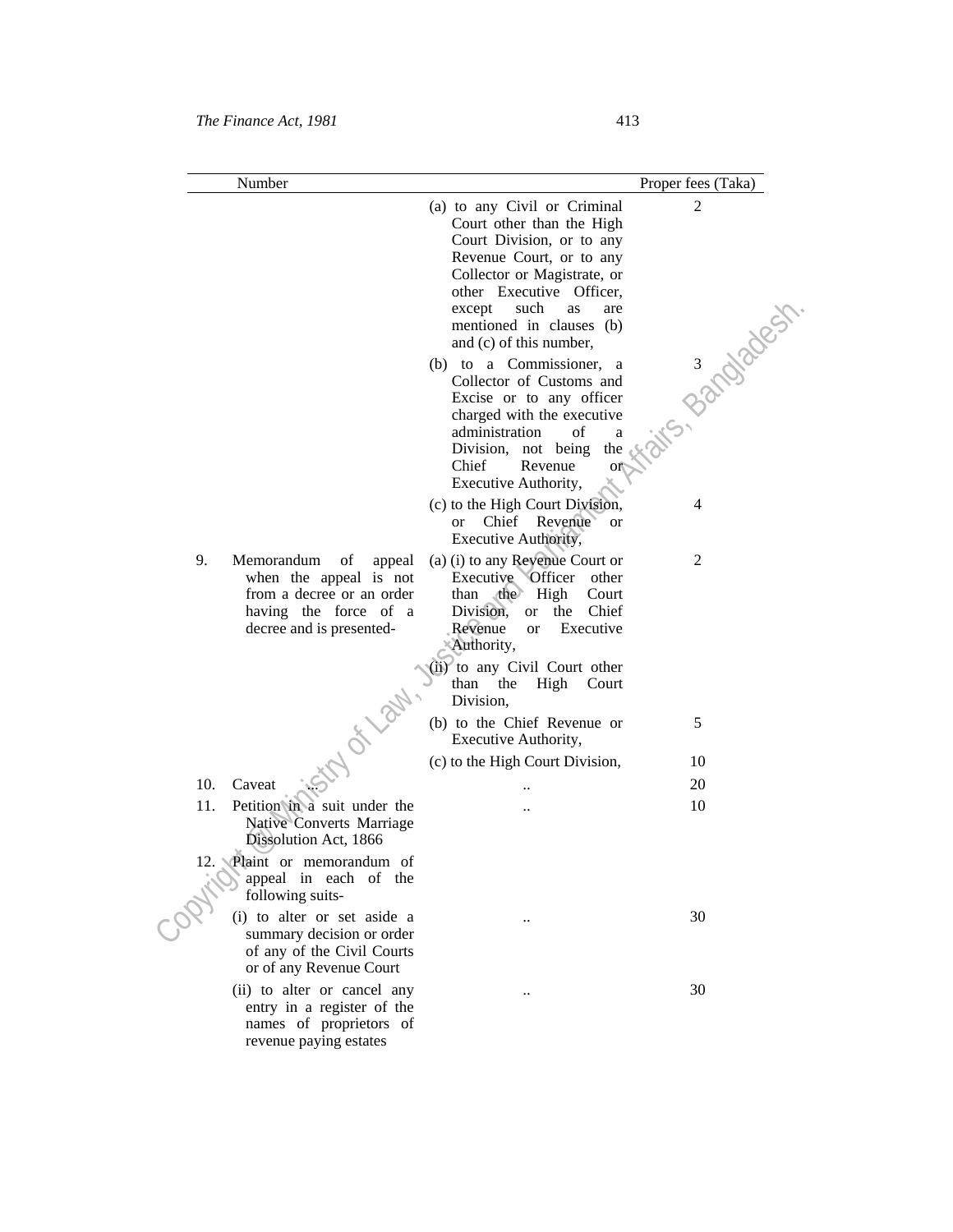revenue paying estates

|     | Number                                                                                                                              |                                                                                                                                                                                                                                                                  | Proper fees (Taka) |
|-----|-------------------------------------------------------------------------------------------------------------------------------------|------------------------------------------------------------------------------------------------------------------------------------------------------------------------------------------------------------------------------------------------------------------|--------------------|
|     |                                                                                                                                     | (a) to any Civil or Criminal<br>Court other than the High<br>Court Division, or to any<br>Revenue Court, or to any<br>Collector or Magistrate, or<br>other Executive Officer,<br>except such<br>as<br>are<br>mentioned in clauses (b)<br>and (c) of this number, | 2                  |
|     |                                                                                                                                     | (b) to a Commissioner, a<br>Collector of Customs and<br>Excise or to any officer<br>charged with the executive<br>administration<br>οf<br>a<br>Division, not being<br>the<br>Chief<br>Revenue<br>ОÍ<br>Executive Authority,                                      | S- Bandlages       |
|     |                                                                                                                                     | (c) to the High Court Division,<br>or Chief Revenue or<br>Executive Authority,                                                                                                                                                                                   | 4                  |
| 9.  | Memorandum of<br>appeal<br>when the appeal is not<br>from a decree or an order<br>having the force of a<br>decree and is presented- | (a) (i) to any Revenue Court or<br>Executive Officer<br>other<br>the High<br>than<br>Court<br>Division,<br>the Chief<br>or<br>Revenue<br>Executive<br><b>or</b><br>Authority,                                                                                    | 2                  |
|     |                                                                                                                                     | (ii) to any Civil Court other<br>than the<br>High Court<br>Division,                                                                                                                                                                                             |                    |
|     |                                                                                                                                     | (b) to the Chief Revenue or<br>Executive Authority,                                                                                                                                                                                                              | 5                  |
|     |                                                                                                                                     | (c) to the High Court Division,                                                                                                                                                                                                                                  | 10                 |
| 10. | Caveat                                                                                                                              |                                                                                                                                                                                                                                                                  | 20                 |
| 11. | Petition in a suit under the<br>Native Converts Marriage<br>Dissolution Act, 1866                                                   |                                                                                                                                                                                                                                                                  | 10                 |
|     | Plaint or memorandum of<br>appeal in each of the<br>following suits-                                                                |                                                                                                                                                                                                                                                                  |                    |
|     | (i) to alter or set aside a<br>summary decision or order<br>of any of the Civil Courts<br>or of any Revenue Court                   |                                                                                                                                                                                                                                                                  | 30                 |
|     | (ii) to alter or cancel any<br>entry in a register of the<br>names of proprietors of                                                |                                                                                                                                                                                                                                                                  | 30                 |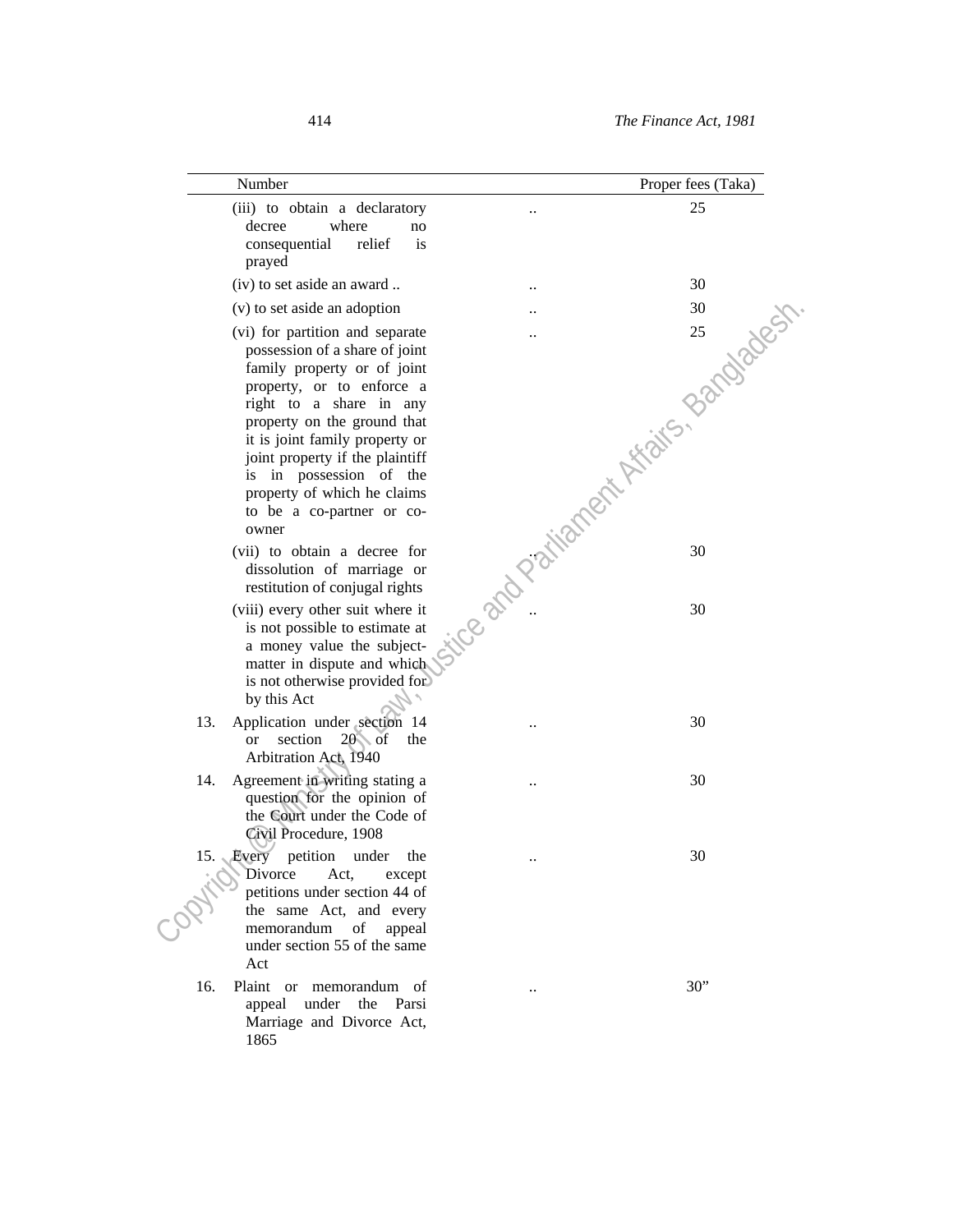| Number                                                                                                                                                                                                                                                                                                                                                       | Proper fees (Taka)                   |
|--------------------------------------------------------------------------------------------------------------------------------------------------------------------------------------------------------------------------------------------------------------------------------------------------------------------------------------------------------------|--------------------------------------|
| (iii) to obtain a declaratory<br>decree<br>where<br>no<br>consequential<br>relief<br>is<br>prayed                                                                                                                                                                                                                                                            | 25                                   |
| (iv) to set aside an award                                                                                                                                                                                                                                                                                                                                   | 30                                   |
| (v) to set aside an adoption                                                                                                                                                                                                                                                                                                                                 |                                      |
| (vi) for partition and separate<br>possession of a share of joint<br>family property or of joint<br>property, or to enforce a<br>right to a share in any<br>property on the ground that<br>it is joint family property or<br>joint property if the plaintiff<br>is in possession of the<br>property of which he claims<br>to be a co-partner or co-<br>owner | Ce and Partiament Affairs, Bandadest |
| (vii) to obtain a decree for<br>dissolution of marriage or<br>restitution of conjugal rights                                                                                                                                                                                                                                                                 |                                      |
| (viii) every other suit where it<br>is not possible to estimate at<br>a money value the subject-<br>matter in dispute and which<br>is not otherwise provided for<br>by this Act                                                                                                                                                                              |                                      |
| 13.<br>Application under section 14<br>$20\sqrt{$ of<br>section<br>the<br>or<br>Arbitration Act, 1940                                                                                                                                                                                                                                                        | 30                                   |
| Agreement in writing stating a<br>14.<br>question for the opinion of<br>the Court under the Code of<br>Civil Procedure, 1908                                                                                                                                                                                                                                 | 30                                   |
| 15. Every petition<br>under<br>the<br>Divorce<br>Act,<br>except<br>petitions under section 44 of<br>the same Act, and every<br>memorandum<br>of<br>appeal<br>under section 55 of the same<br>Act                                                                                                                                                             | 30                                   |
| 16.<br>Plaint or memorandum of<br>appeal under<br>the Parsi<br>Marriage and Divorce Act,<br>1865                                                                                                                                                                                                                                                             | 30"                                  |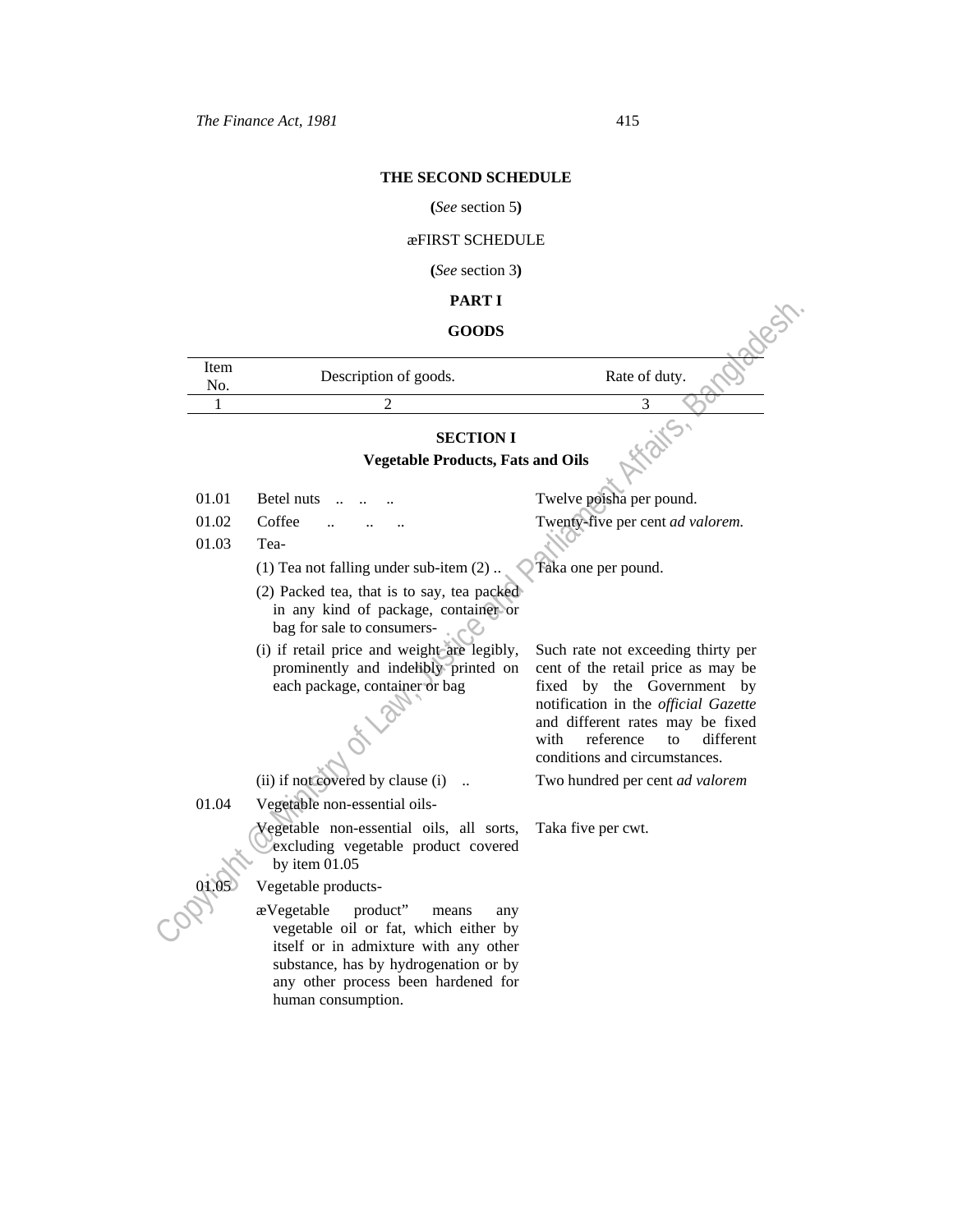# **THE SECOND SCHEDULE**

# **(***See* section 5**)**

# æFIRST SCHEDULE

**(***See* section 3**)**

# **PART I**

# **GOODS**

|             | PAKI 1                                                                                                                                                                                                   |                                                                                                                                                   |  |
|-------------|----------------------------------------------------------------------------------------------------------------------------------------------------------------------------------------------------------|---------------------------------------------------------------------------------------------------------------------------------------------------|--|
|             | <b>GOODS</b>                                                                                                                                                                                             |                                                                                                                                                   |  |
| Item<br>No. | Description of goods.                                                                                                                                                                                    | Rate of duty.                                                                                                                                     |  |
| 1           | $\mathfrak{D}$                                                                                                                                                                                           | 3                                                                                                                                                 |  |
|             | <b>SECTION I</b>                                                                                                                                                                                         |                                                                                                                                                   |  |
|             | <b>Vegetable Products, Fats and Oils</b>                                                                                                                                                                 |                                                                                                                                                   |  |
|             |                                                                                                                                                                                                          |                                                                                                                                                   |  |
| 01.01       | Betel nuts                                                                                                                                                                                               | Twelve poisha per pound.                                                                                                                          |  |
| 01.02       | Coffee                                                                                                                                                                                                   | Twenty-five per cent ad valorem.                                                                                                                  |  |
| 01.03       | Tea-                                                                                                                                                                                                     |                                                                                                                                                   |  |
|             | $(1)$ Tea not falling under sub-item $(2)$ .                                                                                                                                                             | Taka one per pound.                                                                                                                               |  |
|             | (2) Packed tea, that is to say, tea packed<br>in any kind of package, container or<br>bag for sale to consumers-                                                                                         |                                                                                                                                                   |  |
|             | (i) if retail price and weight are legibly,                                                                                                                                                              | Such rate not exceeding thirty per                                                                                                                |  |
|             | prominently and indelibly printed on<br>each package, container or bag                                                                                                                                   | cent of the retail price as may be<br>fixed by the Government by                                                                                  |  |
|             |                                                                                                                                                                                                          | notification in the official Gazette<br>and different rates may be fixed<br>reference<br>different<br>with<br>to<br>conditions and circumstances. |  |
|             | (ii) if not covered by clause (i)                                                                                                                                                                        | Two hundred per cent ad valorem                                                                                                                   |  |
| 01.04       | Vegetable non-essential oils-                                                                                                                                                                            |                                                                                                                                                   |  |
|             | Vegetable non-essential oils, all sorts,<br>excluding vegetable product covered<br>by item $01.05$                                                                                                       | Taka five per cwt.                                                                                                                                |  |
|             | Vegetable products-                                                                                                                                                                                      |                                                                                                                                                   |  |
|             | product"<br>æVegetable<br>means<br>any<br>vegetable oil or fat, which either by<br>itself or in admixture with any other<br>substance, has by hydrogenation or by<br>any other process been hardened for |                                                                                                                                                   |  |

human consumption.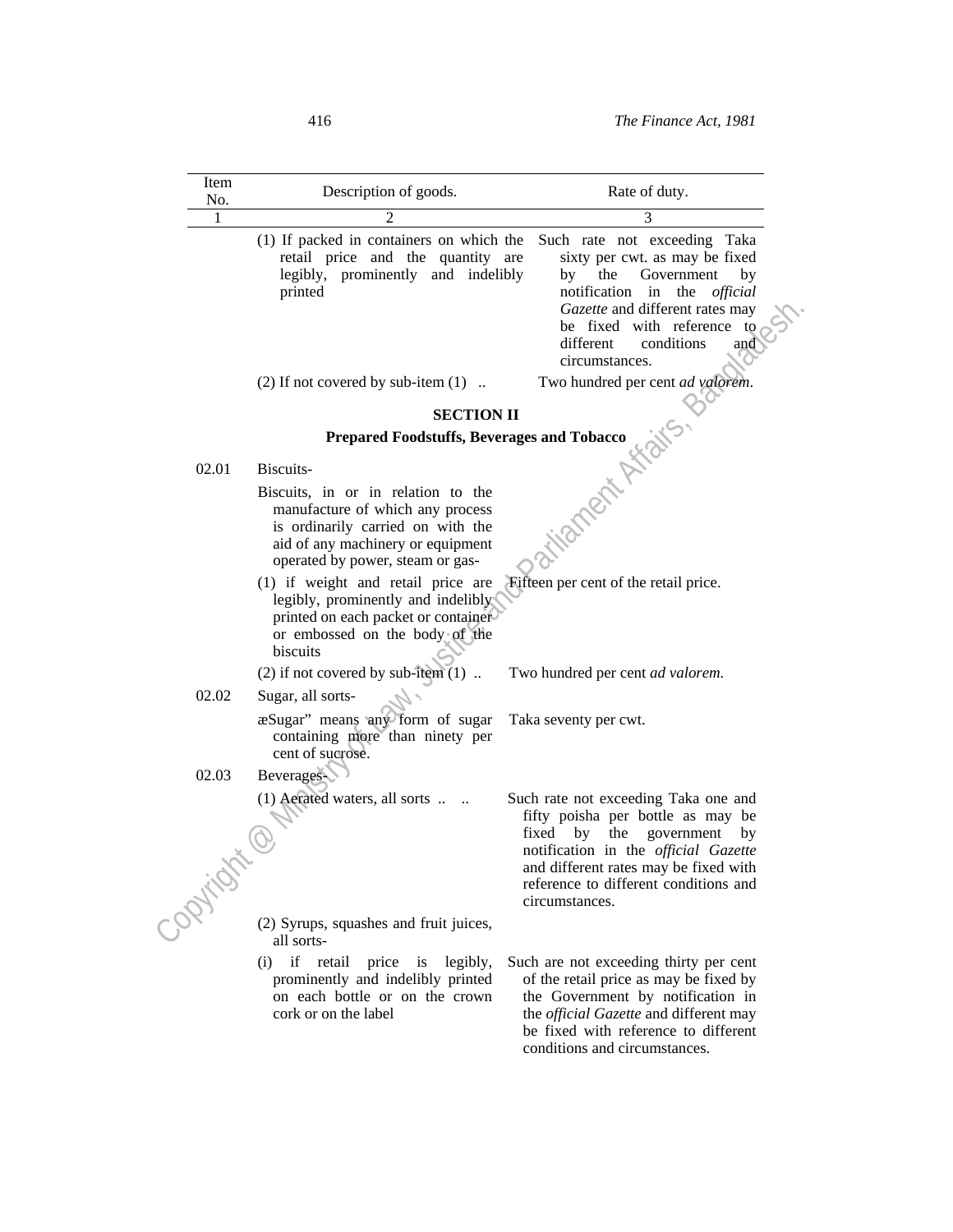| Item<br>No. | Description of goods.                                                                                                                                                                | Rate of duty.                                                                                                                                                                                                                                             |
|-------------|--------------------------------------------------------------------------------------------------------------------------------------------------------------------------------------|-----------------------------------------------------------------------------------------------------------------------------------------------------------------------------------------------------------------------------------------------------------|
|             |                                                                                                                                                                                      |                                                                                                                                                                                                                                                           |
|             | (1) If packed in containers on which the<br>retail price and the quantity are<br>legibly, prominently and indelibly<br>printed                                                       | Such rate not exceeding Taka<br>sixty per cwt. as may be fixed<br>the<br>Government<br>by<br>by<br>notification in the<br>official<br>Gazette and different rates may<br>be fixed with reference to<br>different<br>conditions<br>and<br>circumstances.   |
|             | $(2)$ If not covered by sub-item $(1)$                                                                                                                                               | Two hundred per cent ad valorem.                                                                                                                                                                                                                          |
|             | <b>SECTION II</b>                                                                                                                                                                    |                                                                                                                                                                                                                                                           |
|             | Prepared Foodstuffs, Beverages and Tobacco                                                                                                                                           |                                                                                                                                                                                                                                                           |
| 02.01       | Biscuits-                                                                                                                                                                            |                                                                                                                                                                                                                                                           |
|             | Biscuits, in or in relation to the<br>manufacture of which any process<br>is ordinarily carried on with the<br>aid of any machinery or equipment<br>operated by power, steam or gas- | ilanecti Africits                                                                                                                                                                                                                                         |
|             | (1) if weight and retail price are<br>legibly, prominently and indelibly<br>printed on each packet or container<br>or embossed on the body of the<br>biscuits                        | Fifteen per cent of the retail price.                                                                                                                                                                                                                     |
|             | (2) if not covered by sub-item $(1)$                                                                                                                                                 | Two hundred per cent ad valorem.                                                                                                                                                                                                                          |
| 02.02       | Sugar, all sorts-                                                                                                                                                                    |                                                                                                                                                                                                                                                           |
|             | æSugar" means any form of sugar<br>containing more than ninety per<br>cent of sucrose.                                                                                               | Taka seventy per cwt.                                                                                                                                                                                                                                     |
| 02.03       | Beverages                                                                                                                                                                            |                                                                                                                                                                                                                                                           |
| ORVIICE     | (1) Aerated waters, all sorts                                                                                                                                                        | Such rate not exceeding Taka one and<br>fifty poisha per bottle as may be<br>fixed by<br>the government<br>by<br>notification in the official Gazette<br>and different rates may be fixed with<br>reference to different conditions and<br>circumstances. |
|             | (2) Syrups, squashes and fruit juices,<br>all sorts-                                                                                                                                 |                                                                                                                                                                                                                                                           |
|             | (i) if retail price<br>is legibly,<br>prominently and indelibly printed<br>on each bottle or on the crown<br>cork or on the label                                                    | Such are not exceeding thirty per cent<br>of the retail price as may be fixed by<br>the Government by notification in<br>the <i>official Gazette</i> and different may<br>be fixed with reference to different                                            |

conditions and circumstances.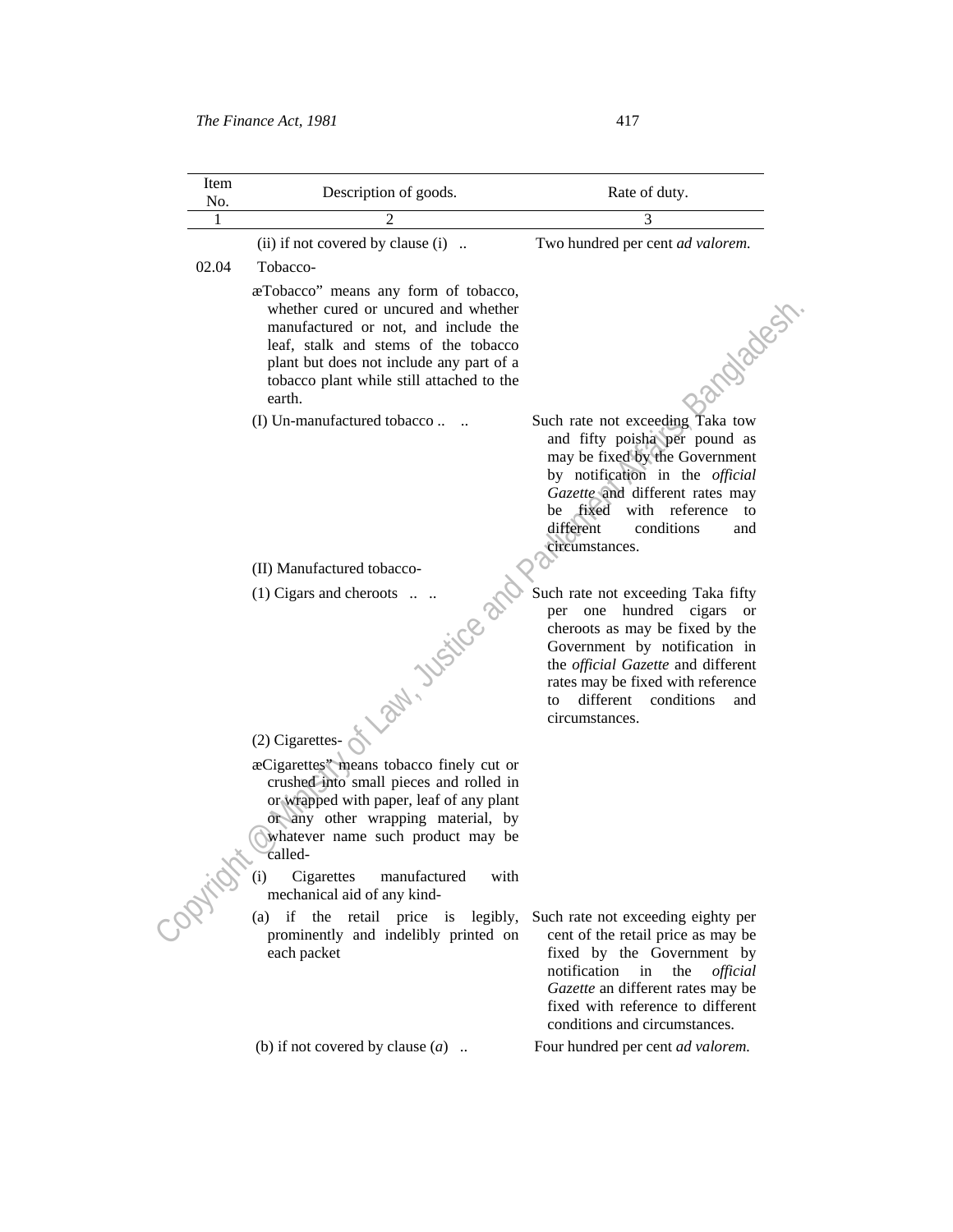| Item<br>No.  | Description of goods.                                                                                                                                                                                                                                                                             | Rate of duty.                                                                                                                                                                                                                                                                      |
|--------------|---------------------------------------------------------------------------------------------------------------------------------------------------------------------------------------------------------------------------------------------------------------------------------------------------|------------------------------------------------------------------------------------------------------------------------------------------------------------------------------------------------------------------------------------------------------------------------------------|
| 1            | 2                                                                                                                                                                                                                                                                                                 | 3                                                                                                                                                                                                                                                                                  |
|              | (ii) if not covered by clause (i)                                                                                                                                                                                                                                                                 | Two hundred per cent ad valorem.                                                                                                                                                                                                                                                   |
| 02.04        | Tobacco-                                                                                                                                                                                                                                                                                          |                                                                                                                                                                                                                                                                                    |
|              | æTobacco" means any form of tobacco,<br>whether cured or uncured and whether<br>manufactured or not, and include the<br>leaf, stalk and stems of the tobacco<br>plant but does not include any part of a<br>tobacco plant while still attached to the<br>earth.                                   | 1-2MOJOBUST                                                                                                                                                                                                                                                                        |
|              | (I) Un-manufactured tobacco                                                                                                                                                                                                                                                                       | Such rate not exceeding Taka tow<br>and fifty poisha per pound as<br>may be fixed by the Government<br>by notification in the official<br>Gazette and different rates may<br>be fixed with reference to<br>different<br>conditions<br>and<br>circumstances.                        |
|              | (II) Manufactured tobacco-                                                                                                                                                                                                                                                                        |                                                                                                                                                                                                                                                                                    |
|              | (1) Cigars and cheroots<br>Law, Justice                                                                                                                                                                                                                                                           | Such rate not exceeding Taka fifty<br>per one hundred cigars<br>or<br>cheroots as may be fixed by the<br>Government by notification in<br>the <i>official Gazette</i> and different<br>rates may be fixed with reference<br>different<br>conditions<br>and<br>to<br>circumstances. |
|              | (2) Cigarettes-                                                                                                                                                                                                                                                                                   |                                                                                                                                                                                                                                                                                    |
|              | æCigarettes" means tobacco finely cut or<br>crushed into small pieces and rolled in<br>or wrapped with paper, leaf of any plant<br>or any other wrapping material, by<br>whatever name such product may be<br>called-<br>Cigarettes<br>manufactured<br>(i)<br>with<br>mechanical aid of any kind- |                                                                                                                                                                                                                                                                                    |
| <b>PRITE</b> | if the retail price is legibly,<br>(a)<br>prominently and indelibly printed on<br>each packet                                                                                                                                                                                                     | Such rate not exceeding eighty per<br>cent of the retail price as may be<br>fixed by the Government by<br>notification<br>in<br>the<br>official<br>Gazette an different rates may be<br>fixed with reference to different<br>conditions and circumstances.                         |
|              | (b) if not covered by clause $(a)$                                                                                                                                                                                                                                                                | Four hundred per cent ad valorem.                                                                                                                                                                                                                                                  |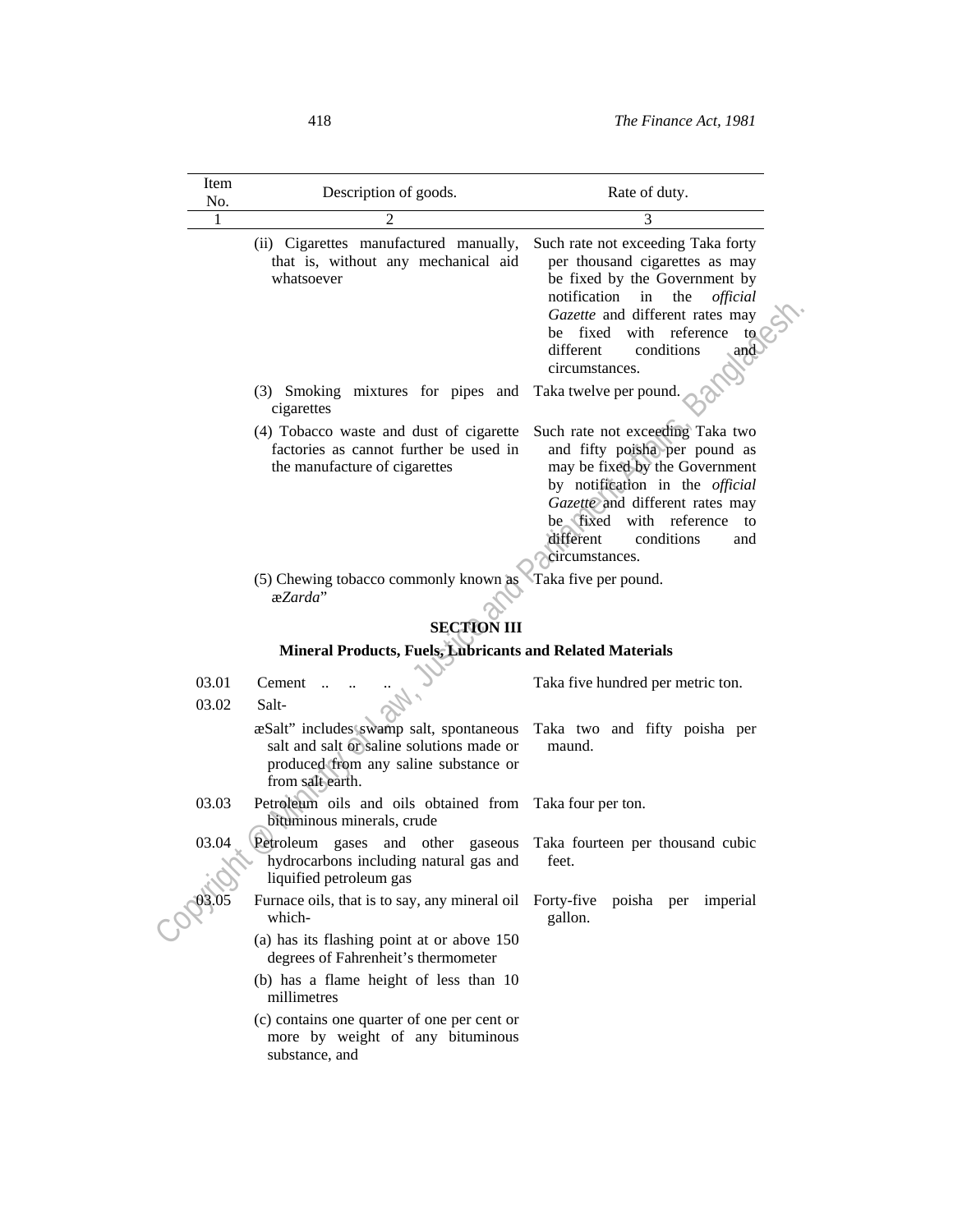| Item<br>No.    | Description of goods.                                                                                                                             | Rate of duty.                                                                                                                                                                                                                                                          |
|----------------|---------------------------------------------------------------------------------------------------------------------------------------------------|------------------------------------------------------------------------------------------------------------------------------------------------------------------------------------------------------------------------------------------------------------------------|
| 1              |                                                                                                                                                   | 3                                                                                                                                                                                                                                                                      |
|                | (ii) Cigarettes manufactured manually,<br>that is, without any mechanical aid<br>whatsoever                                                       | Such rate not exceeding Taka forty<br>per thousand cigarettes as may<br>be fixed by the Government by<br>notification<br>the<br>in<br>official<br>Gazette and different rates may<br>be fixed with reference<br>to<br>different<br>conditions<br>and<br>circumstances. |
|                | (3) Smoking mixtures for pipes and Taka twelve per pound.<br>cigarettes                                                                           |                                                                                                                                                                                                                                                                        |
|                | (4) Tobacco waste and dust of cigarette<br>factories as cannot further be used in<br>the manufacture of cigarettes                                | Such rate not exceeding Taka two<br>and fifty poisha per pound as<br>may be fixed by the Government<br>by notification in the official<br>Gazette and different rates may<br>be fixed<br>with reference to<br>conditions<br>different<br>and<br>circumstances.         |
|                | (5) Chewing tobacco commonly known as<br>æZarda"                                                                                                  | Taka five per pound.                                                                                                                                                                                                                                                   |
|                | <b>SECTION III</b>                                                                                                                                |                                                                                                                                                                                                                                                                        |
|                | Mineral Products, Fuels, Lubricants and Related Materials                                                                                         |                                                                                                                                                                                                                                                                        |
| 03.01<br>03.02 | Cement<br>Salt-                                                                                                                                   | Taka five hundred per metric ton.                                                                                                                                                                                                                                      |
|                | æSalt" includes swamp salt, spontaneous<br>salt and salt or saline solutions made or<br>produced from any saline substance or<br>from salt earth. | Taka two and fifty poisha per<br>maund.                                                                                                                                                                                                                                |
| 03.03          | Petroleum oils and oils obtained from Taka four per ton.<br>bituminous minerals, crude                                                            |                                                                                                                                                                                                                                                                        |
| 03.04          | Petroleum<br>gases and other gaseous<br>hydrocarbons including natural gas and<br>liquified petroleum gas                                         | Taka fourteen per thousand cubic<br>feet.                                                                                                                                                                                                                              |
| 03.05          | Furnace oils, that is to say, any mineral oil Forty-five poisha per imperial<br>which-                                                            | gallon.                                                                                                                                                                                                                                                                |
|                | (a) has its flashing point at or above 150<br>degrees of Fahrenheit's thermometer                                                                 |                                                                                                                                                                                                                                                                        |
|                | (b) has a flame height of less than 10<br>millimetres                                                                                             |                                                                                                                                                                                                                                                                        |
|                | (c) contains one quarter of one per cent or<br>more by weight of any bituminous<br>substance, and                                                 |                                                                                                                                                                                                                                                                        |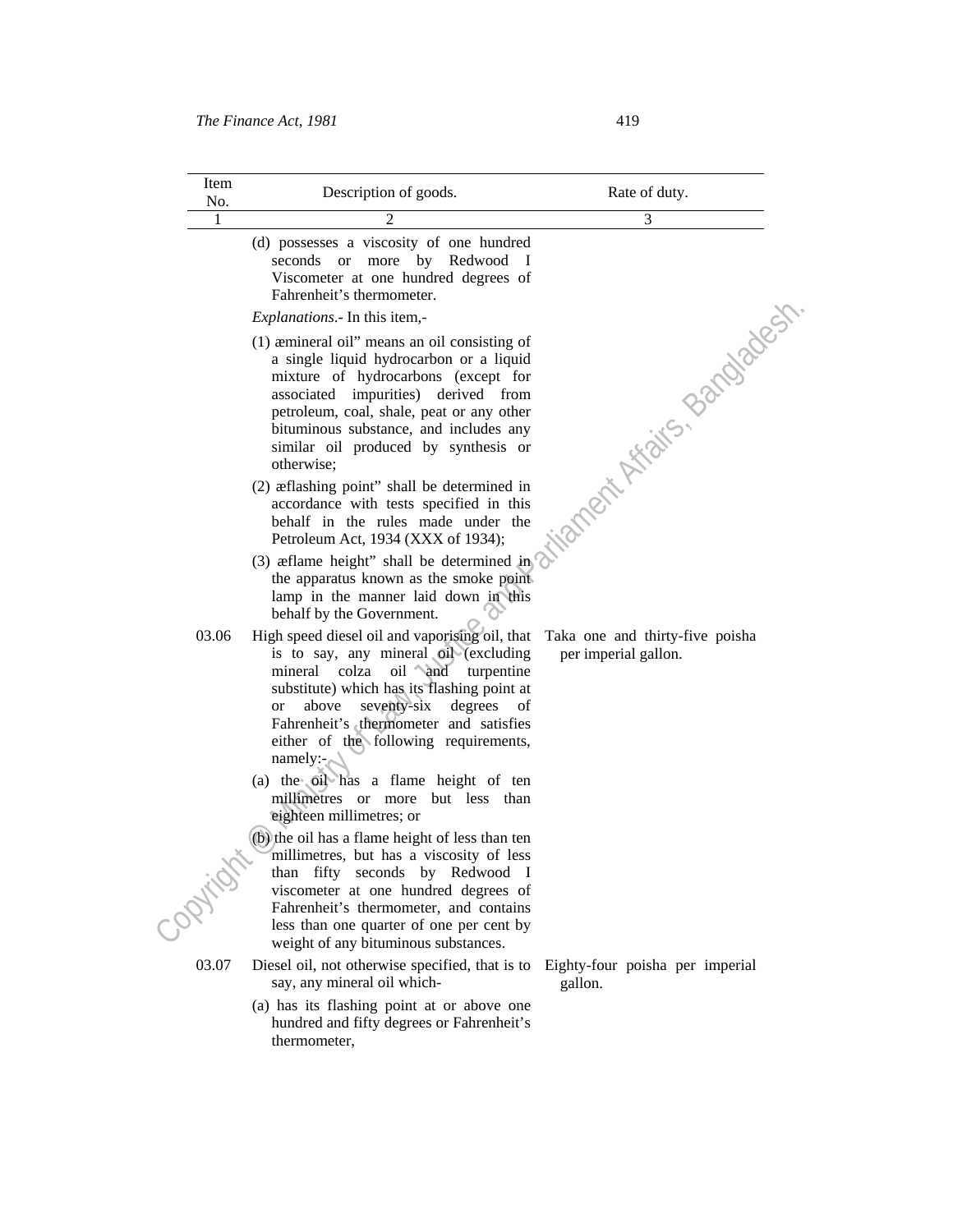| Item<br>No. | Description of goods.                                                                                                                                                                                                                                                                                                                    | Rate of duty.                                           |
|-------------|------------------------------------------------------------------------------------------------------------------------------------------------------------------------------------------------------------------------------------------------------------------------------------------------------------------------------------------|---------------------------------------------------------|
| 1           | $\overline{\mathcal{L}}$                                                                                                                                                                                                                                                                                                                 | 3                                                       |
|             | (d) possesses a viscosity of one hundred<br>seconds or more by Redwood<br>- 1<br>Viscometer at one hundred degrees of<br>Fahrenheit's thermometer.                                                                                                                                                                                       |                                                         |
|             | Explanations.- In this item,-                                                                                                                                                                                                                                                                                                            |                                                         |
|             | (1) aemineral oil" means an oil consisting of<br>a single liquid hydrocarbon or a liquid<br>mixture of hydrocarbons (except for<br>associated impurities) derived from<br>petroleum, coal, shale, peat or any other<br>bituminous substance, and includes any<br>similar oil produced by synthesis or<br>otherwise;                      | itanent Afaits, Bandadesh                               |
|             | (2) æflashing point" shall be determined in<br>accordance with tests specified in this<br>behalf in the rules made under the<br>Petroleum Act, 1934 (XXX of 1934);                                                                                                                                                                       |                                                         |
|             | (3) a flame height" shall be determined $\text{im}^6$<br>the apparatus known as the smoke point<br>lamp in the manner laid down in this<br>behalf by the Government.                                                                                                                                                                     |                                                         |
| 03.06       | High speed diesel oil and vaporising oil, that<br>is to say, any mineral oil (excluding<br>mineral colza oil and<br>turpentine<br>substitute) which has its flashing point at<br>seventy-six<br>above<br>degrees<br><b>or</b><br>οf<br>Fahrenheit's thermometer and satisfies<br>either of the following requirements,<br>namely: $\sim$ | Taka one and thirty-five poisha<br>per imperial gallon. |
|             | (a) the oil has a flame height of ten<br>millimetres or more but less than<br>eighteen millimetres; or                                                                                                                                                                                                                                   |                                                         |
|             | (b) the oil has a flame height of less than ten<br>millimetres, but has a viscosity of less<br>than fifty seconds by Redwood I<br>viscometer at one hundred degrees of<br>Fahrenheit's thermometer, and contains<br>less than one quarter of one per cent by<br>weight of any bituminous substances.                                     |                                                         |
| 03.07       | Diesel oil, not otherwise specified, that is to                                                                                                                                                                                                                                                                                          | Eighty-four poisha per imperial                         |

- say, any mineral oil which-
- (a) has its flashing point at or above one hundred and fifty degrees or Fahrenheit's thermometer,
- gallon.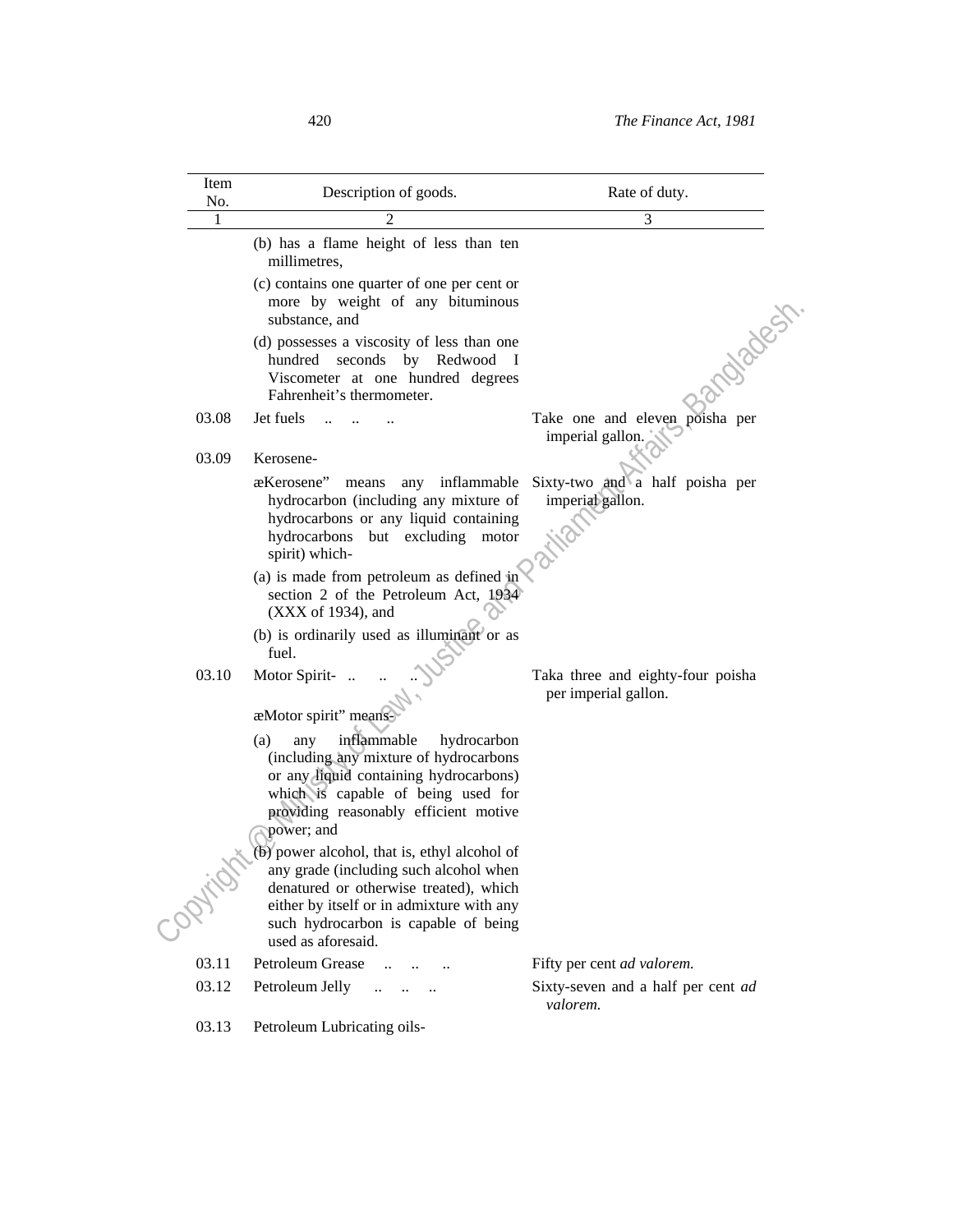| Item<br>No. | Description of goods.                                                                                                                                                                                                                         | Rate of duty.                                             |
|-------------|-----------------------------------------------------------------------------------------------------------------------------------------------------------------------------------------------------------------------------------------------|-----------------------------------------------------------|
| 1           |                                                                                                                                                                                                                                               | 3                                                         |
|             | (b) has a flame height of less than ten<br>millimetres,                                                                                                                                                                                       |                                                           |
|             | (c) contains one quarter of one per cent or<br>more by weight of any bituminous<br>substance, and                                                                                                                                             |                                                           |
|             | (d) possesses a viscosity of less than one<br>hundred seconds by Redwood I<br>Viscometer at one hundred degrees<br>Fahrenheit's thermometer.                                                                                                  | andback                                                   |
| 03.08       | Jet fuels                                                                                                                                                                                                                                     | Take one and eleven poisha per<br>imperial gallon.        |
| 03.09       | Kerosene-                                                                                                                                                                                                                                     |                                                           |
|             | æKerosene"<br>any inflammable<br>means<br>hydrocarbon (including any mixture of<br>hydrocarbons or any liquid containing<br>hydrocarbons but excluding motor<br>spirit) which-                                                                | Sixty-two and a half poisha per<br>imperial gallon.       |
|             | (a) is made from petroleum as defined in<br>section 2 of the Petroleum Act, 1934<br>(XXX of 1934), and                                                                                                                                        |                                                           |
|             | (b) is ordinarily used as illuminant or as<br>fuel.                                                                                                                                                                                           |                                                           |
| 03.10       | Motor Spirit-<br>æMotor spirit" means-                                                                                                                                                                                                        | Taka three and eighty-four poisha<br>per imperial gallon. |
|             | inflammable<br>(a)<br>hydrocarbon<br>any<br>(including any mixture of hydrocarbons<br>or any liquid containing hydrocarbons)<br>which is capable of being used for<br>providing reasonably efficient motive<br>power; and                     |                                                           |
|             | $(b)$ power alcohol, that is, ethyl alcohol of<br>any grade (including such alcohol when<br>denatured or otherwise treated), which<br>either by itself or in admixture with any<br>such hydrocarbon is capable of being<br>used as aforesaid. |                                                           |
| 03.11       | Petroleum Grease<br>$\cdots$                                                                                                                                                                                                                  | Fifty per cent ad valorem.                                |
| 03.12       | Petroleum Jelly<br>للمستنقذ المناور                                                                                                                                                                                                           | Sixty-seven and a half per cent ad<br>valorem.            |
| 03.13       | Petroleum Lubricating oils-                                                                                                                                                                                                                   |                                                           |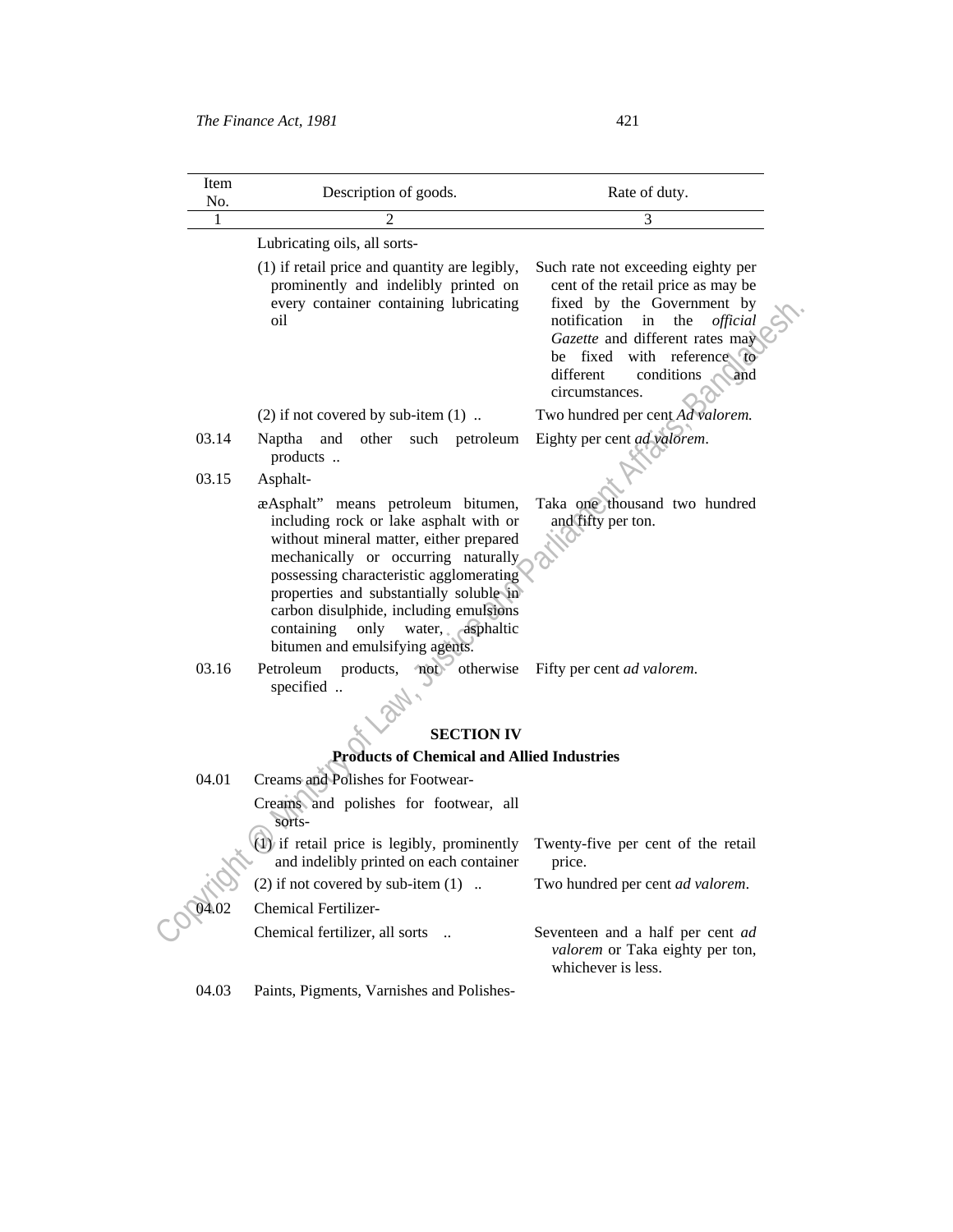| Item<br>No. | Description of goods.                                                                                                                                                                                                                                                                                                                                                       | Rate of duty.                                                                                                                                                                                                                                                              |
|-------------|-----------------------------------------------------------------------------------------------------------------------------------------------------------------------------------------------------------------------------------------------------------------------------------------------------------------------------------------------------------------------------|----------------------------------------------------------------------------------------------------------------------------------------------------------------------------------------------------------------------------------------------------------------------------|
| 1           |                                                                                                                                                                                                                                                                                                                                                                             | 3                                                                                                                                                                                                                                                                          |
|             | Lubricating oils, all sorts-                                                                                                                                                                                                                                                                                                                                                |                                                                                                                                                                                                                                                                            |
|             | (1) if retail price and quantity are legibly,<br>prominently and indelibly printed on<br>every container containing lubricating<br>oil                                                                                                                                                                                                                                      | Such rate not exceeding eighty per<br>cent of the retail price as may be<br>fixed by the Government by<br>notification<br>in<br>the<br>official<br>Gazette and different rates may<br>with reference to<br>fixed<br>be<br>conditions<br>different<br>and<br>circumstances. |
|             | $(2)$ if not covered by sub-item $(1)$                                                                                                                                                                                                                                                                                                                                      | Two hundred per cent Ad valorem.                                                                                                                                                                                                                                           |
| 03.14       | and<br>other such<br>Naptha<br>petroleum<br>products                                                                                                                                                                                                                                                                                                                        | Eighty per cent ad valorem.                                                                                                                                                                                                                                                |
| 03.15       | Asphalt-                                                                                                                                                                                                                                                                                                                                                                    |                                                                                                                                                                                                                                                                            |
|             | æAsphalt" means petroleum bitumen,<br>including rock or lake asphalt with or<br>without mineral matter, either prepared<br>mechanically or occurring naturally<br>possessing characteristic agglomerating<br>properties and substantially soluble in<br>carbon disulphide, including emulsions<br>water, asphaltic<br>containing<br>only<br>bitumen and emulsifying agents. | Taka one thousand two hundred<br>and fifty per ton.                                                                                                                                                                                                                        |
| 03.16       | products, not otherwise<br>Petroleum<br>specified                                                                                                                                                                                                                                                                                                                           | Fifty per cent ad valorem.                                                                                                                                                                                                                                                 |
|             | <b>SECTION IV</b>                                                                                                                                                                                                                                                                                                                                                           |                                                                                                                                                                                                                                                                            |
|             | <b>Products of Chemical and Allied Industries</b>                                                                                                                                                                                                                                                                                                                           |                                                                                                                                                                                                                                                                            |
| 04.01       | Creams and Polishes for Footwear-                                                                                                                                                                                                                                                                                                                                           |                                                                                                                                                                                                                                                                            |
|             | Creams and polishes for footwear, all<br>sorts-                                                                                                                                                                                                                                                                                                                             |                                                                                                                                                                                                                                                                            |
|             | $\langle 1 \rangle$ if retail price is legibly, prominently<br>and indelibly printed on each container                                                                                                                                                                                                                                                                      | Twenty-five per cent of the retail<br>price.                                                                                                                                                                                                                               |
|             | $(2)$ if not covered by sub-item $(1)$                                                                                                                                                                                                                                                                                                                                      | Two hundred per cent ad valorem.                                                                                                                                                                                                                                           |
|             | <b>Chemical Fertilizer-</b>                                                                                                                                                                                                                                                                                                                                                 |                                                                                                                                                                                                                                                                            |
|             | Chemical fertilizer, all sorts                                                                                                                                                                                                                                                                                                                                              | Seventeen and a half per cent ad                                                                                                                                                                                                                                           |

*valorem* or Taka eighty per ton, whichever is less.

04.03 Paints, Pigments, Varnishes and Polishes-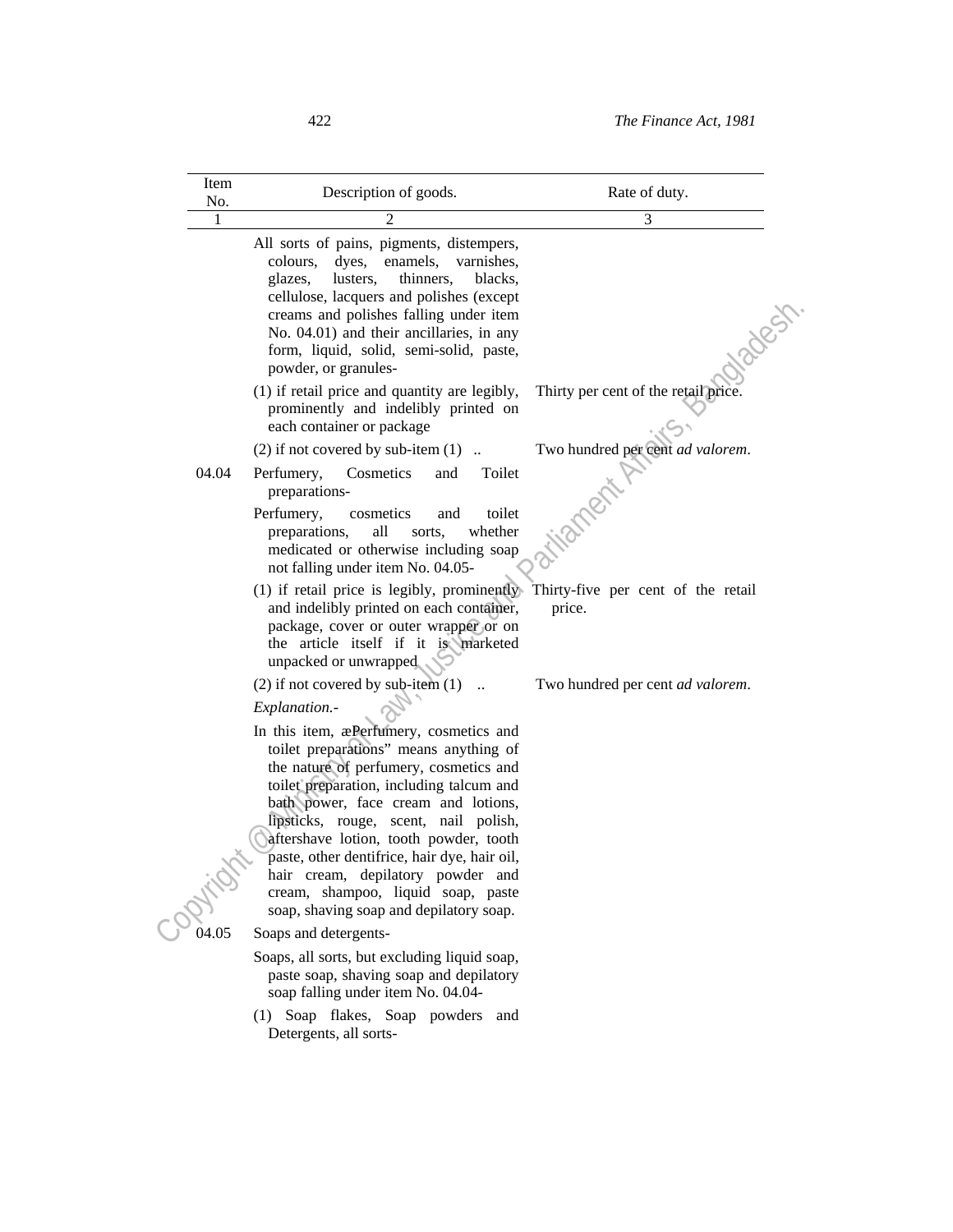| Item<br>No. | Description of goods.                                                                                                                                                                                                                                                                                                                                                                                                                                                                                                                            | Rate of duty.                        |
|-------------|--------------------------------------------------------------------------------------------------------------------------------------------------------------------------------------------------------------------------------------------------------------------------------------------------------------------------------------------------------------------------------------------------------------------------------------------------------------------------------------------------------------------------------------------------|--------------------------------------|
| 1           | 2                                                                                                                                                                                                                                                                                                                                                                                                                                                                                                                                                | 3                                    |
|             | All sorts of pains, pigments, distempers,<br>colours,<br>dyes,<br>enamels,<br>varnishes,<br>thinners,<br>glazes,<br>lusters,<br>blacks.<br>cellulose, lacquers and polishes (except<br>creams and polishes falling under item<br>No. 04.01) and their ancillaries, in any<br>form, liquid, solid, semi-solid, paste,<br>powder, or granules-                                                                                                                                                                                                     | Nades                                |
|             | (1) if retail price and quantity are legibly,<br>prominently and indelibly printed on<br>each container or package                                                                                                                                                                                                                                                                                                                                                                                                                               | Thirty per cent of the retail price. |
|             | (2) if not covered by sub-item $(1)$                                                                                                                                                                                                                                                                                                                                                                                                                                                                                                             | Two hundred per cent ad valorem.     |
| 04.04       | Cosmetics<br>Toilet<br>Perfumery,<br>and<br>preparations-<br>Perfumery,<br>toilet<br>cosmetics<br>and<br>all<br>whether<br>preparations,<br>sorts,<br>medicated or otherwise including soap<br>not falling under item No. 04.05-                                                                                                                                                                                                                                                                                                                 |                                      |
|             | (1) if retail price is legibly, prominently Thirty-five per cent of the retail<br>and indelibly printed on each container,<br>package, cover or outer wrapper or on<br>the article itself if it is marketed<br>unpacked or unwrapped                                                                                                                                                                                                                                                                                                             | price.                               |
|             | $(2)$ if not covered by sub-item $(1)$<br>Explanation.-                                                                                                                                                                                                                                                                                                                                                                                                                                                                                          | Two hundred per cent ad valorem.     |
| 04.05       | In this item, æPerfumery, cosmetics and<br>toilet preparations" means anything of<br>the nature of perfumery, cosmetics and<br>toilet preparation, including talcum and<br>bath power, face cream and lotions,<br>lipsticks, rouge, scent, nail polish,<br>aftershave lotion, tooth powder, tooth<br>paste, other dentifrice, hair dye, hair oil,<br>hair cream, depilatory powder and<br>cream, shampoo, liquid soap, paste<br>soap, shaving soap and depilatory soap.<br>Soaps and detergents-<br>Soaps, all sorts, but excluding liquid soap, |                                      |
|             | paste soap, shaving soap and depilatory<br>soap falling under item No. 04.04-<br>(1) Soap flakes, Soap powders and<br>Detergents, all sorts-                                                                                                                                                                                                                                                                                                                                                                                                     |                                      |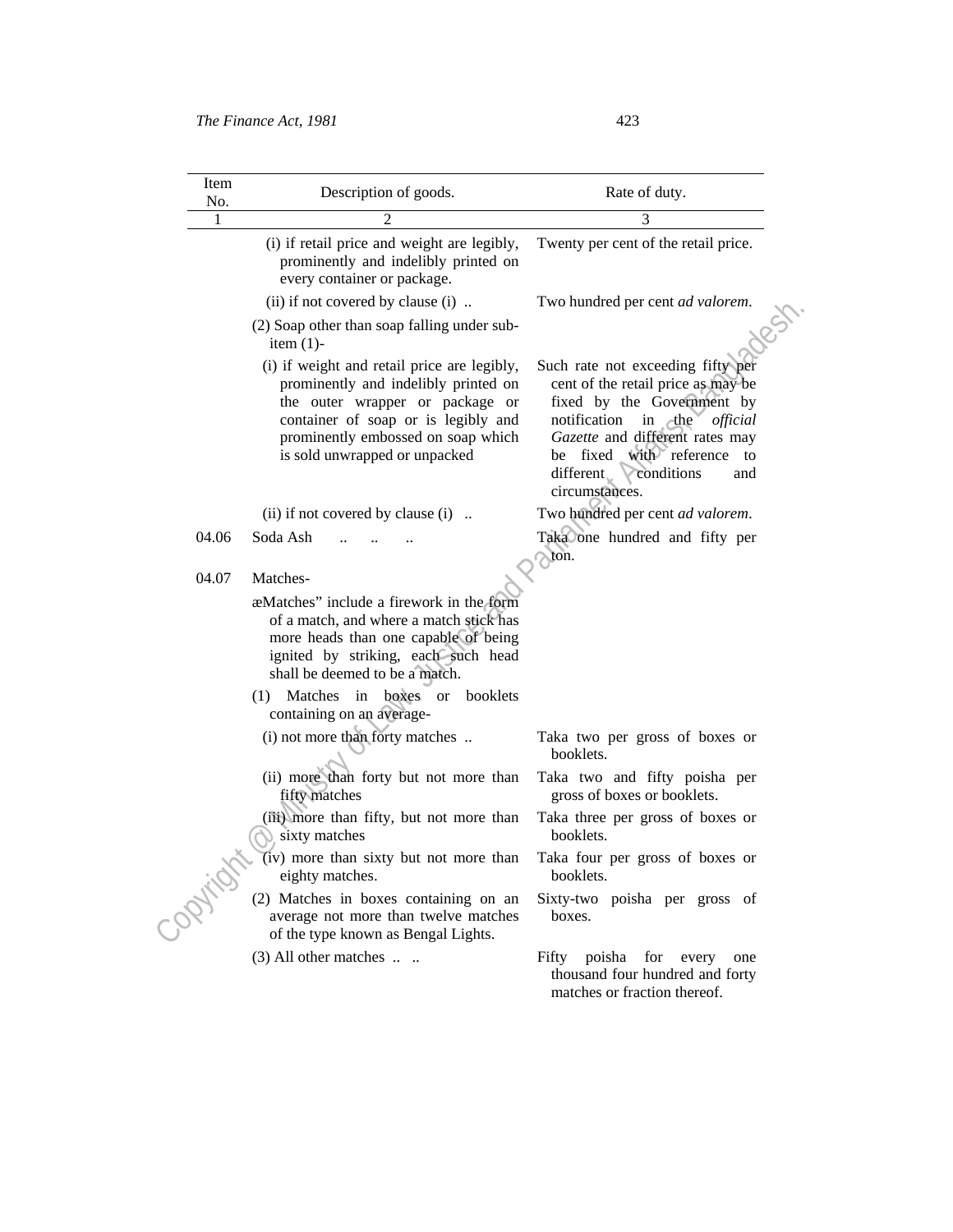| Item<br>No. | Description of goods.                                                                                                                                                                                                                | Rate of duty.                                                                                                                                                                                                                                                           |
|-------------|--------------------------------------------------------------------------------------------------------------------------------------------------------------------------------------------------------------------------------------|-------------------------------------------------------------------------------------------------------------------------------------------------------------------------------------------------------------------------------------------------------------------------|
| 1           | $\overline{c}$                                                                                                                                                                                                                       | 3                                                                                                                                                                                                                                                                       |
|             | (i) if retail price and weight are legibly,<br>prominently and indelibly printed on<br>every container or package.                                                                                                                   | Twenty per cent of the retail price.                                                                                                                                                                                                                                    |
|             | (ii) if not covered by clause (i)                                                                                                                                                                                                    | Two hundred per cent ad valorem.                                                                                                                                                                                                                                        |
|             | (2) Soap other than soap falling under sub-<br>item $(1)$ -                                                                                                                                                                          |                                                                                                                                                                                                                                                                         |
|             | (i) if weight and retail price are legibly,<br>prominently and indelibly printed on<br>the outer wrapper or package or<br>container of soap or is legibly and<br>prominently embossed on soap which<br>is sold unwrapped or unpacked | Such rate not exceeding fifty per<br>cent of the retail price as may be<br>fixed by the Government by<br>notification<br>in the<br>official<br>Gazette and different rates may<br>with reference to<br>fixed<br>be<br>different.<br>conditions<br>and<br>circumstances. |
|             | (ii) if not covered by clause $(i)$                                                                                                                                                                                                  | Two hundred per cent ad valorem.                                                                                                                                                                                                                                        |
| 04.06       | Soda Ash                                                                                                                                                                                                                             | Taka one hundred and fifty per<br>$\sim$ ton.                                                                                                                                                                                                                           |
| 04.07       | Matches-                                                                                                                                                                                                                             |                                                                                                                                                                                                                                                                         |
|             | a eMatches" include a firework in the form<br>of a match, and where a match stick has<br>more heads than one capable of being<br>ignited by striking, each such head<br>shall be deemed to be a match.                               |                                                                                                                                                                                                                                                                         |
|             | Matches in boxes or<br>booklets<br>(1)<br>containing on an average-                                                                                                                                                                  |                                                                                                                                                                                                                                                                         |
|             | (i) not more than forty matches                                                                                                                                                                                                      | Taka two per gross of boxes or<br>booklets.                                                                                                                                                                                                                             |
|             | (ii) more than forty but not more than<br>fifty matches                                                                                                                                                                              | Taka two and fifty poisha per<br>gross of boxes or booklets.                                                                                                                                                                                                            |
|             | (iii) more than fifty, but not more than<br>sixty matches                                                                                                                                                                            | Taka three per gross of boxes or<br>booklets.                                                                                                                                                                                                                           |
|             | (iv) more than sixty but not more than<br>eighty matches.                                                                                                                                                                            | Taka four per gross of boxes or<br>booklets.                                                                                                                                                                                                                            |
| - Optica    | (2) Matches in boxes containing on an<br>average not more than twelve matches<br>of the type known as Bengal Lights.                                                                                                                 | Sixty-two poisha per gross of<br>hoxes.                                                                                                                                                                                                                                 |
|             | $(3)$ All other matches $\dots$                                                                                                                                                                                                      | for every<br>Fifty poisha<br>one<br>thousand four hundred and forty<br>matches or fraction thereof.                                                                                                                                                                     |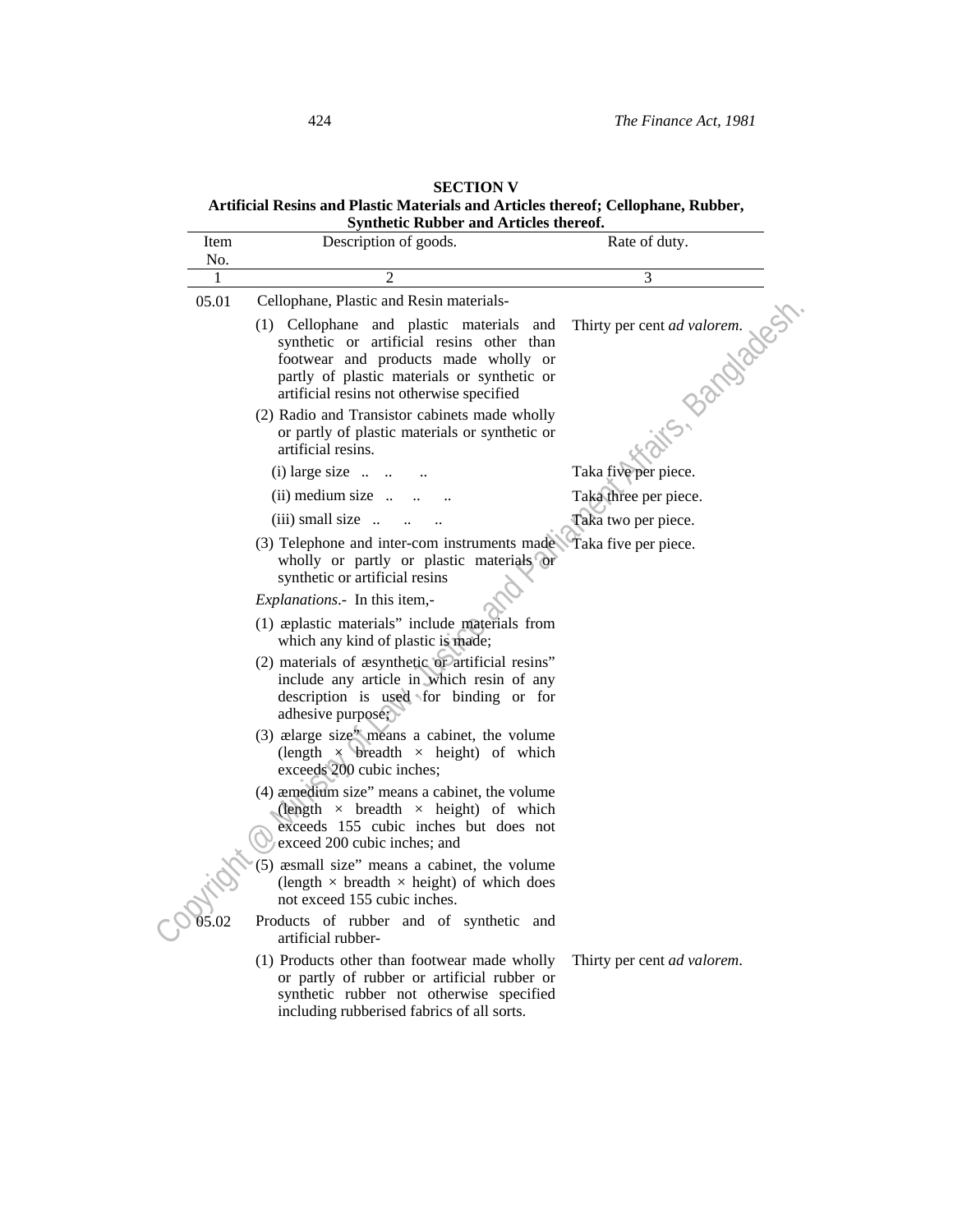# **SECTION V Artificial Resins and Plastic Materials and Articles thereof; Cellophane, Rubber, Synthetic Rubber and Articles thereof.**

| Item     | Description of goods.                                                                                                                                                                                                     | Rate of duty.                              |
|----------|---------------------------------------------------------------------------------------------------------------------------------------------------------------------------------------------------------------------------|--------------------------------------------|
| No.<br>1 | $\mathfrak{D}$                                                                                                                                                                                                            | 3                                          |
| 05.01    | Cellophane, Plastic and Resin materials-                                                                                                                                                                                  |                                            |
|          | (1) Cellophane and plastic materials and<br>synthetic or artificial resins other than<br>footwear and products made wholly or<br>partly of plastic materials or synthetic or<br>artificial resins not otherwise specified | Thirty per cent ad valorem.<br>S- Bandades |
|          | (2) Radio and Transistor cabinets made wholly<br>or partly of plastic materials or synthetic or<br>artificial resins.                                                                                                     |                                            |
|          | $(i)$ large size $\ldots$                                                                                                                                                                                                 | Taka five per piece.                       |
|          | $(ii)$ medium size $\ldots$                                                                                                                                                                                               | Taka three per piece.                      |
|          | $(iii)$ small size $\ldots$                                                                                                                                                                                               | Taka two per piece.                        |
|          | (3) Telephone and inter-com instruments made. Taka five per piece.<br>wholly or partly or plastic materials or<br>synthetic or artificial resins                                                                          |                                            |
|          | Explanations.- In this item,-                                                                                                                                                                                             |                                            |
|          | (1) applastic materials" include materials from<br>which any kind of plastic is made;                                                                                                                                     |                                            |
|          | (2) materials of asynthetic or artificial resins"<br>include any article in which resin of any<br>description is used for binding or for<br>adhesive purpose;                                                             |                                            |
|          | (3) ælarge size" means a cabinet, the volume<br>(length $\times$ breadth $\times$ height) of which<br>exceeds 200 cubic inches;                                                                                           |                                            |
|          | (4) aemedium size" means a cabinet, the volume<br>(length $\times$ breadth $\times$ height) of which<br>exceeds 155 cubic inches but does not<br>exceed 200 cubic inches; and                                             |                                            |
|          | (5) æsmall size" means a cabinet, the volume<br>(length $\times$ breadth $\times$ height) of which does<br>not exceed 155 cubic inches.                                                                                   |                                            |
|          | Products of rubber and of synthetic and<br>artificial rubber-                                                                                                                                                             |                                            |
|          | (1) Products other than footwear made wholly<br>or partly of rubber or artificial rubber or<br>synthetic rubber not otherwise specified<br>including rubberised fabrics of all sorts.                                     | Thirty per cent ad valorem.                |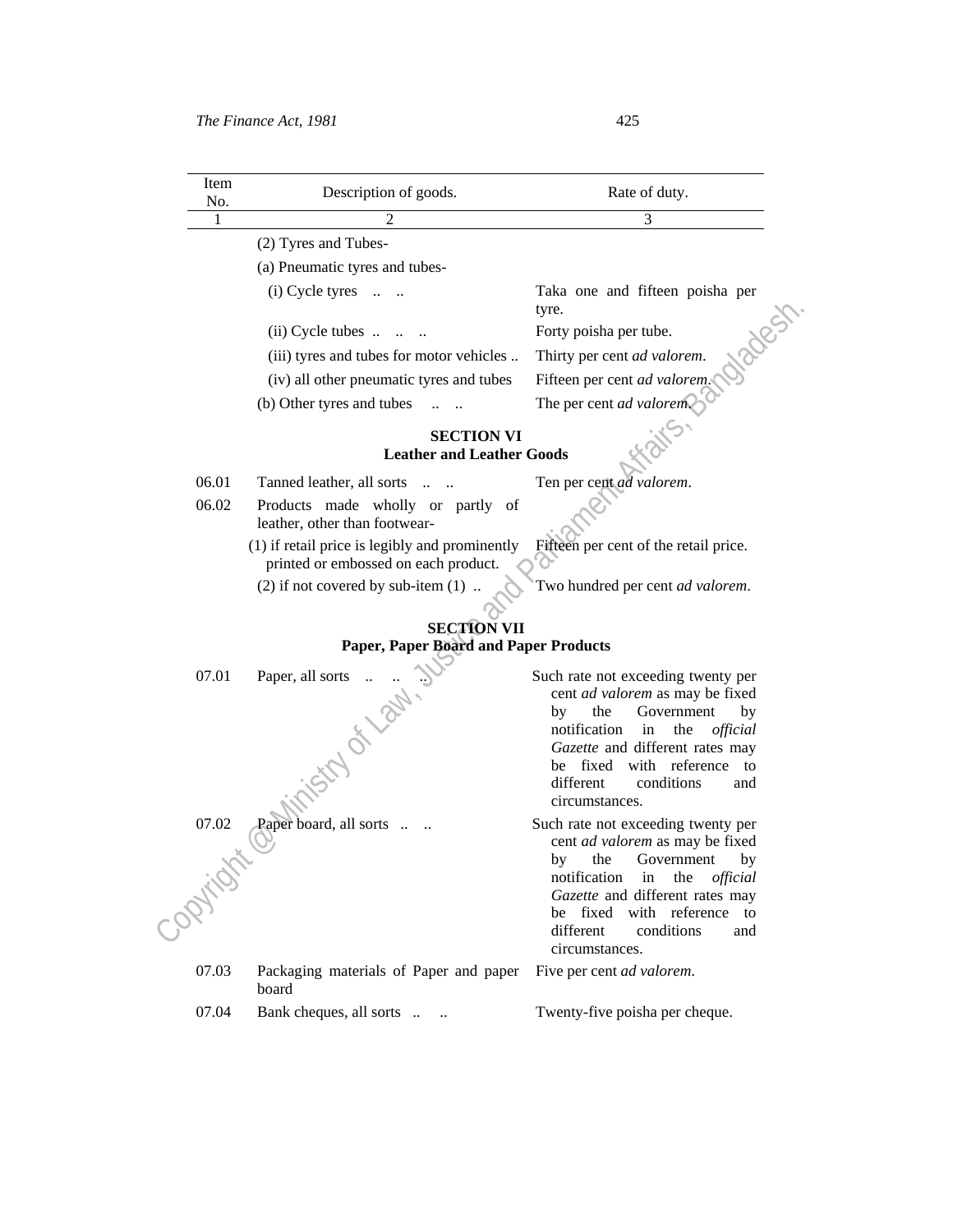| Item<br>No. | Description of goods.                                                                  | Rate of duty.                                                                                                                                                                                                                                                                  |
|-------------|----------------------------------------------------------------------------------------|--------------------------------------------------------------------------------------------------------------------------------------------------------------------------------------------------------------------------------------------------------------------------------|
| 1           |                                                                                        | 3                                                                                                                                                                                                                                                                              |
|             | (2) Tyres and Tubes-                                                                   |                                                                                                                                                                                                                                                                                |
|             | (a) Pneumatic tyres and tubes-                                                         |                                                                                                                                                                                                                                                                                |
|             | $(i)$ Cycle tyres $\ldots$                                                             | Taka one and fifteen poisha per<br>tyre.                                                                                                                                                                                                                                       |
|             | $(ii)$ Cycle tubes $\ldots$                                                            | Forty poisha per tube.                                                                                                                                                                                                                                                         |
|             | (iii) tyres and tubes for motor vehicles                                               | Roc<br>Thirty per cent ad valorem.                                                                                                                                                                                                                                             |
|             | (iv) all other pneumatic tyres and tubes                                               | Fifteen per cent ad valorem                                                                                                                                                                                                                                                    |
|             | (b) Other tyres and tubes                                                              | The per cent ad valorem.                                                                                                                                                                                                                                                       |
|             | <b>SECTION VI</b><br><b>Leather and Leather Goods</b>                                  |                                                                                                                                                                                                                                                                                |
| 06.01       | Tanned leather, all sorts                                                              | Ten per cent ad valorem.                                                                                                                                                                                                                                                       |
| 06.02       | Products made wholly or partly of<br>leather, other than footwear-                     |                                                                                                                                                                                                                                                                                |
|             | (1) if retail price is legibly and prominently<br>printed or embossed on each product. | Fifteen per cent of the retail price.                                                                                                                                                                                                                                          |
|             | $(2)$ if not covered by sub-item $(1)$                                                 | Two hundred per cent ad valorem.                                                                                                                                                                                                                                               |
|             |                                                                                        |                                                                                                                                                                                                                                                                                |
|             | <b>SECTION VII</b><br>Paper, Paper Board and Paper Products                            |                                                                                                                                                                                                                                                                                |
|             |                                                                                        |                                                                                                                                                                                                                                                                                |
| 07.01       | Paper, all sorts<br>isty of Law.                                                       | Such rate not exceeding twenty per<br>cent <i>ad valorem</i> as may be fixed<br>Government<br>the<br>by<br>by<br>notification<br>the<br>official<br>in<br>Gazette and different rates may<br>with reference to<br>be fixed<br>different<br>conditions<br>and<br>circumstances. |
| 07.02       | Paper board, all sorts                                                                 | Such rate not exceeding twenty per<br>cent <i>ad valorem</i> as may be fixed                                                                                                                                                                                                   |
| - Ochitati  |                                                                                        | the<br>Government<br>by<br>by<br>notification<br>the<br>in<br>official<br>Gazette and different rates may<br>be fixed with reference to<br>different<br>conditions<br>and<br>circumstances.                                                                                    |
| 07.03       | Packaging materials of Paper and paper<br>board                                        | Five per cent ad valorem.                                                                                                                                                                                                                                                      |
| 07.04       | Bank cheques, all sorts                                                                | Twenty-five poisha per cheque.                                                                                                                                                                                                                                                 |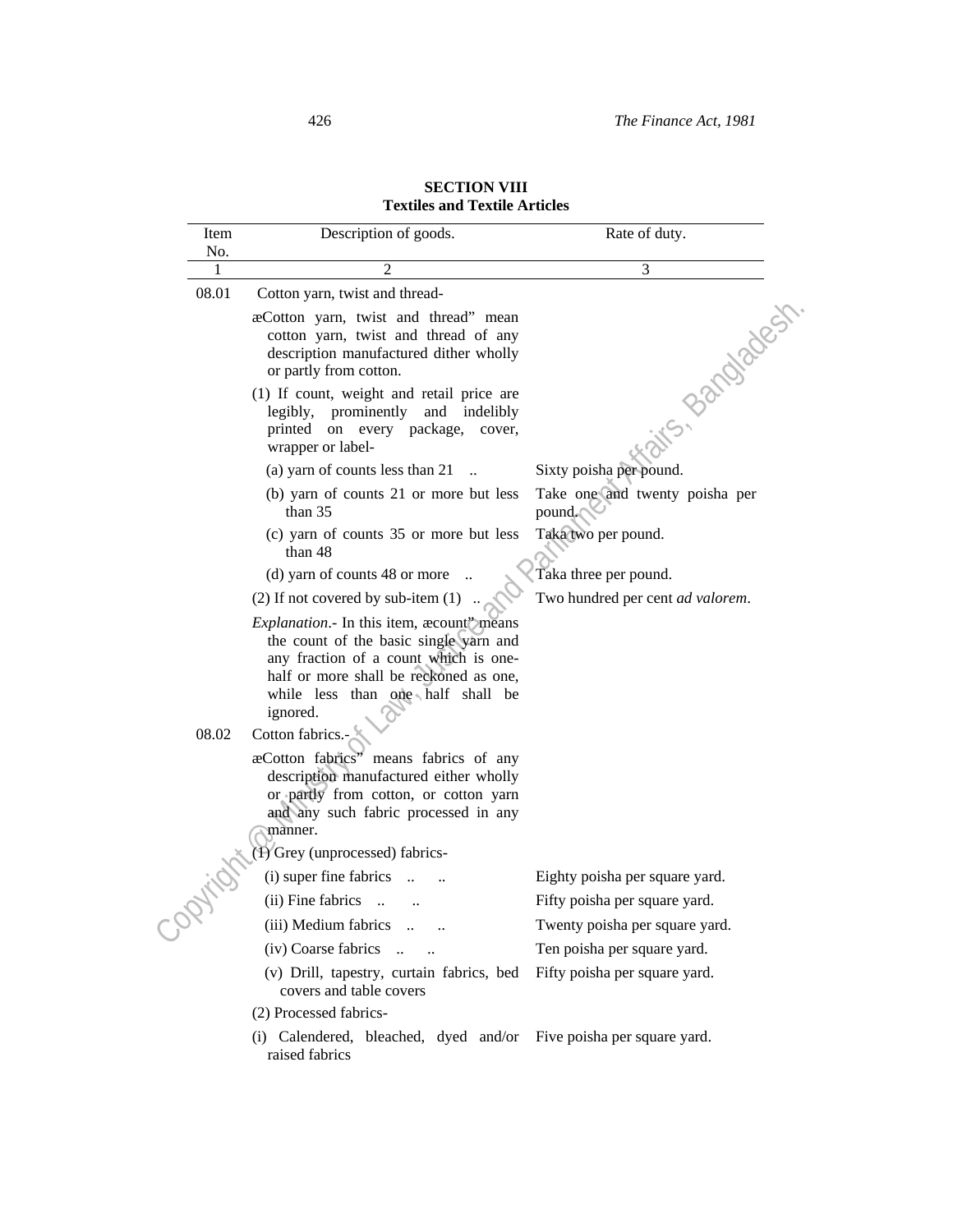| <b>SECTION VIII</b>                  |  |
|--------------------------------------|--|
| <b>Textiles and Textile Articles</b> |  |

| Item  | Description of goods.                                                                                                                                                                                                   | Rate of duty.                            |
|-------|-------------------------------------------------------------------------------------------------------------------------------------------------------------------------------------------------------------------------|------------------------------------------|
| No.   |                                                                                                                                                                                                                         |                                          |
| 1     | 2                                                                                                                                                                                                                       | 3                                        |
| 08.01 | Cotton yarn, twist and thread-<br>æCotton yarn, twist and thread" mean<br>cotton yarn, twist and thread of any<br>description manufactured dither wholly<br>or partly from cotton.                                      | S- Bandades                              |
|       | (1) If count, weight and retail price are<br>legibly, prominently and indelibly<br>printed on every package, cover,<br>wrapper or label-                                                                                |                                          |
|       | (a) yarn of counts less than 21                                                                                                                                                                                         | Sixty poisha per pound.                  |
|       | (b) yarn of counts 21 or more but less<br>than 35                                                                                                                                                                       | Take one and twenty poisha per<br>pound. |
|       | (c) yarn of counts 35 or more but less<br>than 48                                                                                                                                                                       | Taka two per pound.                      |
|       | (d) yarn of counts 48 or more                                                                                                                                                                                           | Taka three per pound.                    |
|       | $(2)$ If not covered by sub-item $(1)$                                                                                                                                                                                  | Two hundred per cent ad valorem.         |
|       | Explanation.- In this item, acount' means<br>the count of the basic single yarn and<br>any fraction of a count which is one-<br>half or more shall be reckoned as one,<br>while less than one half shall be<br>ignored. |                                          |
| 08.02 | Cotton fabrics.-<br>æCotton fabrics" means fabrics of any<br>description manufactured either wholly<br>or partly from cotton, or cotton yarn<br>and any such fabric processed in any<br>manner.                         |                                          |
|       | 1) Grey (unprocessed) fabrics-                                                                                                                                                                                          |                                          |
|       | (i) super fine fabrics                                                                                                                                                                                                  | Eighty poisha per square yard.           |
|       | (ii) Fine fabrics                                                                                                                                                                                                       | Fifty poisha per square yard.            |
|       | (iii) Medium fabrics                                                                                                                                                                                                    | Twenty poisha per square yard.           |
|       | (iv) Coarse fabrics<br>$\dddot{\phantom{1}}$                                                                                                                                                                            | Ten poisha per square yard.              |
|       | (v) Drill, tapestry, curtain fabrics, bed<br>covers and table covers                                                                                                                                                    | Fifty poisha per square yard.            |
|       | (2) Processed fabrics-                                                                                                                                                                                                  |                                          |
|       | (i) Calendered, bleached, dyed and/or Five poisha per square yard.<br>raised fabrics                                                                                                                                    |                                          |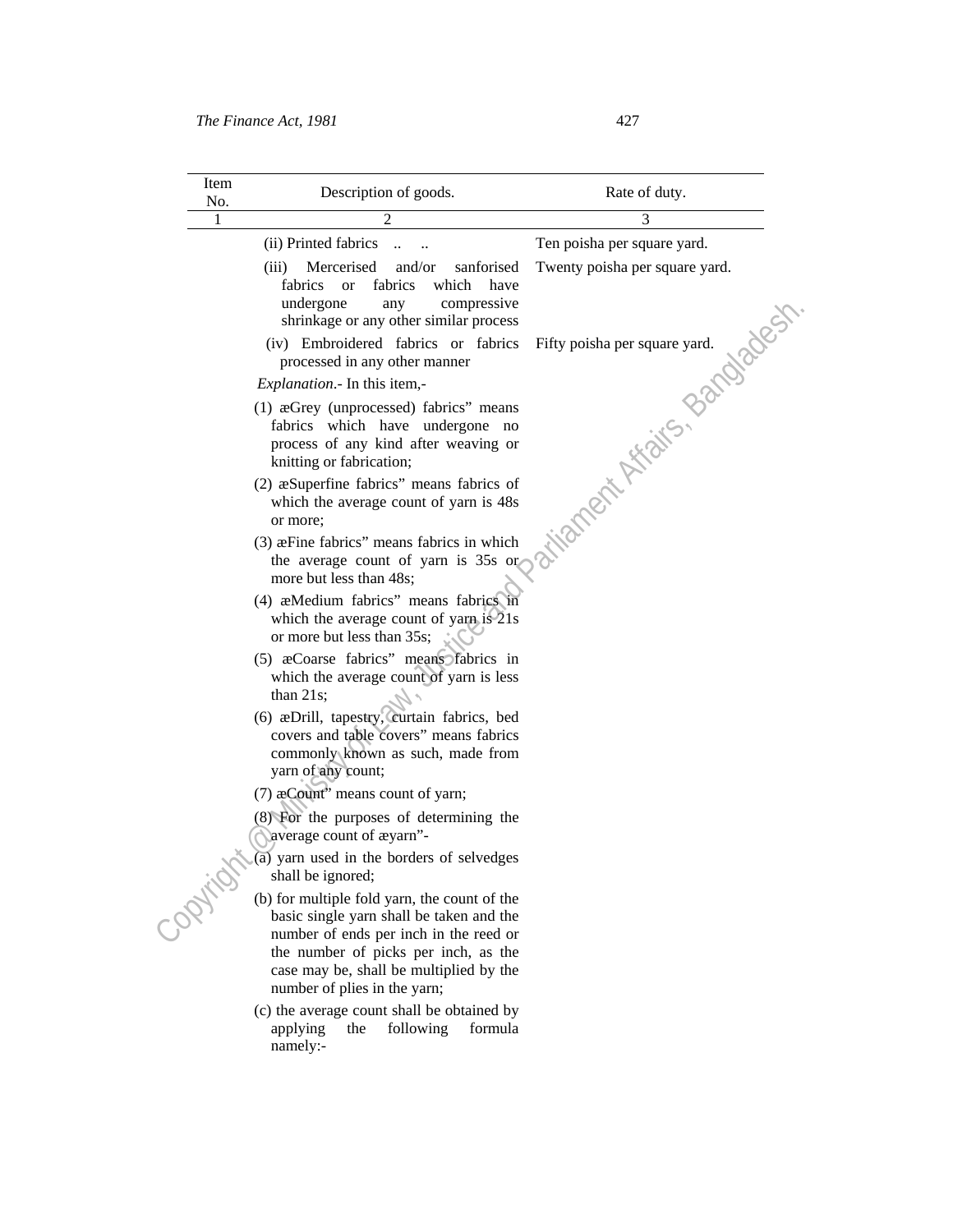| Item<br>No. | Description of goods.                                                                                                                                                                                                                                 | Rate of duty.                  |
|-------------|-------------------------------------------------------------------------------------------------------------------------------------------------------------------------------------------------------------------------------------------------------|--------------------------------|
| 1           | $\overline{2}$                                                                                                                                                                                                                                        | 3                              |
|             | (ii) Printed fabrics                                                                                                                                                                                                                                  | Ten poisha per square yard.    |
|             | Mercerised<br>(iii)<br>and/or<br>sanforised<br>fabrics<br>which<br>fabrics<br>have<br><sub>or</sub><br>undergone<br>compressive<br>any<br>shrinkage or any other similar process                                                                      | Twenty poisha per square yard. |
|             | (iv) Embroidered fabrics or fabrics<br>processed in any other manner                                                                                                                                                                                  |                                |
|             | <i>Explanation</i> . In this item,-                                                                                                                                                                                                                   |                                |
|             | (1) $\alpha$ Grey (unprocessed) fabrics" means<br>fabrics which have undergone no<br>process of any kind after weaving or<br>knitting or fabrication;                                                                                                 | tianent Asian Bandadesh        |
|             | (2) as Superfine fabrics" means fabrics of<br>which the average count of yarn is 48s<br>or more;                                                                                                                                                      |                                |
|             | (3) æFine fabrics" means fabrics in which<br>the average count of yarn is 35s or<br>more but less than 48s;                                                                                                                                           |                                |
|             | (4) æMedium fabrics" means fabrics in<br>which the average count of yarn is 21s<br>or more but less than 35s;                                                                                                                                         |                                |
|             | (5) æCoarse fabrics" means fabrics in<br>which the average count of yarn is less<br>than $21s$ ;                                                                                                                                                      |                                |
|             | (6) æDrill, tapestry, curtain fabrics, bed<br>covers and table covers" means fabrics<br>commonly known as such, made from<br>yarn of any count;                                                                                                       |                                |
|             | (7) $\alpha$ Count" means count of yarn;                                                                                                                                                                                                              |                                |
|             | (8) For the purposes of determining the<br>Naverage count of æyarn"-                                                                                                                                                                                  |                                |
|             | (a) yarn used in the borders of selvedges<br>shall be ignored;                                                                                                                                                                                        |                                |
| ORITIO      | (b) for multiple fold yarn, the count of the<br>basic single yarn shall be taken and the<br>number of ends per inch in the reed or<br>the number of picks per inch, as the<br>case may be, shall be multiplied by the<br>number of plies in the yarn; |                                |
|             | (c) the average count shall be obtained by<br>following<br>formula<br>applying<br>the<br>namely:-                                                                                                                                                     |                                |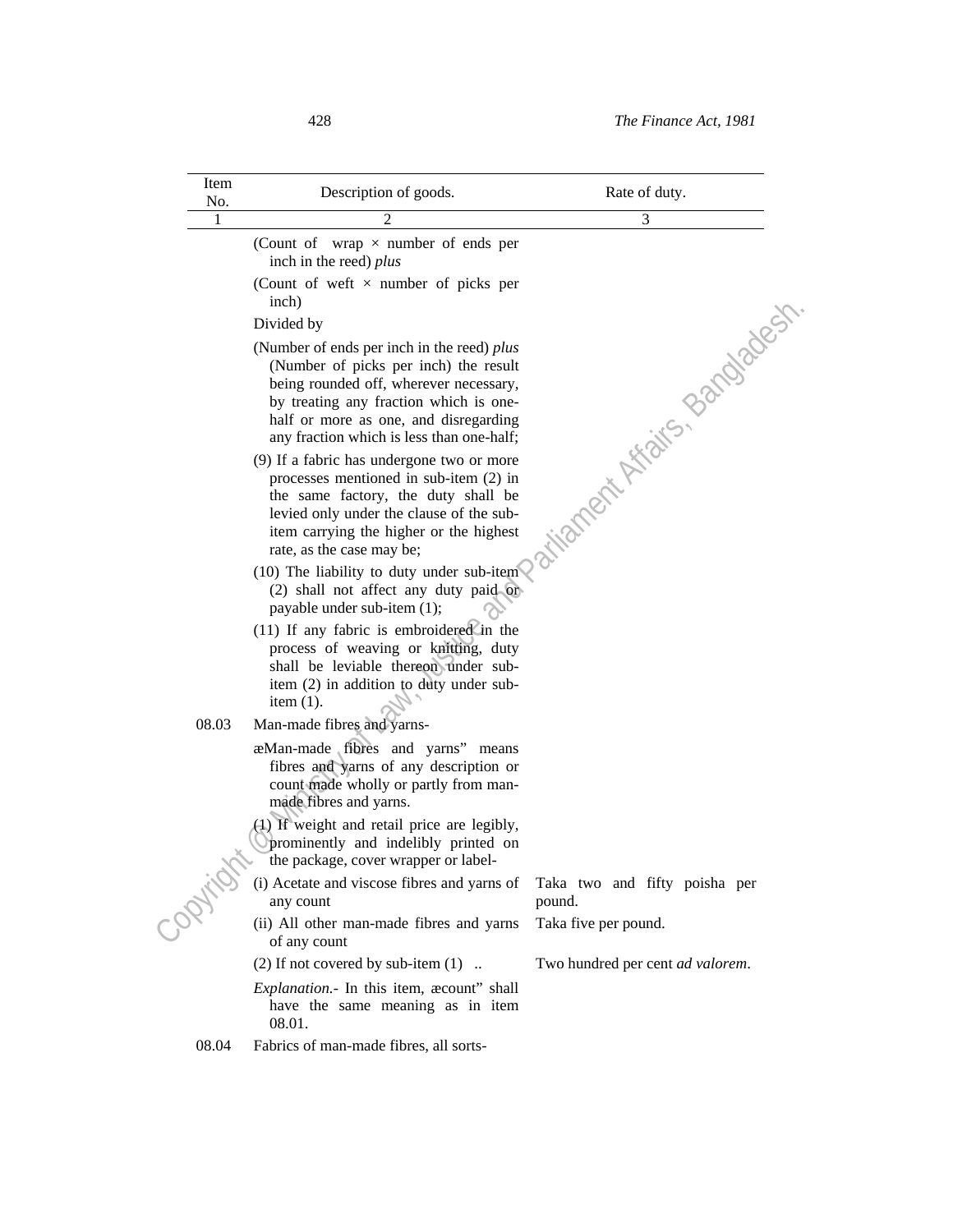| Item<br>No. | Description of goods.                                                                                                                                                                                                                                         | Rate of duty.                           |
|-------------|---------------------------------------------------------------------------------------------------------------------------------------------------------------------------------------------------------------------------------------------------------------|-----------------------------------------|
| 1           | 2                                                                                                                                                                                                                                                             | 3                                       |
|             | (Count of wrap $\times$ number of ends per<br>inch in the reed) plus                                                                                                                                                                                          |                                         |
|             | (Count of weft $\times$ number of picks per<br>inch)                                                                                                                                                                                                          |                                         |
|             | Divided by                                                                                                                                                                                                                                                    |                                         |
|             | (Number of ends per inch in the reed) plus<br>(Number of picks per inch) the result<br>being rounded off, wherever necessary,<br>by treating any fraction which is one-<br>half or more as one, and disregarding<br>any fraction which is less than one-half; | ationert Afaits, pandades               |
|             | (9) If a fabric has undergone two or more<br>processes mentioned in sub-item (2) in<br>the same factory, the duty shall be<br>levied only under the clause of the sub-<br>item carrying the higher or the highest<br>rate, as the case may be;                |                                         |
|             | (10) The liability to duty under sub-item<br>(2) shall not affect any duty paid or<br>payable under sub-item (1);                                                                                                                                             |                                         |
|             | $(11)$ If any fabric is embroidered in the<br>process of weaving or knitting, duty<br>shall be leviable thereon under sub-<br>item (2) in addition to duty under sub-<br>item $(1)$ .                                                                         |                                         |
| 08.03       | Man-made fibres and yarns-                                                                                                                                                                                                                                    |                                         |
|             | æMan-made fibres and yarns" means<br>fibres and yarns of any description or<br>count made wholly or partly from man-<br>made fibres and yarns.                                                                                                                |                                         |
|             | (4) If weight and retail price are legibly,<br>prominently and indelibly printed on<br>the package, cover wrapper or label-                                                                                                                                   |                                         |
|             | (i) Acetate and viscose fibres and yarns of<br>any count                                                                                                                                                                                                      | Taka two and fifty poisha per<br>pound. |
|             | (ii) All other man-made fibres and yarns<br>of any count                                                                                                                                                                                                      | Taka five per pound.                    |
|             | $(2)$ If not covered by sub-item $(1)$                                                                                                                                                                                                                        | Two hundred per cent ad valorem.        |
|             | <i>Explanation.</i> - In this item, <i>acount</i> " shall<br>have the same meaning as in item<br>08.01.                                                                                                                                                       |                                         |
| 08.04       | Fabrics of man-made fibres, all sorts-                                                                                                                                                                                                                        |                                         |
|             |                                                                                                                                                                                                                                                               |                                         |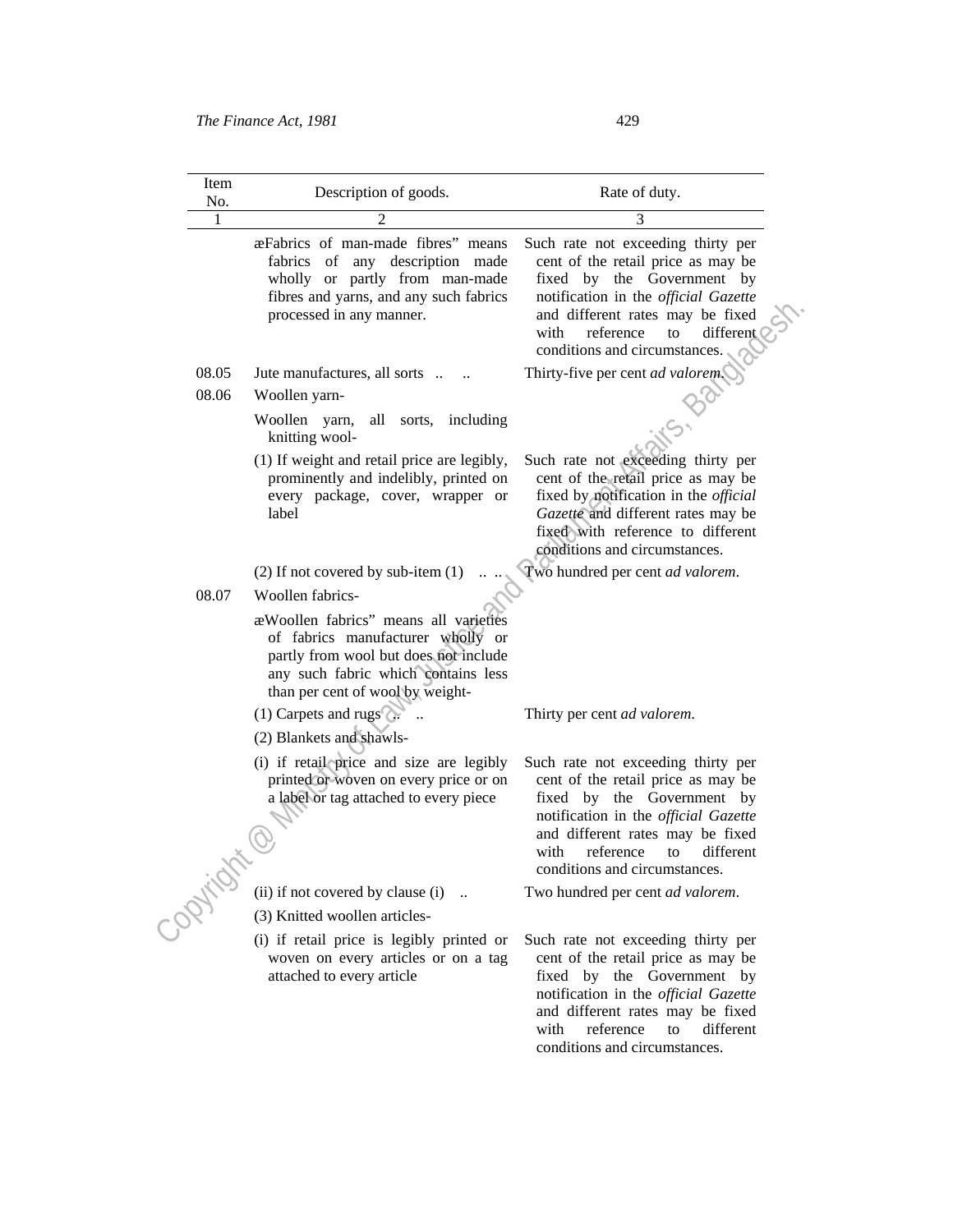| Item<br>No. | Description of goods.                                                                                                                                                                           | Rate of duty.                                                                                                                                                                                                                                               |
|-------------|-------------------------------------------------------------------------------------------------------------------------------------------------------------------------------------------------|-------------------------------------------------------------------------------------------------------------------------------------------------------------------------------------------------------------------------------------------------------------|
|             | 2                                                                                                                                                                                               | 3                                                                                                                                                                                                                                                           |
|             | æFabrics of man-made fibres" means<br>fabrics of<br>any description made<br>wholly or partly from man-made<br>fibres and yarns, and any such fabrics<br>processed in any manner.                | Such rate not exceeding thirty per<br>cent of the retail price as may be<br>fixed by the Government by<br>notification in the official Gazette<br>and different rates may be fixed<br>reference<br>different<br>with<br>to<br>conditions and circumstances. |
| 08.05       | Jute manufactures, all sorts                                                                                                                                                                    | Thirty-five per cent ad valorem.                                                                                                                                                                                                                            |
| 08.06       | Woollen yarn-                                                                                                                                                                                   |                                                                                                                                                                                                                                                             |
|             | Woollen yarn,<br>all sorts, including<br>knitting wool-                                                                                                                                         |                                                                                                                                                                                                                                                             |
|             | (1) If weight and retail price are legibly,<br>prominently and indelibly, printed on<br>every package, cover, wrapper or<br>label                                                               | Such rate not exceeding thirty per<br>cent of the retail price as may be<br>fixed by notification in the <i>official</i><br>Gazette and different rates may be<br>fixed with reference to different<br>conditions and circumstances.                        |
|             | $(2)$ If not covered by sub-item $(1)$                                                                                                                                                          | Two hundred per cent ad valorem.                                                                                                                                                                                                                            |
| 08.07       | Woollen fabrics-                                                                                                                                                                                |                                                                                                                                                                                                                                                             |
|             | a Woollen fabrics" means all varieties<br>of fabrics manufacturer wholly or<br>partly from wool but does not include<br>any such fabric which contains less<br>than per cent of wool by weight- |                                                                                                                                                                                                                                                             |
|             | $(1)$ Carpets and rugs                                                                                                                                                                          | Thirty per cent ad valorem.                                                                                                                                                                                                                                 |
|             | (2) Blankets and shawls-                                                                                                                                                                        |                                                                                                                                                                                                                                                             |
|             | (i) if retail price and size are legibly<br>printed or woven on every price or on<br>a label or tag attached to every piece                                                                     | Such rate not exceeding thirty per<br>cent of the retail price as may be<br>fixed by the Government by<br>notification in the official Gazette<br>and different rates may be fixed<br>different<br>with<br>reference<br>to<br>conditions and circumstances. |
|             | (ii) if not covered by clause (i) $\ldots$                                                                                                                                                      | Two hundred per cent ad valorem.                                                                                                                                                                                                                            |
| ·ORIVER     | (3) Knitted woollen articles-                                                                                                                                                                   |                                                                                                                                                                                                                                                             |
|             | (i) if retail price is legibly printed or<br>woven on every articles or on a tag<br>attached to every article                                                                                   | Such rate not exceeding thirty per<br>cent of the retail price as may be<br>fixed by the Government by<br>notification in the official Gazette<br>and different rates may be fixed<br>reference<br>different<br>with<br>to<br>conditions and circumstances. |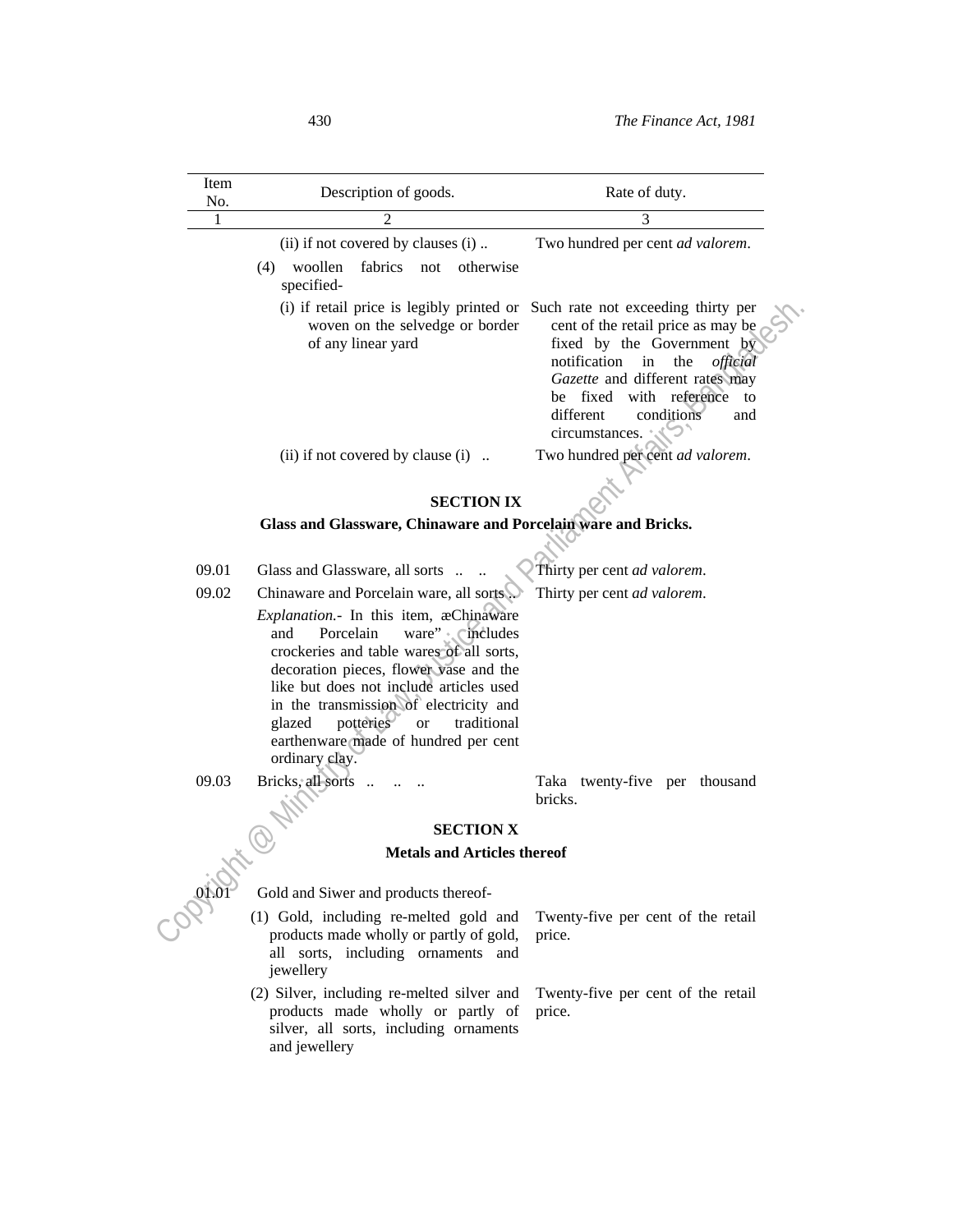| Item<br>No. | Description of goods.                                                                                                                                                                                                                                                                                                                                                            | Rate of duty.                                                                                                                                                                                                                     |
|-------------|----------------------------------------------------------------------------------------------------------------------------------------------------------------------------------------------------------------------------------------------------------------------------------------------------------------------------------------------------------------------------------|-----------------------------------------------------------------------------------------------------------------------------------------------------------------------------------------------------------------------------------|
|             |                                                                                                                                                                                                                                                                                                                                                                                  | 3                                                                                                                                                                                                                                 |
|             | (ii) if not covered by clauses (i)                                                                                                                                                                                                                                                                                                                                               | Two hundred per cent ad valorem.                                                                                                                                                                                                  |
|             | woollen<br>fabrics not<br>otherwise<br>(4)<br>specified-                                                                                                                                                                                                                                                                                                                         |                                                                                                                                                                                                                                   |
|             | (i) if retail price is legibly printed or Such rate not exceeding thirty per<br>woven on the selvedge or border<br>of any linear yard                                                                                                                                                                                                                                            | cent of the retail price as may be<br>fixed by the Government by<br>notification<br>in<br>the<br>official<br>Gazette and different rates may<br>be fixed with reference<br>to<br>different<br>conditions<br>and<br>circumstances. |
|             | (ii) if not covered by clause (i) $\ldots$                                                                                                                                                                                                                                                                                                                                       | Two hundred per cent ad valorem.                                                                                                                                                                                                  |
|             | <b>SECTION IX</b>                                                                                                                                                                                                                                                                                                                                                                |                                                                                                                                                                                                                                   |
|             | Glass and Glassware, Chinaware and Porcelain ware and Bricks.                                                                                                                                                                                                                                                                                                                    |                                                                                                                                                                                                                                   |
|             |                                                                                                                                                                                                                                                                                                                                                                                  |                                                                                                                                                                                                                                   |
| 09.01       | Glass and Glassware, all sorts                                                                                                                                                                                                                                                                                                                                                   | Thirty per cent ad valorem.                                                                                                                                                                                                       |
| 09.02       | Chinaware and Porcelain ware, all sorts.                                                                                                                                                                                                                                                                                                                                         | Thirty per cent ad valorem.                                                                                                                                                                                                       |
|             | Explanation.- In this item, æChinaware<br>ware" cincludes<br>Porcelain<br>and<br>crockeries and table wares of all sorts,<br>decoration pieces, flower vase and the<br>like but does not include articles used<br>in the transmission of electricity and<br>potteries<br>traditional<br>glazed<br>$\hbox{or}\hskip2pt$<br>earthenware made of hundred per cent<br>ordinary clay. |                                                                                                                                                                                                                                   |
| 09.03       | Bricks, all sorts                                                                                                                                                                                                                                                                                                                                                                | Taka twenty-five per thousand<br>bricks.                                                                                                                                                                                          |
|             |                                                                                                                                                                                                                                                                                                                                                                                  |                                                                                                                                                                                                                                   |
|             | <b>SECTION X</b>                                                                                                                                                                                                                                                                                                                                                                 |                                                                                                                                                                                                                                   |
|             | <b>Metals and Articles thereof</b>                                                                                                                                                                                                                                                                                                                                               |                                                                                                                                                                                                                                   |
| 01.01       | Gold and Siwer and products thereof-                                                                                                                                                                                                                                                                                                                                             |                                                                                                                                                                                                                                   |
|             | (1) Gold, including re-melted gold and<br>products made wholly or partly of gold,<br>all sorts, including ornaments and<br>jewellery                                                                                                                                                                                                                                             | Twenty-five per cent of the retail<br>price.                                                                                                                                                                                      |
|             | (2) Silver, including re-melted silver and<br>products made wholly or partly of<br>silver, all sorts, including ornaments<br>and jewellery                                                                                                                                                                                                                                       | Twenty-five per cent of the retail<br>price.                                                                                                                                                                                      |
|             |                                                                                                                                                                                                                                                                                                                                                                                  |                                                                                                                                                                                                                                   |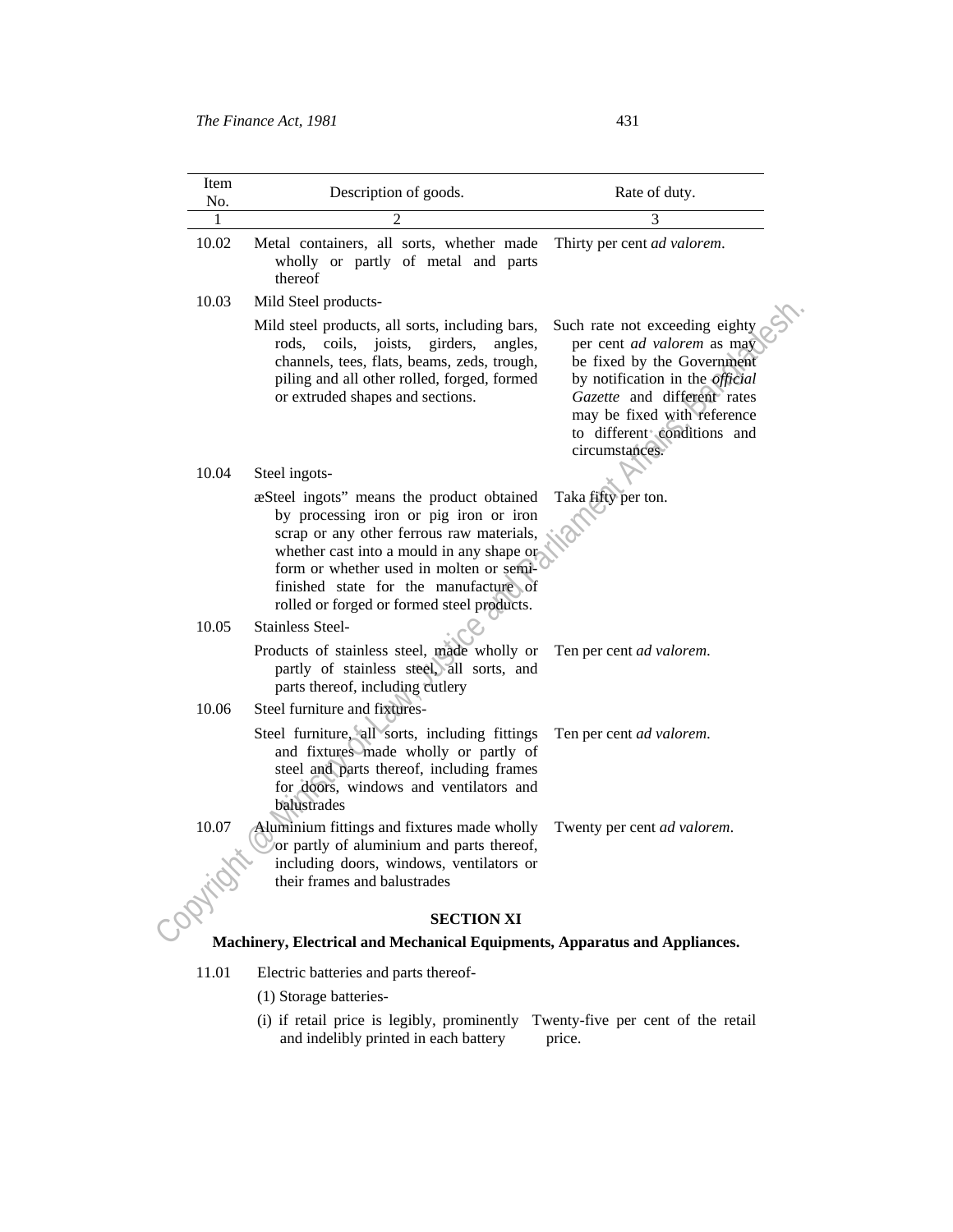| Item<br>No. | Description of goods.                                                                                                                                                                                                                                                                                           | Rate of duty.                                                                                                                                                                                                                                              |
|-------------|-----------------------------------------------------------------------------------------------------------------------------------------------------------------------------------------------------------------------------------------------------------------------------------------------------------------|------------------------------------------------------------------------------------------------------------------------------------------------------------------------------------------------------------------------------------------------------------|
| 1           | $\mathfrak{D}$                                                                                                                                                                                                                                                                                                  | 3                                                                                                                                                                                                                                                          |
| 10.02       | Metal containers, all sorts, whether made<br>wholly or partly of metal and parts<br>thereof                                                                                                                                                                                                                     | Thirty per cent ad valorem.                                                                                                                                                                                                                                |
| 10.03       | Mild Steel products-                                                                                                                                                                                                                                                                                            |                                                                                                                                                                                                                                                            |
|             | Mild steel products, all sorts, including bars,<br>coils, joists,<br>girders,<br>rods.<br>angles.<br>channels, tees, flats, beams, zeds, trough,<br>piling and all other rolled, forged, formed<br>or extruded shapes and sections.                                                                             | Such rate not exceeding eighty<br>per cent <i>ad valorem</i> as may<br>be fixed by the Government<br>by notification in the <i>official</i><br>Gazette and different rates<br>may be fixed with reference<br>to different conditions and<br>circumstances. |
| 10.04       | Steel ingots-                                                                                                                                                                                                                                                                                                   |                                                                                                                                                                                                                                                            |
|             | æSteel ingots" means the product obtained<br>by processing iron or pig iron or iron<br>scrap or any other ferrous raw materials,<br>whether cast into a mould in any shape or<br>form or whether used in molten or semi-<br>finished state for the manufacture of<br>rolled or forged or formed steel products. | Taka fifty per ton.                                                                                                                                                                                                                                        |
| 10.05       | Stainless Steel-                                                                                                                                                                                                                                                                                                |                                                                                                                                                                                                                                                            |
|             | Products of stainless steel, made wholly or<br>partly of stainless steel, all sorts, and<br>parts thereof, including eutlery                                                                                                                                                                                    | Ten per cent ad valorem.                                                                                                                                                                                                                                   |
| 10.06       | Steel furniture and fixtures-                                                                                                                                                                                                                                                                                   |                                                                                                                                                                                                                                                            |
|             | Steel furniture, all sorts, including fittings<br>and fixtures made wholly or partly of<br>steel and parts thereof, including frames<br>for doors, windows and ventilators and<br>balustrades                                                                                                                   | Ten per cent ad valorem.                                                                                                                                                                                                                                   |
| 10.07       | Aluminium fittings and fixtures made wholly<br>or partly of aluminium and parts thereof,<br>including doors, windows, ventilators or<br>their frames and balustrades                                                                                                                                            | Twenty per cent ad valorem.                                                                                                                                                                                                                                |
|             | <b>SECTION XI</b>                                                                                                                                                                                                                                                                                               |                                                                                                                                                                                                                                                            |
|             | Machinery, Electrical and Mechanical Equipments, Apparatus and Appliances.                                                                                                                                                                                                                                      |                                                                                                                                                                                                                                                            |
| 11.01       | Electric batteries and parts thereof-                                                                                                                                                                                                                                                                           |                                                                                                                                                                                                                                                            |
|             |                                                                                                                                                                                                                                                                                                                 |                                                                                                                                                                                                                                                            |

- (1) Storage batteries-
- (i) if retail price is legibly, prominently and indelibly printed in each battery Twenty-five per cent of the retail price.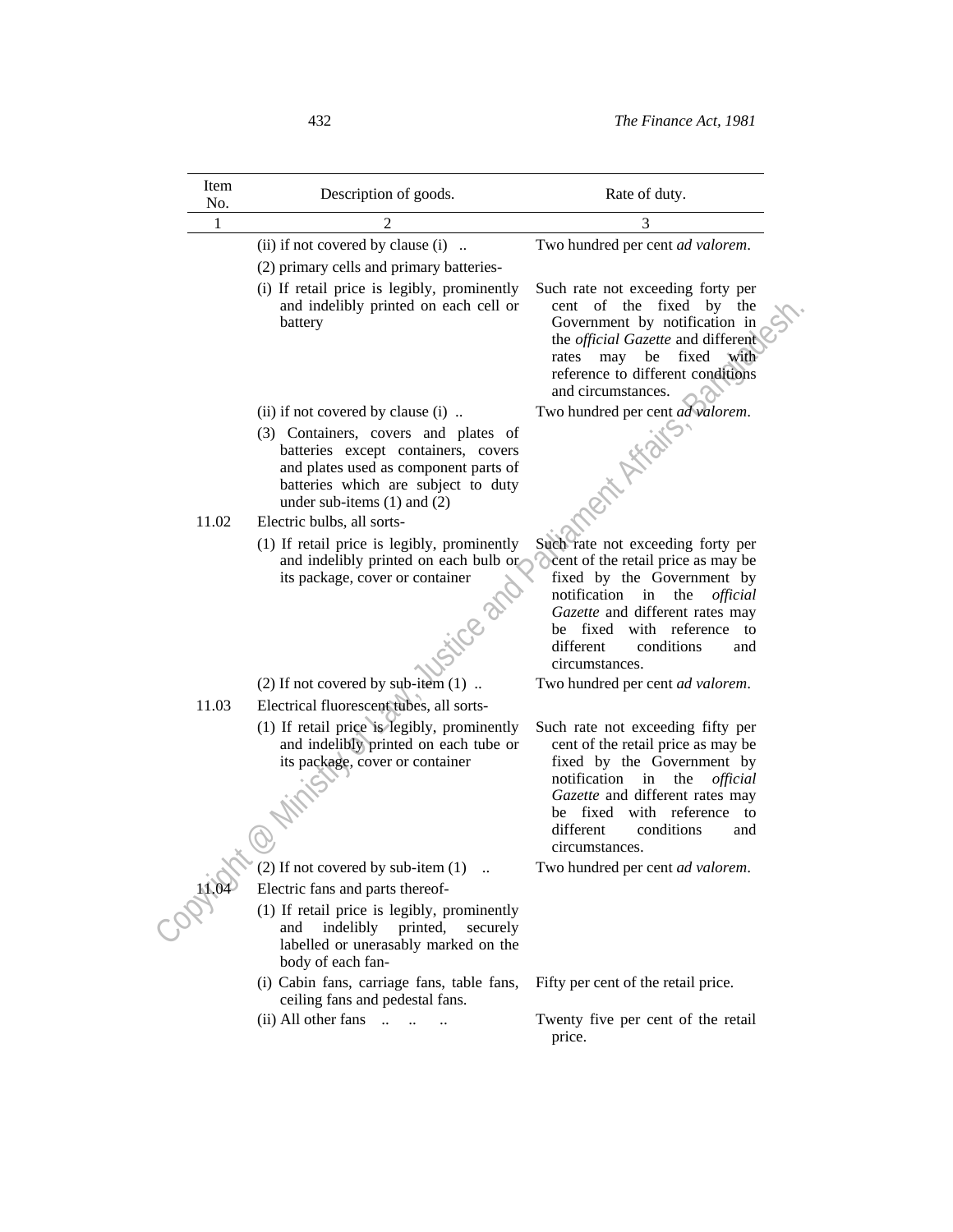| Item<br>No. | Description of goods.                                                                                                                                                                          | Rate of duty.                                                                                                                                                                                                                                                 |
|-------------|------------------------------------------------------------------------------------------------------------------------------------------------------------------------------------------------|---------------------------------------------------------------------------------------------------------------------------------------------------------------------------------------------------------------------------------------------------------------|
| 1           |                                                                                                                                                                                                | 3                                                                                                                                                                                                                                                             |
|             | (ii) if not covered by clause (i)                                                                                                                                                              | Two hundred per cent ad valorem.                                                                                                                                                                                                                              |
|             | (2) primary cells and primary batteries-                                                                                                                                                       |                                                                                                                                                                                                                                                               |
|             | (i) If retail price is legibly, prominently<br>and indelibly printed on each cell or<br>battery                                                                                                | Such rate not exceeding forty per<br>cent of the fixed by the<br>Government by notification in<br>the <i>official Gazette</i> and different<br>may<br>be<br>fixed<br>with<br>rates<br>reference to different conditions<br>and circumstances.                 |
|             | (ii) if not covered by clause (i)                                                                                                                                                              | Two hundred per cent ad valorem.                                                                                                                                                                                                                              |
|             | (3) Containers, covers and plates of<br>batteries except containers, covers<br>and plates used as component parts of<br>batteries which are subject to duty<br>under sub-items $(1)$ and $(2)$ |                                                                                                                                                                                                                                                               |
| 11.02       | Electric bulbs, all sorts-                                                                                                                                                                     |                                                                                                                                                                                                                                                               |
|             | (1) If retail price is legibly, prominently<br>and indelibly printed on each bulb or<br>its package, cover or container<br>HICED                                                               | Such rate not exceeding forty per<br>Cent of the retail price as may be<br>fixed by the Government by<br>notification in the<br>official<br>Gazette and different rates may<br>be fixed with reference to<br>different<br>conditions<br>and<br>circumstances. |
|             | $(2)$ If not covered by sub-item $(1)$                                                                                                                                                         | Two hundred per cent ad valorem.                                                                                                                                                                                                                              |
| 11.03       | Electrical fluorescent tubes, all sorts-                                                                                                                                                       |                                                                                                                                                                                                                                                               |
|             | (1) If retail price is legibly, prominently<br>and indelibly printed on each tube or<br>its package, cover or container                                                                        | Such rate not exceeding fifty per<br>cent of the retail price as may be<br>fixed by the Government by<br>notification in the<br>official<br>Gazette and different rates may<br>be fixed with reference to<br>different<br>conditions<br>and<br>circumstances. |
|             | (2) If not covered by sub-item (1)                                                                                                                                                             | Two hundred per cent ad valorem.                                                                                                                                                                                                                              |
| 14.04       | Electric fans and parts thereof-                                                                                                                                                               |                                                                                                                                                                                                                                                               |
|             | (1) If retail price is legibly, prominently<br>indelibly printed,<br>and<br>securely<br>labelled or unerasably marked on the<br>body of each fan-                                              |                                                                                                                                                                                                                                                               |
|             | (i) Cabin fans, carriage fans, table fans,<br>ceiling fans and pedestal fans.                                                                                                                  | Fifty per cent of the retail price.                                                                                                                                                                                                                           |
|             | $(ii)$ All other fans $\ldots$ $\ldots$ $\ldots$                                                                                                                                               | Twenty five per cent of the retail<br>price.                                                                                                                                                                                                                  |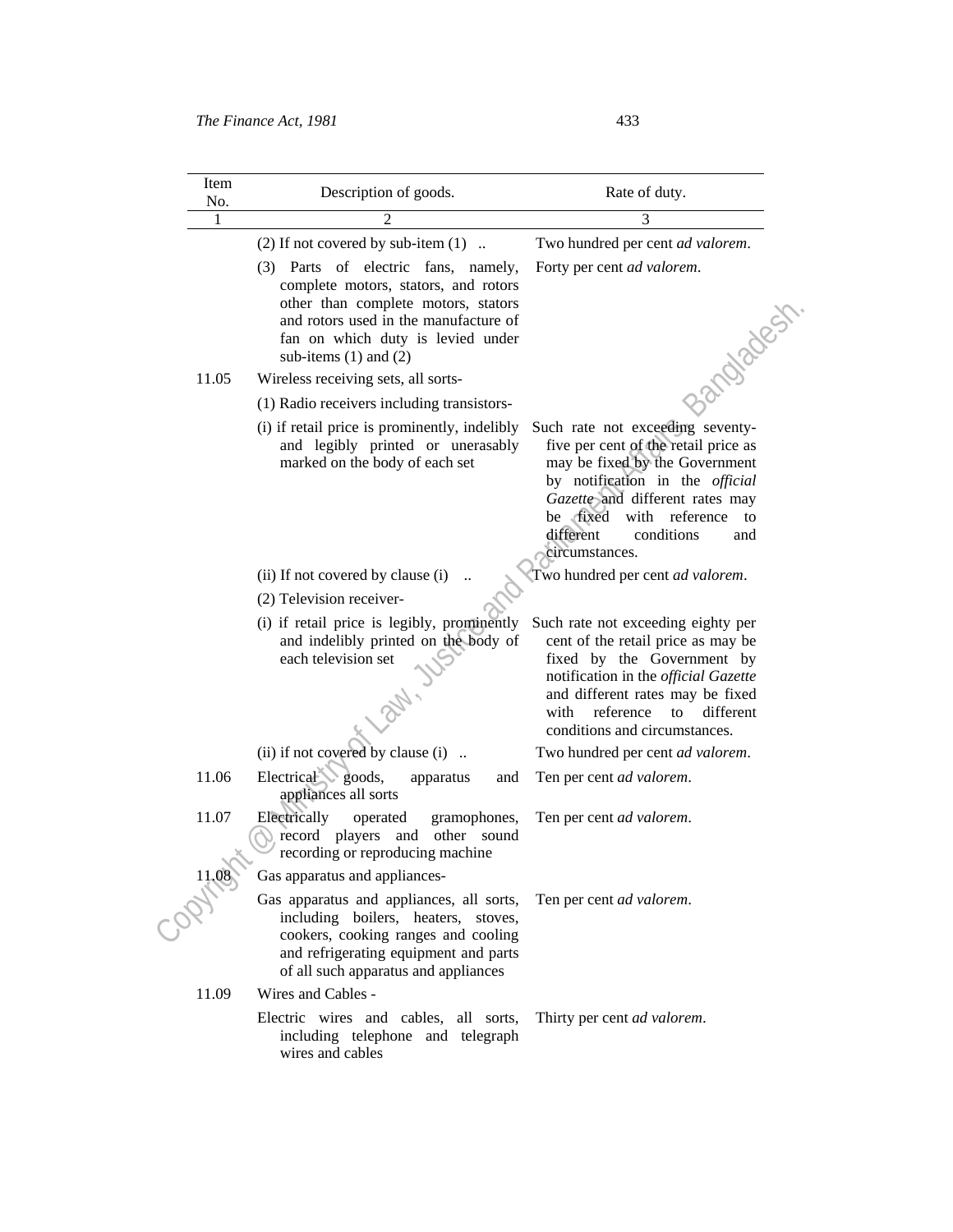| Item<br>No. | Description of goods.                                                                                                                                                                                                         | Rate of duty.                                                                                                                                                                                                                                                            |
|-------------|-------------------------------------------------------------------------------------------------------------------------------------------------------------------------------------------------------------------------------|--------------------------------------------------------------------------------------------------------------------------------------------------------------------------------------------------------------------------------------------------------------------------|
|             | $\mathfrak{D}$                                                                                                                                                                                                                | 3                                                                                                                                                                                                                                                                        |
|             | $(2)$ If not covered by sub-item $(1)$                                                                                                                                                                                        | Two hundred per cent ad valorem.                                                                                                                                                                                                                                         |
|             | (3) Parts of electric fans, namely,<br>complete motors, stators, and rotors<br>other than complete motors, stators<br>and rotors used in the manufacture of<br>fan on which duty is levied under<br>sub-items $(1)$ and $(2)$ | Forty per cent ad valorem.<br>33 molest                                                                                                                                                                                                                                  |
| 11.05       | Wireless receiving sets, all sorts-                                                                                                                                                                                           |                                                                                                                                                                                                                                                                          |
|             | (1) Radio receivers including transistors-                                                                                                                                                                                    |                                                                                                                                                                                                                                                                          |
|             | (i) if retail price is prominently, indelibly<br>and legibly printed or unerasably<br>marked on the body of each set                                                                                                          | Such rate not exceeding seventy-<br>five per cent of the retail price as<br>may be fixed by the Government<br>by notification in the official<br>Gazette and different rates may<br>be fixed<br>with reference<br>to<br>different<br>conditions<br>and<br>circumstances. |
|             | (ii) If not covered by clause (i)                                                                                                                                                                                             | Two hundred per cent ad valorem.                                                                                                                                                                                                                                         |
|             | (2) Television receiver-                                                                                                                                                                                                      |                                                                                                                                                                                                                                                                          |
|             | (i) if retail price is legibly, prominently<br>and indelibly printed on the body of<br>each television set<br><b>1241</b>                                                                                                     | Such rate not exceeding eighty per<br>cent of the retail price as may be<br>fixed by the Government by<br>notification in the official Gazette<br>and different rates may be fixed<br>reference<br>different<br>with<br>to<br>conditions and circumstances.              |
|             | (ii) if not covered by clause (i)                                                                                                                                                                                             | Two hundred per cent ad valorem.                                                                                                                                                                                                                                         |
| 11.06       | Electrical goods,<br>apparatus<br>and<br>appliances all sorts                                                                                                                                                                 | Ten per cent ad valorem.                                                                                                                                                                                                                                                 |
| 11.07       | Electrically<br>operated<br>gramophones,<br>record players and other sound<br>recording or reproducing machine<br>Gas apparatus and appliances-                                                                               | Ten per cent ad valorem.                                                                                                                                                                                                                                                 |
| 11.08       | Gas apparatus and appliances, all sorts,<br>including boilers, heaters, stoves,<br>cookers, cooking ranges and cooling<br>and refrigerating equipment and parts<br>of all such apparatus and appliances                       | Ten per cent ad valorem.                                                                                                                                                                                                                                                 |
| 11.09       | Wires and Cables -<br>Electric wires and cables, all sorts,<br>including telephone and telegraph<br>wires and cables                                                                                                          | Thirty per cent ad valorem.                                                                                                                                                                                                                                              |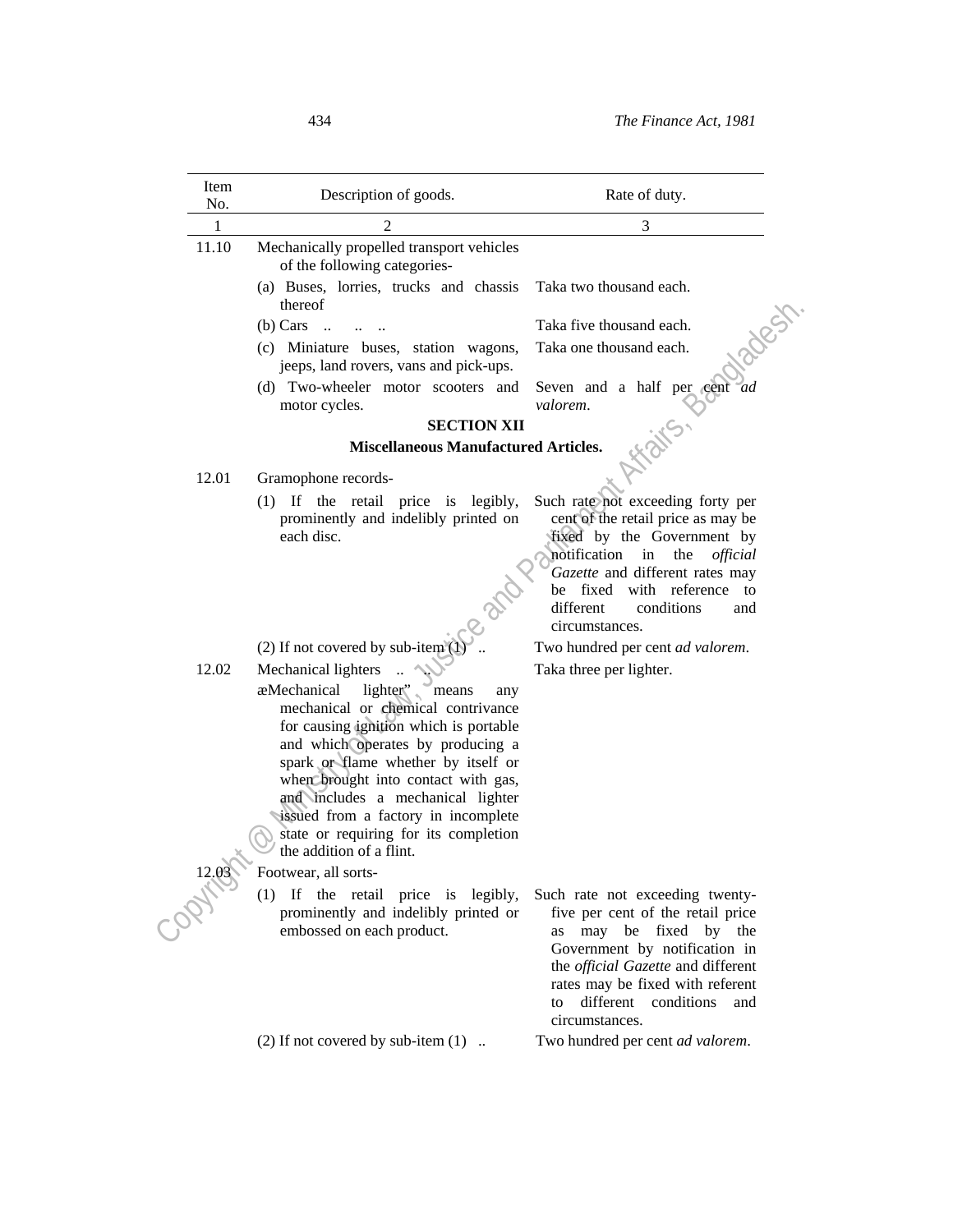| Item<br>No.  | Description of goods.                                                          | Rate of duty.                                                                                                                                                                                                                                 |
|--------------|--------------------------------------------------------------------------------|-----------------------------------------------------------------------------------------------------------------------------------------------------------------------------------------------------------------------------------------------|
| $\mathbf{1}$ | 2                                                                              | 3                                                                                                                                                                                                                                             |
| 11.10        | Mechanically propelled transport vehicles<br>of the following categories-      |                                                                                                                                                                                                                                               |
|              | (a) Buses, lorries, trucks and chassis<br>thereof                              | Taka two thousand each.                                                                                                                                                                                                                       |
|              | $(b)$ Cars                                                                     | Taka five thousand each.                                                                                                                                                                                                                      |
|              | (c) Miniature buses, station wagons,<br>jeeps, land rovers, vans and pick-ups. | New<br>Taka one thousand each.                                                                                                                                                                                                                |
|              | (d) Two-wheeler motor scooters and<br>motor cycles.                            | Seven and a half per cent ad<br>valorem.                                                                                                                                                                                                      |
|              | <b>SECTION XII</b>                                                             |                                                                                                                                                                                                                                               |
| 12.01        | <b>Miscellaneous Manufactured Articles.</b>                                    |                                                                                                                                                                                                                                               |
|              | Gramophone records-                                                            |                                                                                                                                                                                                                                               |
|              | (1) If the retail price is legibly,<br>prominently and indelibly printed on    | Such rate not exceeding forty per<br>cent of the retail price as may be                                                                                                                                                                       |
|              | each disc.                                                                     | fixed by the Government by                                                                                                                                                                                                                    |
|              |                                                                                | notification in the<br>official                                                                                                                                                                                                               |
|              |                                                                                | Gazette and different rates may                                                                                                                                                                                                               |
|              |                                                                                | be fixed with reference to                                                                                                                                                                                                                    |
|              |                                                                                | different<br>conditions<br>and                                                                                                                                                                                                                |
|              |                                                                                | circumstances.                                                                                                                                                                                                                                |
|              | (2) If not covered by sub-item $()$                                            | Two hundred per cent ad valorem.                                                                                                                                                                                                              |
| 12.02        | Mechanical lighters                                                            | Taka three per lighter.                                                                                                                                                                                                                       |
|              | æMechanical<br>lighter"<br>means<br>any                                        |                                                                                                                                                                                                                                               |
|              | mechanical or chemical contrivance                                             |                                                                                                                                                                                                                                               |
|              | for causing ignition which is portable                                         |                                                                                                                                                                                                                                               |
|              | and which operates by producing a<br>spark or flame whether by itself or       |                                                                                                                                                                                                                                               |
|              | when brought into contact with gas,                                            |                                                                                                                                                                                                                                               |
|              | and includes a mechanical lighter                                              |                                                                                                                                                                                                                                               |
|              | issued from a factory in incomplete                                            |                                                                                                                                                                                                                                               |
|              | state or requiring for its completion                                          |                                                                                                                                                                                                                                               |
|              | the addition of a flint.                                                       |                                                                                                                                                                                                                                               |
|              | Footwear, all sorts-                                                           |                                                                                                                                                                                                                                               |
|              | (1)<br>If the retail price is legibly,                                         | Such rate not exceeding twenty-                                                                                                                                                                                                               |
| 12.03        | prominently and indelibly printed or<br>embossed on each product.              | five per cent of the retail price<br>may be fixed<br>by the<br>as<br>Government by notification in<br>the <i>official Gazette</i> and different<br>rates may be fixed with referent<br>different<br>conditions<br>to<br>and<br>circumstances. |
|              | (2) If not covered by sub-item $(1)$                                           | Two hundred per cent ad valorem.                                                                                                                                                                                                              |
|              |                                                                                |                                                                                                                                                                                                                                               |
|              |                                                                                |                                                                                                                                                                                                                                               |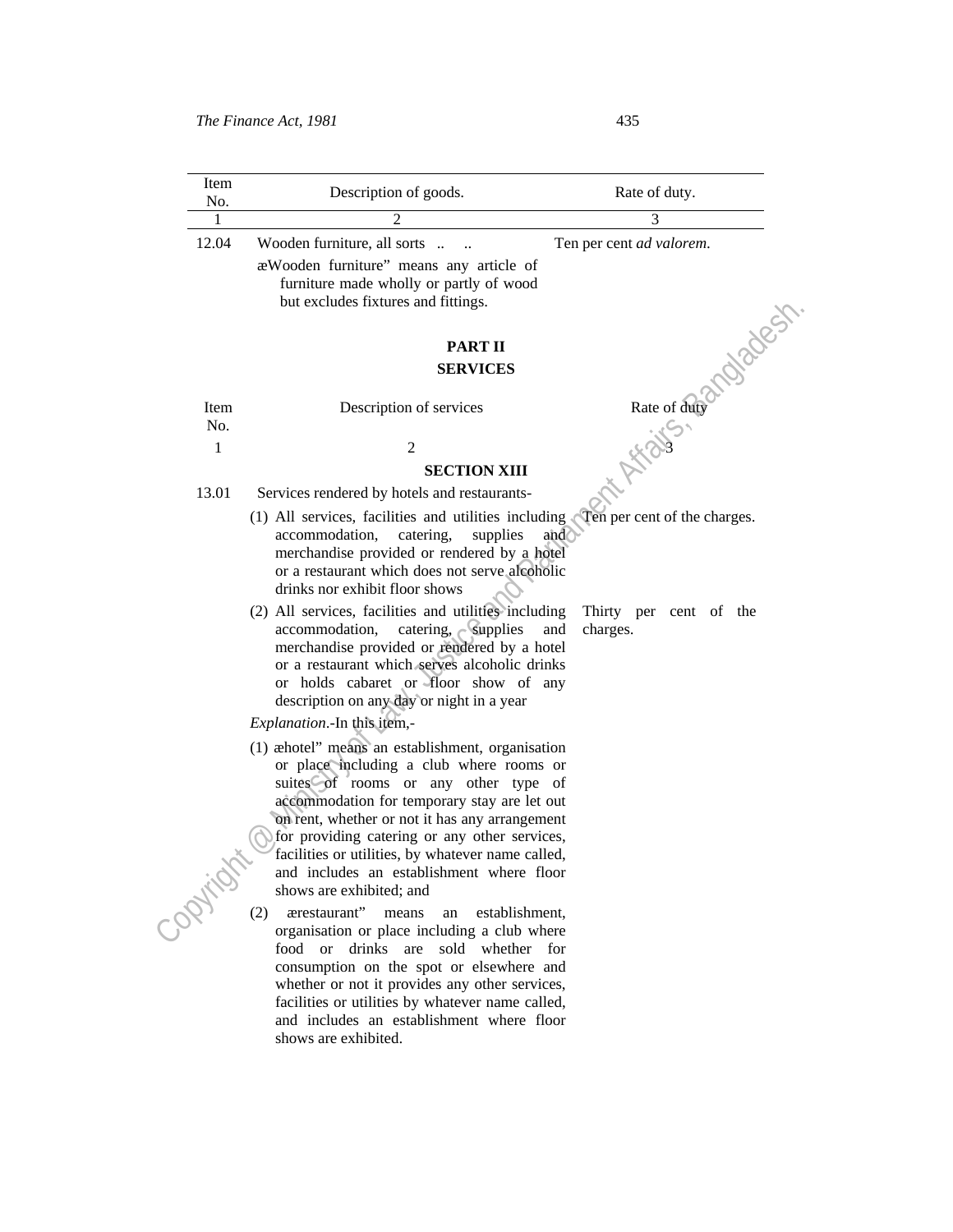| Item<br>No.    | Description of goods.                                                                                                                                                                                                                                                                                                                                                                                                                                                                                                                                                                                               | Rate of duty.            |
|----------------|---------------------------------------------------------------------------------------------------------------------------------------------------------------------------------------------------------------------------------------------------------------------------------------------------------------------------------------------------------------------------------------------------------------------------------------------------------------------------------------------------------------------------------------------------------------------------------------------------------------------|--------------------------|
| 1              | 2                                                                                                                                                                                                                                                                                                                                                                                                                                                                                                                                                                                                                   | 3                        |
| 12.04          | Wooden furniture, all sorts<br>æWooden furniture" means any article of<br>furniture made wholly or partly of wood<br>but excludes fixtures and fittings.                                                                                                                                                                                                                                                                                                                                                                                                                                                            | Ten per cent ad valorem. |
|                | <b>PART II</b>                                                                                                                                                                                                                                                                                                                                                                                                                                                                                                                                                                                                      | andback                  |
|                | <b>SERVICES</b>                                                                                                                                                                                                                                                                                                                                                                                                                                                                                                                                                                                                     |                          |
| Item<br>No.    | Description of services                                                                                                                                                                                                                                                                                                                                                                                                                                                                                                                                                                                             | Rate of duty             |
| 1              | $\overline{2}$                                                                                                                                                                                                                                                                                                                                                                                                                                                                                                                                                                                                      |                          |
|                | <b>SECTION XIII</b>                                                                                                                                                                                                                                                                                                                                                                                                                                                                                                                                                                                                 |                          |
| 13.01          | Services rendered by hotels and restaurants-                                                                                                                                                                                                                                                                                                                                                                                                                                                                                                                                                                        | in Africis               |
|                | (1) All services, facilities and utilities including<br>Ten per cent of the charges.<br>and<br>accommodation,<br>catering,<br>supplies<br>merchandise provided or rendered by a hotel<br>or a restaurant which does not serve alcoholic<br>drinks nor exhibit floor shows<br>(2) All services, facilities and utilities including<br>Thirty per cent of the<br>catering, $\sim$ supplies<br>accommodation,<br>and<br>charges.<br>merchandise provided or rendered by a hotel<br>or a restaurant which serves alcoholic drinks<br>or holds cabaret or floor show of any<br>description on any day or night in a year |                          |
|                | Explanation.-In this item,-                                                                                                                                                                                                                                                                                                                                                                                                                                                                                                                                                                                         |                          |
|                | (1) æhotel" means an establishment, organisation<br>or place including a club where rooms or<br>suites of rooms or any other type of<br>accommodation for temporary stay are let out<br>on rent, whether or not it has any arrangement<br>for providing catering or any other services,<br>facilities or utilities, by whatever name called,<br>and includes an establishment where floor<br>shows are exhibited; and                                                                                                                                                                                               |                          |
| <b>Soptial</b> | (2)<br>ærestaurant" means<br>establishment.<br>an<br>organisation or place including a club where<br>food or drinks are sold whether for<br>consumption on the spot or elsewhere and<br>whether or not it provides any other services,<br>facilities or utilities by whatever name called,<br>and includes an establishment where floor                                                                                                                                                                                                                                                                             |                          |

shows are exhibited.

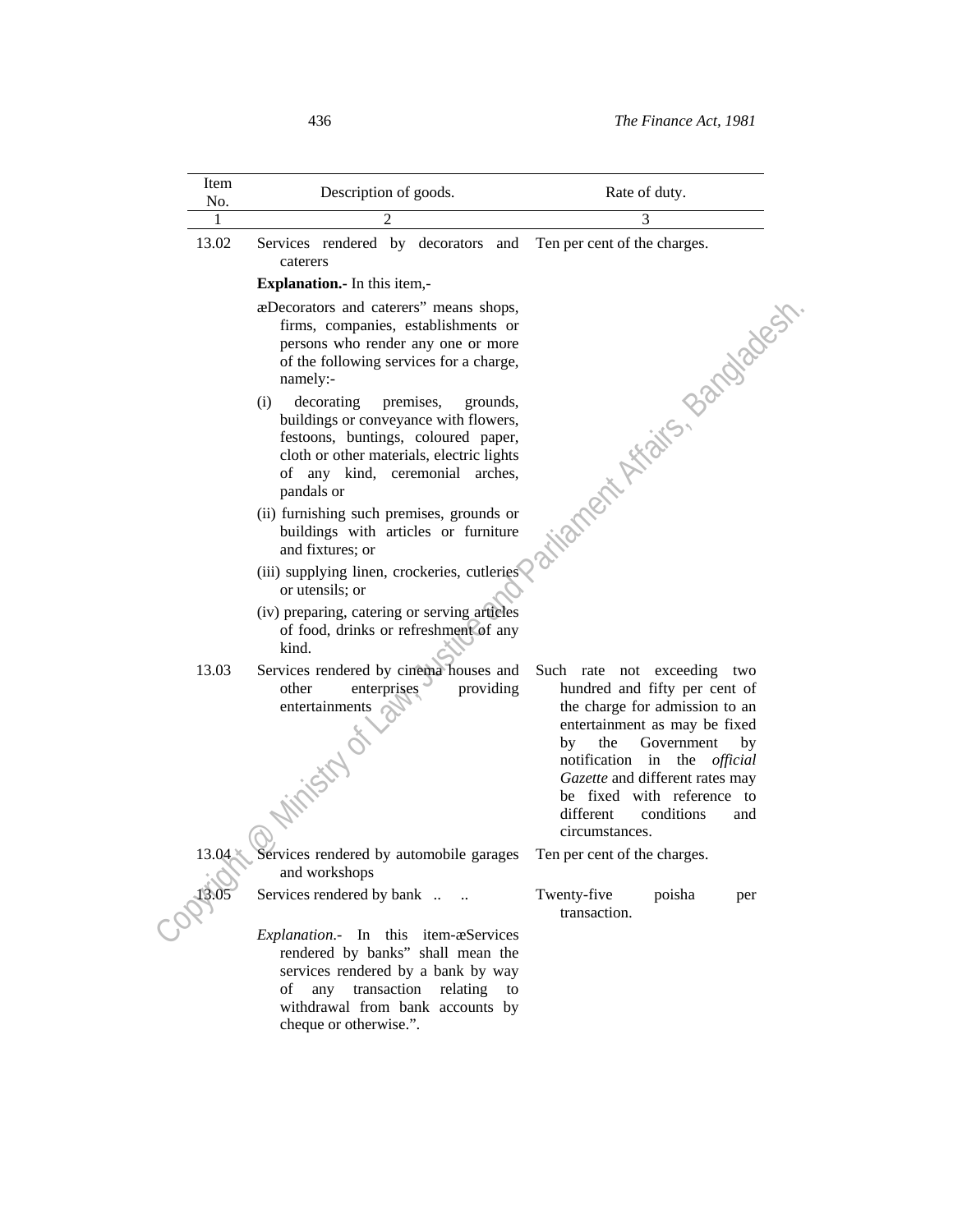| Item<br>No. | Description of goods.                                                                                                                                                                                                    | Rate of duty.                                                                                                                                                                                                                                                                                                            |
|-------------|--------------------------------------------------------------------------------------------------------------------------------------------------------------------------------------------------------------------------|--------------------------------------------------------------------------------------------------------------------------------------------------------------------------------------------------------------------------------------------------------------------------------------------------------------------------|
| 1           | 2                                                                                                                                                                                                                        | 3                                                                                                                                                                                                                                                                                                                        |
| 13.02       | Services rendered by decorators and Ten per cent of the charges.<br>caterers                                                                                                                                             |                                                                                                                                                                                                                                                                                                                          |
|             | <b>Explanation.</b> In this item,-                                                                                                                                                                                       |                                                                                                                                                                                                                                                                                                                          |
|             | æDecorators and caterers" means shops,<br>firms, companies, establishments or<br>persons who render any one or more<br>of the following services for a charge,<br>namely:-                                               |                                                                                                                                                                                                                                                                                                                          |
|             | decorating<br>(i)<br>premises,<br>grounds,<br>buildings or conveyance with flowers,<br>festoons, buntings, coloured paper,<br>cloth or other materials, electric lights<br>of any kind, ceremonial arches,<br>pandals or | is intronent Afaits, Bandadesh                                                                                                                                                                                                                                                                                           |
|             | (ii) furnishing such premises, grounds or<br>buildings with articles or furniture<br>and fixtures; or                                                                                                                    |                                                                                                                                                                                                                                                                                                                          |
|             | (iii) supplying linen, crockeries, cutleries<br>or utensils; or                                                                                                                                                          |                                                                                                                                                                                                                                                                                                                          |
|             | (iv) preparing, catering or serving articles<br>of food, drinks or refreshment of any<br>kind.                                                                                                                           |                                                                                                                                                                                                                                                                                                                          |
| 13.03       | Services rendered by cinema houses and<br>enterprises<br>providing<br>other<br>entertainments<br>Mirisco of                                                                                                              | Such rate not exceeding two<br>hundred and fifty per cent of<br>the charge for admission to an<br>entertainment as may be fixed<br>the<br>Government<br>by<br>by<br>notification in the<br>official<br>Gazette and different rates may<br>be fixed with reference to<br>conditions<br>different<br>and<br>circumstances. |
| 13.04       | Services rendered by automobile garages<br>and workshops                                                                                                                                                                 | Ten per cent of the charges.                                                                                                                                                                                                                                                                                             |
| 13.05       | Services rendered by bank                                                                                                                                                                                                | Twenty-five<br>poisha<br>per<br>transaction.                                                                                                                                                                                                                                                                             |
|             | Explanation.- In this item-æServices<br>rendered by banks" shall mean the<br>services rendered by a bank by way<br>of<br>any transaction relating to<br>withdrawal from bank accounts by<br>cheque or otherwise.".       |                                                                                                                                                                                                                                                                                                                          |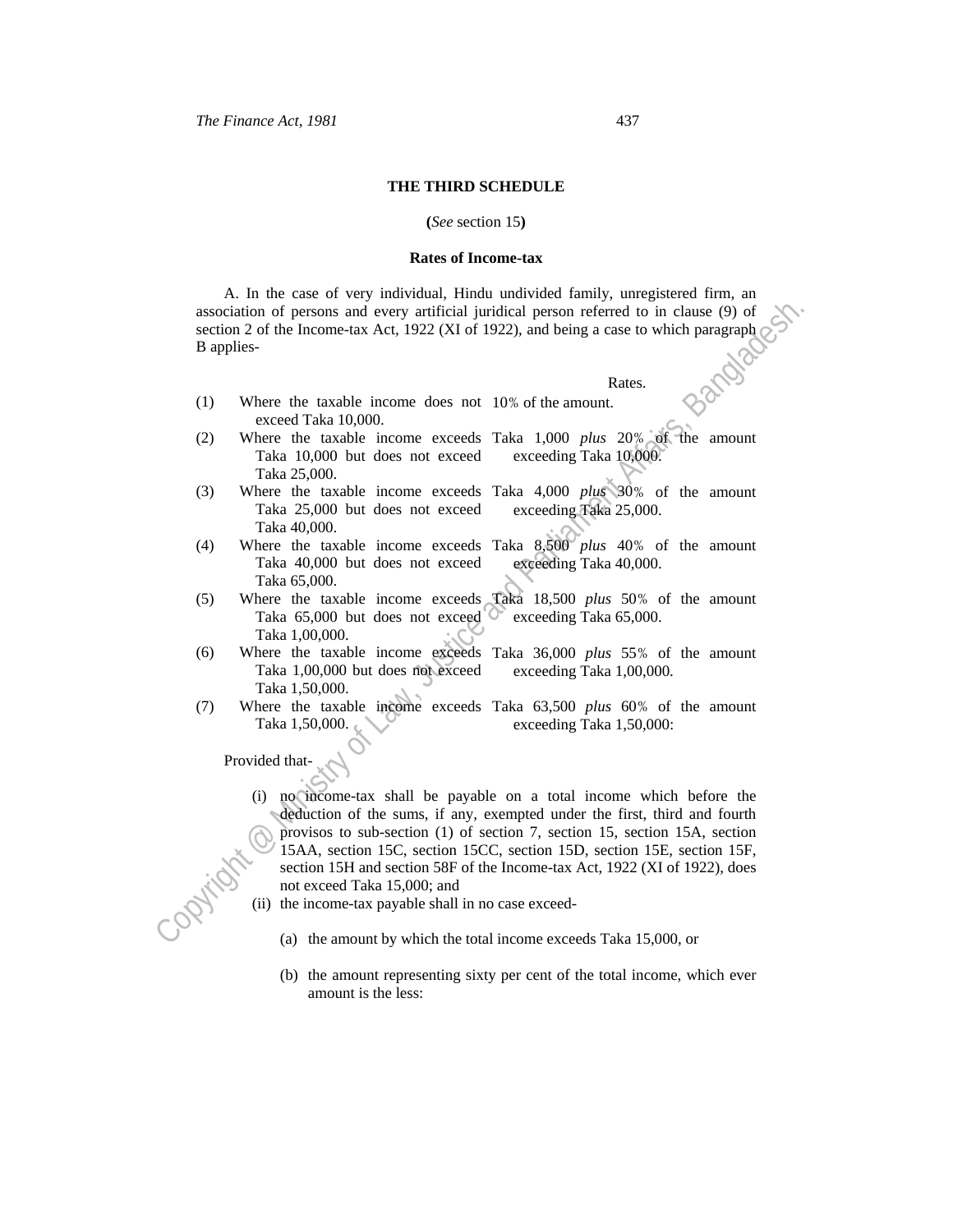#### **THE THIRD SCHEDULE**

#### **(***See* section 15**)**

#### **Rates of Income-tax**

 A. In the case of very individual, Hindu undivided family, unregistered firm, an association of persons and every artificial juridical person referred to in clause (9) of section 2 of the Income-tax Act, 1922 (XI of 1922), and being a case to which paragraph B applies-

### **Rates. Rates.**

exceeding Taka 25,000.

- (1) Where the taxable income does not 10% of the amount. exceed Taka 10,000.
- (2) Where the taxable income exceeds Taka 1,000 *plus* 20% of the amount Taka 10,000 but does not exceed Taka 25,000. exceeding Taka 10,000.
- (3) Where the taxable income exceeds Taka 4,000 *plus* 30% of the amount Taka 25,000 but does not exceed Taka 40,000.
- (4) Where the taxable income exceeds Taka 40,000 but does not exceed Taka 65,000. Taka 8,500 *plus* 40% of the amount exceeding Taka 40,000.
- (5) Where the taxable income exceeds Taka 65,000 but does not exceed Taka 1,00,000. Taka 18,500 *plus* 50% of the amount exceeding Taka 65,000.
- (6) Where the taxable income exceeds Taka 36,000 *plus* 55% of the amount Taka 1,00,000 but does not exceed Taka 1,50,000. exceeding Taka 1,00,000.
- (7) Where the taxable income exceeds Taka 63,500 *plus* 60% of the amount Taka 1,50,000. exceeding Taka 1,50,000:

Provided that-

- association of persons and every artificial piricical person referred to in clause (9) of<br>
section 2 of the Income-Iax Act, 1922 (XI of 1922), and being a case to which paragraph<br>
B applies:<br>
(1) Where the taxable income (i) no income-tax shall be payable on a total income which before the deduction of the sums, if any, exempted under the first, third and fourth provisos to sub-section (1) of section 7, section 15, section 15A, section 15AA, section 15C, section 15CC, section 15D, section 15E, section 15F, section 15H and section 58F of the Income-tax Act, 1922 (XI of 1922), does not exceed Taka 15,000; and
	- (ii) the income-tax payable shall in no case exceed-
		- (a) the amount by which the total income exceeds Taka 15,000, or
		- (b) the amount representing sixty per cent of the total income, which ever amount is the less: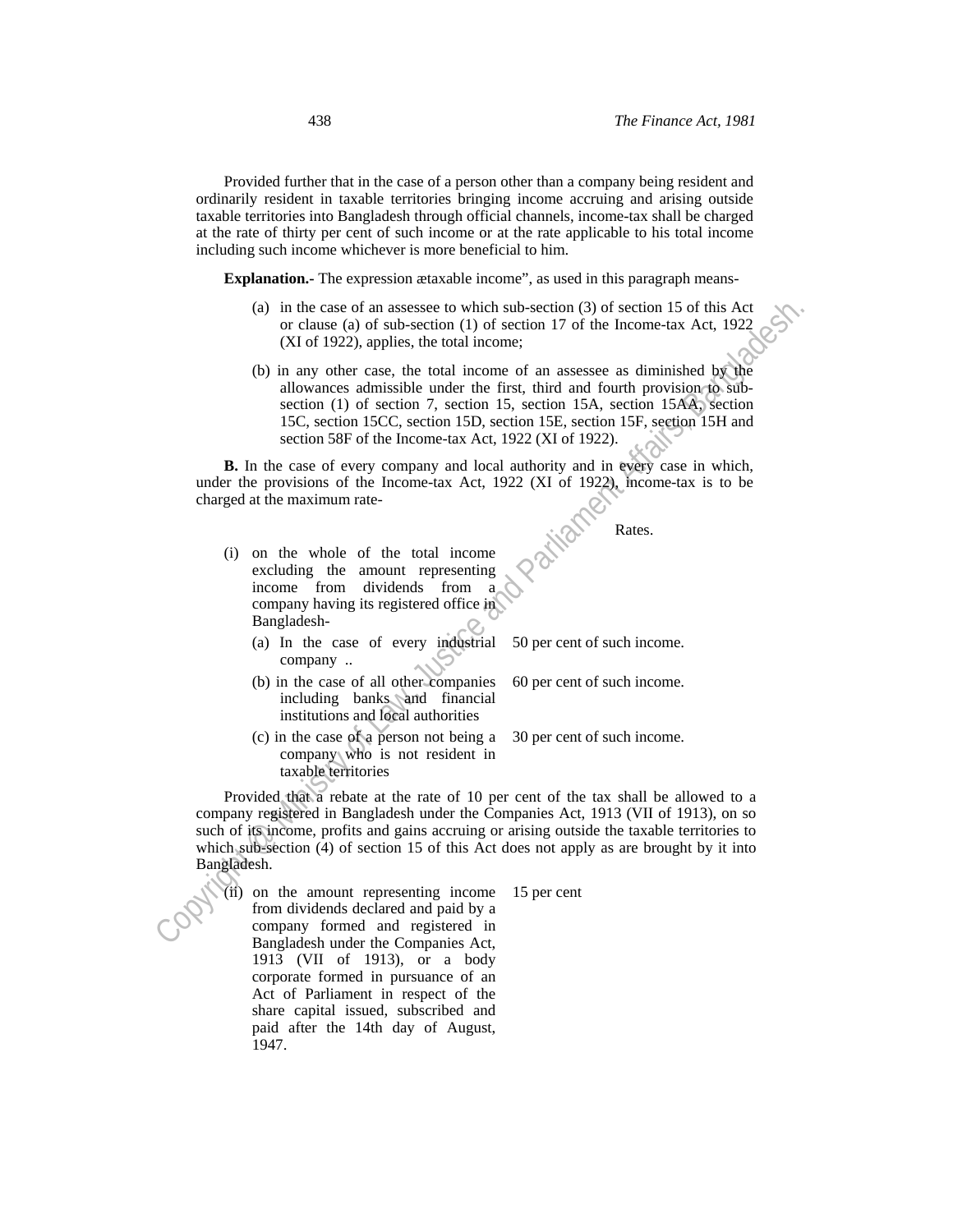Provided further that in the case of a person other than a company being resident and ordinarily resident in taxable territories bringing income accruing and arising outside taxable territories into Bangladesh through official channels, income-tax shall be charged at the rate of thirty per cent of such income or at the rate applicable to his total income including such income whichever is more beneficial to him.

**Explanation.-** The expression ætaxable income", as used in this paragraph means-

- (a) in the case of an assessee to which sub-section (3) of section 15 of this Act or clause (a) of sub-section (1) of section 17 of the Income-tax Act, 1922 (XI of 1922), applies, the total income;
- (b) in any other case, the total income of an assessee as diminished by the allowances admissible under the first, third and fourth provision to subsection (1) of section 7, section 15, section 15A, section 15AA, section 15C, section 15CC, section 15D, section 15E, section 15F, section 15H and section 58F of the Income-tax Act, 1922 (XI of 1922).

 **B.** In the case of every company and local authority and in every case in which, under the provisions of the Income-tax Act, 1922 (XI of 1922), income-tax is to be charged at the maximum rate-

Rates.

- (i) on the whole of the total income excluding the amount representing income from dividends from a company having its registered office in Bangladesh-
	- (a) In the case of every industrial company .. 50 per cent of such income.
	- (b) in the case of all other companies including banks and financial institutions and local authorities

30 per cent of such income.

60 per cent of such income.

(c) in the case of a person not being a company who is not resident in taxable territories

(a) or the case of an sassesse to which sub-section (3) of section 15 of this Act<br>
(b) many other case, the total income:<br>
(b) in my other case, the total income of an assesse as diminished by the<br>
dilowances admissible u Provided that a rebate at the rate of 10 per cent of the tax shall be allowed to a company registered in Bangladesh under the Companies Act, 1913 (VII of 1913), on so such of its income, profits and gains accruing or arising outside the taxable territories to which sub-section (4) of section 15 of this Act does not apply as are brought by it into Bangladesh.

(ii) on the amount representing income from dividends declared and paid by a company formed and registered in Bangladesh under the Companies Act, 1913 (VII of 1913), or a body corporate formed in pursuance of an Act of Parliament in respect of the share capital issued, subscribed and paid after the 14th day of August, 1947.

15 per cent